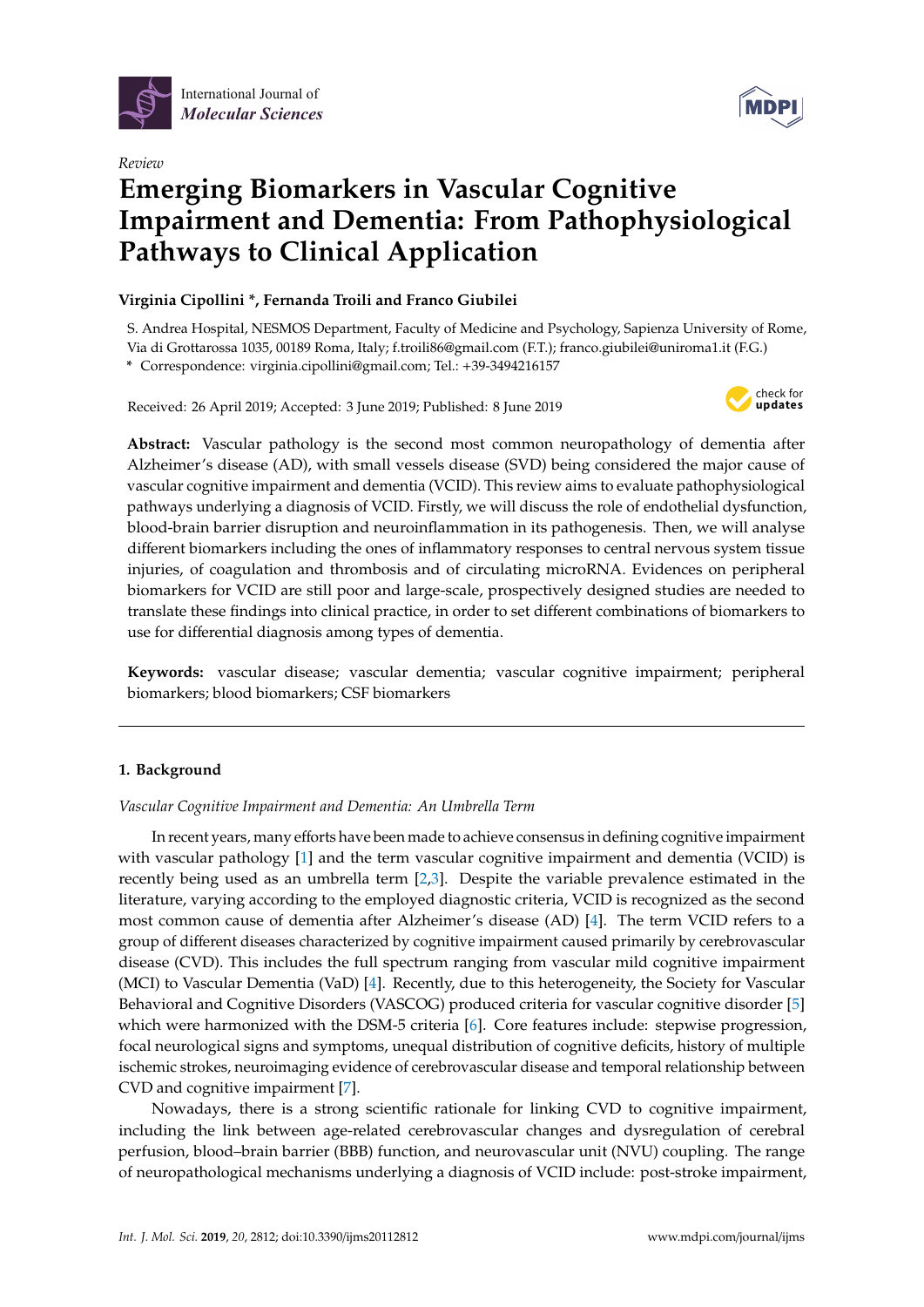

*Review*

# **MDP**

## **Emerging Biomarkers in Vascular Cognitive Impairment and Dementia: From Pathophysiological Pathways to Clinical Application**

#### **Virginia Cipollini \*, Fernanda Troili and Franco Giubilei**

S. Andrea Hospital, NESMOS Department, Faculty of Medicine and Psychology, Sapienza University of Rome, Via di Grottarossa 1035, 00189 Roma, Italy; f.troili86@gmail.com (F.T.); franco.giubilei@uniroma1.it (F.G.)

**\*** Correspondence: virginia.cipollini@gmail.com; Tel.: +39-3494216157

Received: 26 April 2019; Accepted: 3 June 2019; Published: 8 June 2019



**Abstract:** Vascular pathology is the second most common neuropathology of dementia after Alzheimer's disease (AD), with small vessels disease (SVD) being considered the major cause of vascular cognitive impairment and dementia (VCID). This review aims to evaluate pathophysiological pathways underlying a diagnosis of VCID. Firstly, we will discuss the role of endothelial dysfunction, blood-brain barrier disruption and neuroinflammation in its pathogenesis. Then, we will analyse different biomarkers including the ones of inflammatory responses to central nervous system tissue injuries, of coagulation and thrombosis and of circulating microRNA. Evidences on peripheral biomarkers for VCID are still poor and large-scale, prospectively designed studies are needed to translate these findings into clinical practice, in order to set different combinations of biomarkers to use for differential diagnosis among types of dementia.

**Keywords:** vascular disease; vascular dementia; vascular cognitive impairment; peripheral biomarkers; blood biomarkers; CSF biomarkers

### **1. Background**

*Vascular Cognitive Impairment and Dementia: An Umbrella Term*

In recent years, many efforts have been made to achieve consensus in defining cognitive impairment with vascular pathology [\[1\]](#page-19-0) and the term vascular cognitive impairment and dementia (VCID) is recently being used as an umbrella term  $[2,3]$  $[2,3]$ . Despite the variable prevalence estimated in the literature, varying according to the employed diagnostic criteria, VCID is recognized as the second most common cause of dementia after Alzheimer's disease (AD) [\[4\]](#page-19-3). The term VCID refers to a group of different diseases characterized by cognitive impairment caused primarily by cerebrovascular disease (CVD). This includes the full spectrum ranging from vascular mild cognitive impairment (MCI) to Vascular Dementia (VaD) [\[4\]](#page-19-3). Recently, due to this heterogeneity, the Society for Vascular Behavioral and Cognitive Disorders (VASCOG) produced criteria for vascular cognitive disorder [\[5\]](#page-19-4) which were harmonized with the DSM-5 criteria [\[6\]](#page-19-5). Core features include: stepwise progression, focal neurological signs and symptoms, unequal distribution of cognitive deficits, history of multiple ischemic strokes, neuroimaging evidence of cerebrovascular disease and temporal relationship between CVD and cognitive impairment [\[7\]](#page-19-6).

Nowadays, there is a strong scientific rationale for linking CVD to cognitive impairment, including the link between age-related cerebrovascular changes and dysregulation of cerebral perfusion, blood–brain barrier (BBB) function, and neurovascular unit (NVU) coupling. The range of neuropathological mechanisms underlying a diagnosis of VCID include: post-stroke impairment,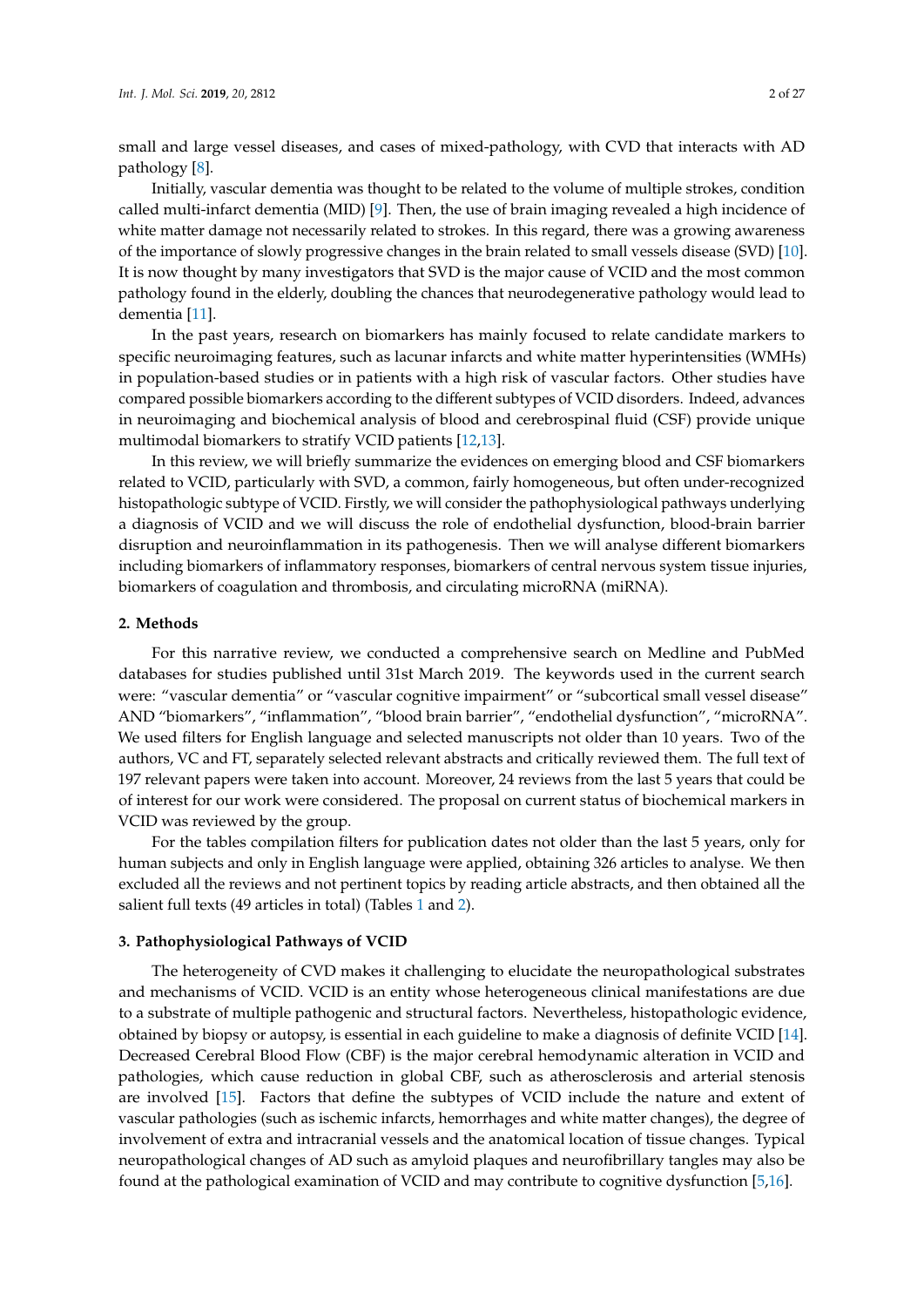small and large vessel diseases, and cases of mixed-pathology, with CVD that interacts with AD pathology [\[8\]](#page-19-7).

Initially, vascular dementia was thought to be related to the volume of multiple strokes, condition called multi-infarct dementia (MID) [\[9\]](#page-20-0). Then, the use of brain imaging revealed a high incidence of white matter damage not necessarily related to strokes. In this regard, there was a growing awareness of the importance of slowly progressive changes in the brain related to small vessels disease (SVD) [\[10\]](#page-20-1). It is now thought by many investigators that SVD is the major cause of VCID and the most common pathology found in the elderly, doubling the chances that neurodegenerative pathology would lead to dementia [\[11\]](#page-20-2).

In the past years, research on biomarkers has mainly focused to relate candidate markers to specific neuroimaging features, such as lacunar infarcts and white matter hyperintensities (WMHs) in population-based studies or in patients with a high risk of vascular factors. Other studies have compared possible biomarkers according to the different subtypes of VCID disorders. Indeed, advances in neuroimaging and biochemical analysis of blood and cerebrospinal fluid (CSF) provide unique multimodal biomarkers to stratify VCID patients [\[12](#page-20-3)[,13\]](#page-20-4).

In this review, we will briefly summarize the evidences on emerging blood and CSF biomarkers related to VCID, particularly with SVD, a common, fairly homogeneous, but often under-recognized histopathologic subtype of VCID. Firstly, we will consider the pathophysiological pathways underlying a diagnosis of VCID and we will discuss the role of endothelial dysfunction, blood-brain barrier disruption and neuroinflammation in its pathogenesis. Then we will analyse different biomarkers including biomarkers of inflammatory responses, biomarkers of central nervous system tissue injuries, biomarkers of coagulation and thrombosis, and circulating microRNA (miRNA).

#### **2. Methods**

For this narrative review, we conducted a comprehensive search on Medline and PubMed databases for studies published until 31st March 2019. The keywords used in the current search were: "vascular dementia" or "vascular cognitive impairment" or "subcortical small vessel disease" AND "biomarkers", "inflammation", "blood brain barrier", "endothelial dysfunction", "microRNA". We used filters for English language and selected manuscripts not older than 10 years. Two of the authors, VC and FT, separately selected relevant abstracts and critically reviewed them. The full text of 197 relevant papers were taken into account. Moreover, 24 reviews from the last 5 years that could be of interest for our work were considered. The proposal on current status of biochemical markers in VCID was reviewed by the group.

For the tables compilation filters for publication dates not older than the last 5 years, only for human subjects and only in English language were applied, obtaining 326 articles to analyse. We then excluded all the reviews and not pertinent topics by reading article abstracts, and then obtained all the salient full texts (49 articles in total) (Tables [1](#page-8-0) and [2\)](#page-11-0).

#### **3. Pathophysiological Pathways of VCID**

The heterogeneity of CVD makes it challenging to elucidate the neuropathological substrates and mechanisms of VCID. VCID is an entity whose heterogeneous clinical manifestations are due to a substrate of multiple pathogenic and structural factors. Nevertheless, histopathologic evidence, obtained by biopsy or autopsy, is essential in each guideline to make a diagnosis of definite VCID [\[14\]](#page-20-5). Decreased Cerebral Blood Flow (CBF) is the major cerebral hemodynamic alteration in VCID and pathologies, which cause reduction in global CBF, such as atherosclerosis and arterial stenosis are involved [\[15\]](#page-20-6). Factors that define the subtypes of VCID include the nature and extent of vascular pathologies (such as ischemic infarcts, hemorrhages and white matter changes), the degree of involvement of extra and intracranial vessels and the anatomical location of tissue changes. Typical neuropathological changes of AD such as amyloid plaques and neurofibrillary tangles may also be found at the pathological examination of VCID and may contribute to cognitive dysfunction [\[5](#page-19-4)[,16\]](#page-20-7).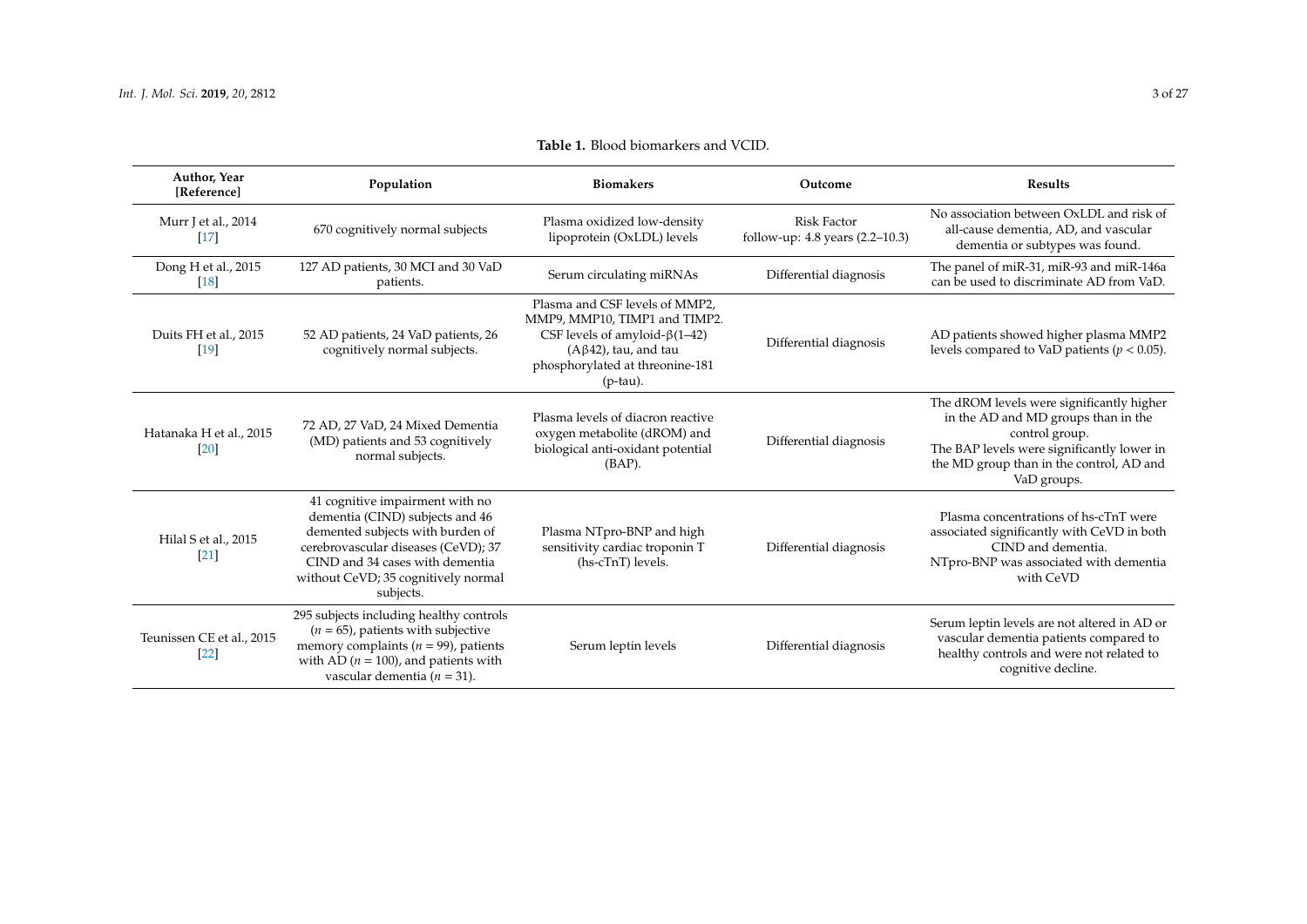| Author, Year<br>[Reference]         | Population                                                                                                                                                                                                                           | <b>Biomakers</b>                                                                                                                                                                           | Outcome                                               | <b>Results</b>                                                                                                                                                                                              |
|-------------------------------------|--------------------------------------------------------------------------------------------------------------------------------------------------------------------------------------------------------------------------------------|--------------------------------------------------------------------------------------------------------------------------------------------------------------------------------------------|-------------------------------------------------------|-------------------------------------------------------------------------------------------------------------------------------------------------------------------------------------------------------------|
| Murr J et al., 2014<br>$[17]$       | 670 cognitively normal subjects                                                                                                                                                                                                      | Plasma oxidized low-density<br>lipoprotein (OxLDL) levels                                                                                                                                  | <b>Risk Factor</b><br>follow-up: 4.8 years (2.2-10.3) | No association between OxLDL and risk of<br>all-cause dementia, AD, and vascular<br>dementia or subtypes was found.                                                                                         |
| Dong H et al., 2015<br>[18]         | 127 AD patients, 30 MCI and 30 VaD<br>patients.                                                                                                                                                                                      | Serum circulating miRNAs                                                                                                                                                                   | Differential diagnosis                                | The panel of miR-31, miR-93 and miR-146a<br>can be used to discriminate AD from VaD.                                                                                                                        |
| Duits FH et al., 2015<br>[19]       | 52 AD patients, 24 VaD patients, 26<br>cognitively normal subjects.                                                                                                                                                                  | Plasma and CSF levels of MMP2,<br>MMP9, MMP10, TIMP1 and TIMP2.<br>CSF levels of amyloid- $\beta$ (1–42)<br>$(A\beta 42)$ , tau, and tau<br>phosphorylated at threonine-181<br>$(p$ -tau). | Differential diagnosis                                | AD patients showed higher plasma MMP2<br>levels compared to VaD patients ( $p < 0.05$ ).                                                                                                                    |
| Hatanaka H et al., 2015<br>[20]     | 72 AD, 27 VaD, 24 Mixed Dementia<br>(MD) patients and 53 cognitively<br>normal subjects.                                                                                                                                             | Plasma levels of diacron reactive<br>oxygen metabolite (dROM) and<br>biological anti-oxidant potential<br>$(BAP)$ .                                                                        | Differential diagnosis                                | The dROM levels were significantly higher<br>in the AD and MD groups than in the<br>control group.<br>The BAP levels were significantly lower in<br>the MD group than in the control, AD and<br>VaD groups. |
| Hilal S et al., 2015<br>[21]        | 41 cognitive impairment with no<br>dementia (CIND) subjects and 46<br>demented subjects with burden of<br>cerebrovascular diseases (CeVD); 37<br>CIND and 34 cases with dementia<br>without CeVD; 35 cognitively normal<br>subjects. | Plasma NTpro-BNP and high<br>sensitivity cardiac troponin T<br>(hs-cTnT) levels.                                                                                                           | Differential diagnosis                                | Plasma concentrations of hs-cTnT were<br>associated significantly with CeVD in both<br>CIND and dementia.<br>NTpro-BNP was associated with dementia<br>with CeVD                                            |
| Teunissen CE et al., 2015<br>$[22]$ | 295 subjects including healthy controls<br>$(n = 65)$ , patients with subjective<br>memory complaints ( $n = 99$ ), patients<br>with AD ( $n = 100$ ), and patients with<br>vascular dementia ( $n = 31$ ).                          | Serum leptin levels                                                                                                                                                                        | Differential diagnosis                                | Serum leptin levels are not altered in AD or<br>vascular dementia patients compared to<br>healthy controls and were not related to<br>cognitive decline.                                                    |

#### **Table 1.** Blood biomarkers and VCID.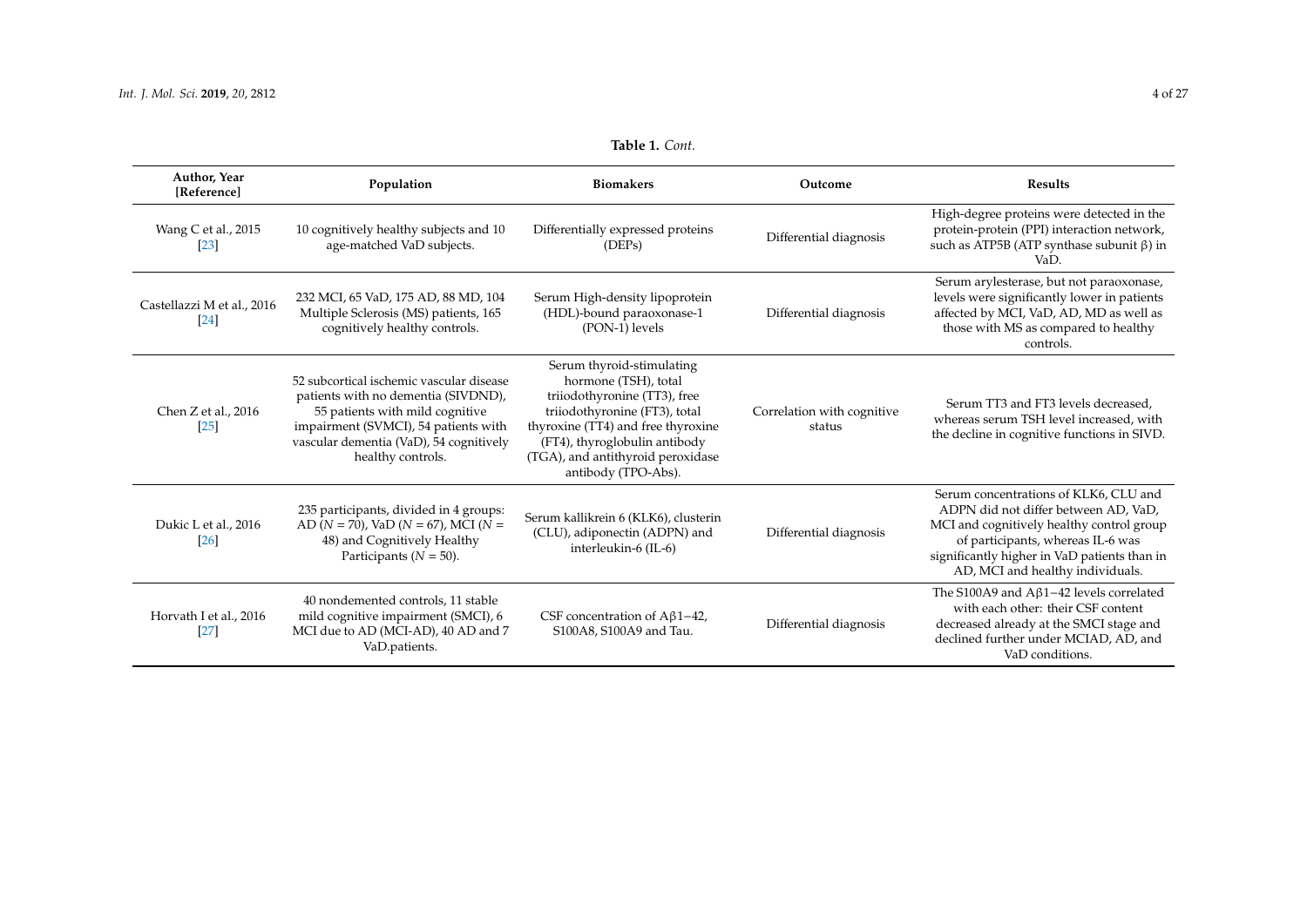| Author, Year<br>[Reference]          | Population                                                                                                                                                                                                                 | <b>Biomakers</b>                                                                                                                                                                                                                                      | Outcome                              | <b>Results</b>                                                                                                                                                                                                                                      |
|--------------------------------------|----------------------------------------------------------------------------------------------------------------------------------------------------------------------------------------------------------------------------|-------------------------------------------------------------------------------------------------------------------------------------------------------------------------------------------------------------------------------------------------------|--------------------------------------|-----------------------------------------------------------------------------------------------------------------------------------------------------------------------------------------------------------------------------------------------------|
| Wang C et al., 2015<br>$[23]$        | 10 cognitively healthy subjects and 10<br>age-matched VaD subjects.                                                                                                                                                        | Differentially expressed proteins<br>(DEPs)                                                                                                                                                                                                           | Differential diagnosis               | High-degree proteins were detected in the<br>protein-protein (PPI) interaction network,<br>such as ATP5B (ATP synthase subunit $\beta$ ) in<br>VaD.                                                                                                 |
| Castellazzi M et al., 2016<br>$[24]$ | 232 MCI, 65 VaD, 175 AD, 88 MD, 104<br>Multiple Sclerosis (MS) patients, 165<br>cognitively healthy controls.                                                                                                              | Serum High-density lipoprotein<br>(HDL)-bound paraoxonase-1<br>(PON-1) levels                                                                                                                                                                         | Differential diagnosis               | Serum arylesterase, but not paraoxonase,<br>levels were significantly lower in patients<br>affected by MCI, VaD, AD, MD as well as<br>those with MS as compared to healthy<br>controls.                                                             |
| Chen Z et al., 2016<br>$[25]$        | 52 subcortical ischemic vascular disease<br>patients with no dementia (SIVDND),<br>55 patients with mild cognitive<br>impairment (SVMCI), 54 patients with<br>vascular dementia (VaD), 54 cognitively<br>healthy controls. | Serum thyroid-stimulating<br>hormone (TSH), total<br>triiodothyronine (TT3), free<br>triiodothyronine (FT3), total<br>thyroxine (TT4) and free thyroxine<br>(FT4), thyroglobulin antibody<br>(TGA), and antithyroid peroxidase<br>antibody (TPO-Abs). | Correlation with cognitive<br>status | Serum TT3 and FT3 levels decreased,<br>whereas serum TSH level increased, with<br>the decline in cognitive functions in SIVD.                                                                                                                       |
| Dukic L et al., 2016<br>[26]         | 235 participants, divided in 4 groups:<br>AD ( $N = 70$ ), VaD ( $N = 67$ ), MCI ( $N =$<br>48) and Cognitively Healthy<br>Participants ( $N = 50$ ).                                                                      | Serum kallikrein 6 (KLK6), clusterin<br>(CLU), adiponectin (ADPN) and<br>interleukin-6 (IL-6)                                                                                                                                                         | Differential diagnosis               | Serum concentrations of KLK6, CLU and<br>ADPN did not differ between AD, VaD,<br>MCI and cognitively healthy control group<br>of participants, whereas IL-6 was<br>significantly higher in VaD patients than in<br>AD, MCI and healthy individuals. |
| Horvath I et al., 2016<br>$[27]$     | 40 nondemented controls, 11 stable<br>mild cognitive impairment (SMCI), 6<br>MCI due to AD (MCI-AD), 40 AD and 7<br>VaD.patients.                                                                                          | CSF concentration of $A\beta1-42$ ,<br>S100A8, S100A9 and Tau.                                                                                                                                                                                        | Differential diagnosis               | The S100A9 and $A\beta1-42$ levels correlated<br>with each other: their CSF content<br>decreased already at the SMCI stage and<br>declined further under MCIAD, AD, and<br>VaD conditions.                                                          |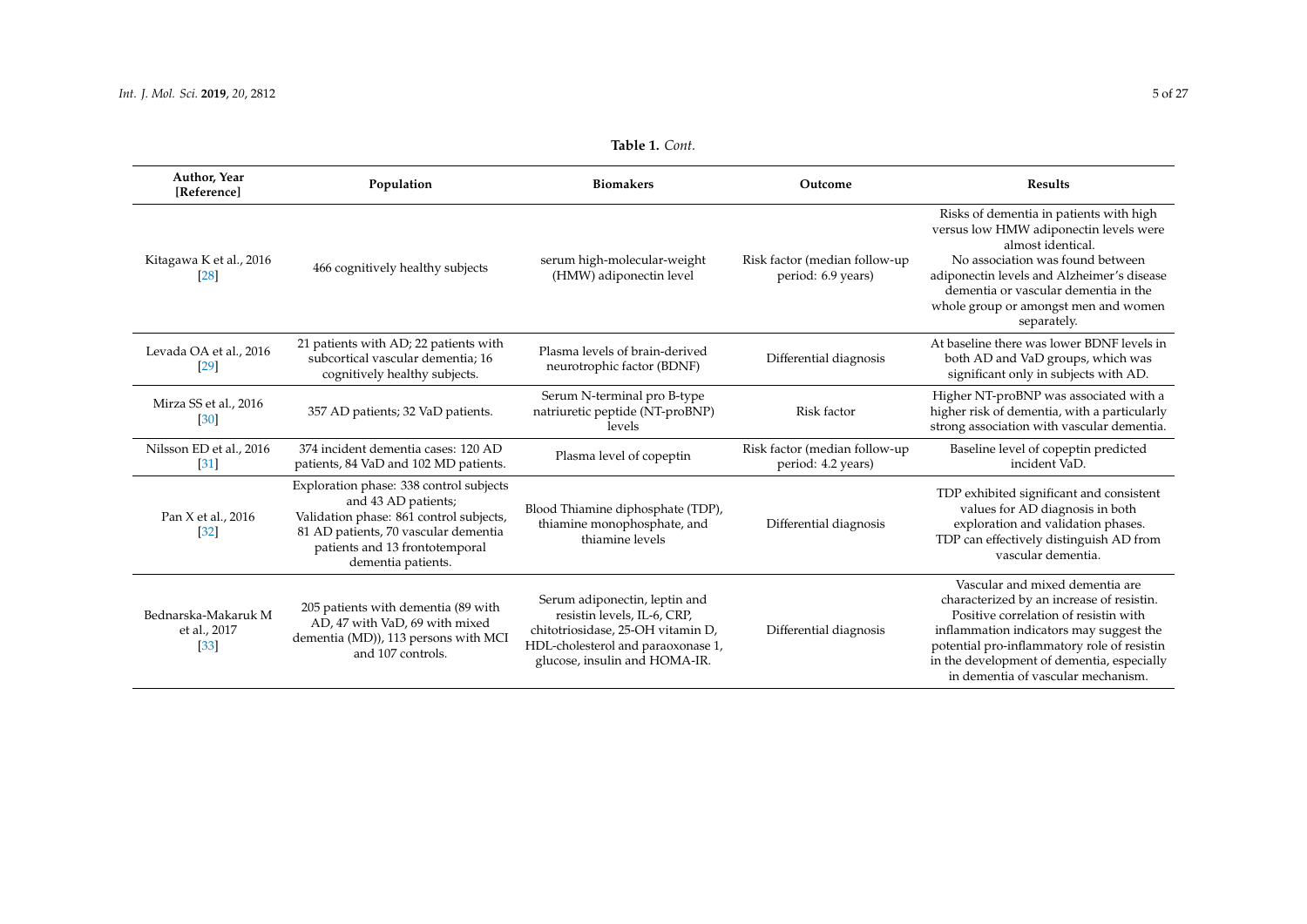| Author, Year<br>[Reference]                   | Population                                                                                                                                                                                                | <b>Biomakers</b>                                                                                                                                                         | Outcome                                             | <b>Results</b>                                                                                                                                                                                                                                                                                      |
|-----------------------------------------------|-----------------------------------------------------------------------------------------------------------------------------------------------------------------------------------------------------------|--------------------------------------------------------------------------------------------------------------------------------------------------------------------------|-----------------------------------------------------|-----------------------------------------------------------------------------------------------------------------------------------------------------------------------------------------------------------------------------------------------------------------------------------------------------|
| Kitagawa K et al., 2016<br>[28]               | 466 cognitively healthy subjects                                                                                                                                                                          | serum high-molecular-weight<br>(HMW) adiponectin level                                                                                                                   | Risk factor (median follow-up<br>period: 6.9 years) | Risks of dementia in patients with high<br>versus low HMW adiponectin levels were<br>almost identical.<br>No association was found between<br>adiponectin levels and Alzheimer's disease<br>dementia or vascular dementia in the<br>whole group or amongst men and women<br>separately.             |
| Levada OA et al., 2016<br>[29]                | 21 patients with AD; 22 patients with<br>subcortical vascular dementia; 16<br>cognitively healthy subjects.                                                                                               | Plasma levels of brain-derived<br>neurotrophic factor (BDNF)                                                                                                             | Differential diagnosis                              | At baseline there was lower BDNF levels in<br>both AD and VaD groups, which was<br>significant only in subjects with AD.                                                                                                                                                                            |
| Mirza SS et al., 2016<br>[30]                 | 357 AD patients; 32 VaD patients.                                                                                                                                                                         | Serum N-terminal pro B-type<br>natriuretic peptide (NT-proBNP)<br>levels                                                                                                 | Risk factor                                         | Higher NT-proBNP was associated with a<br>higher risk of dementia, with a particularly<br>strong association with vascular dementia.                                                                                                                                                                |
| Nilsson ED et al., 2016<br>$[31]$             | 374 incident dementia cases: 120 AD<br>patients, 84 VaD and 102 MD patients.                                                                                                                              | Plasma level of copeptin                                                                                                                                                 | Risk factor (median follow-up<br>period: 4.2 years) | Baseline level of copeptin predicted<br>incident VaD.                                                                                                                                                                                                                                               |
| Pan X et al., 2016<br>$[32]$                  | Exploration phase: 338 control subjects<br>and 43 AD patients;<br>Validation phase: 861 control subjects,<br>81 AD patients, 70 vascular dementia<br>patients and 13 frontotemporal<br>dementia patients. | Blood Thiamine diphosphate (TDP),<br>thiamine monophosphate, and<br>thiamine levels                                                                                      | Differential diagnosis                              | TDP exhibited significant and consistent<br>values for AD diagnosis in both<br>exploration and validation phases.<br>TDP can effectively distinguish AD from<br>vascular dementia.                                                                                                                  |
| Bednarska-Makaruk M<br>et al., 2017<br>$[33]$ | 205 patients with dementia (89 with<br>AD, 47 with VaD, 69 with mixed<br>dementia (MD)), 113 persons with MCI<br>and 107 controls.                                                                        | Serum adiponectin, leptin and<br>resistin levels, IL-6, CRP,<br>chitotriosidase, 25-OH vitamin D,<br>HDL-cholesterol and paraoxonase 1,<br>glucose, insulin and HOMA-IR. | Differential diagnosis                              | Vascular and mixed dementia are<br>characterized by an increase of resistin.<br>Positive correlation of resistin with<br>inflammation indicators may suggest the<br>potential pro-inflammatory role of resistin<br>in the development of dementia, especially<br>in dementia of vascular mechanism. |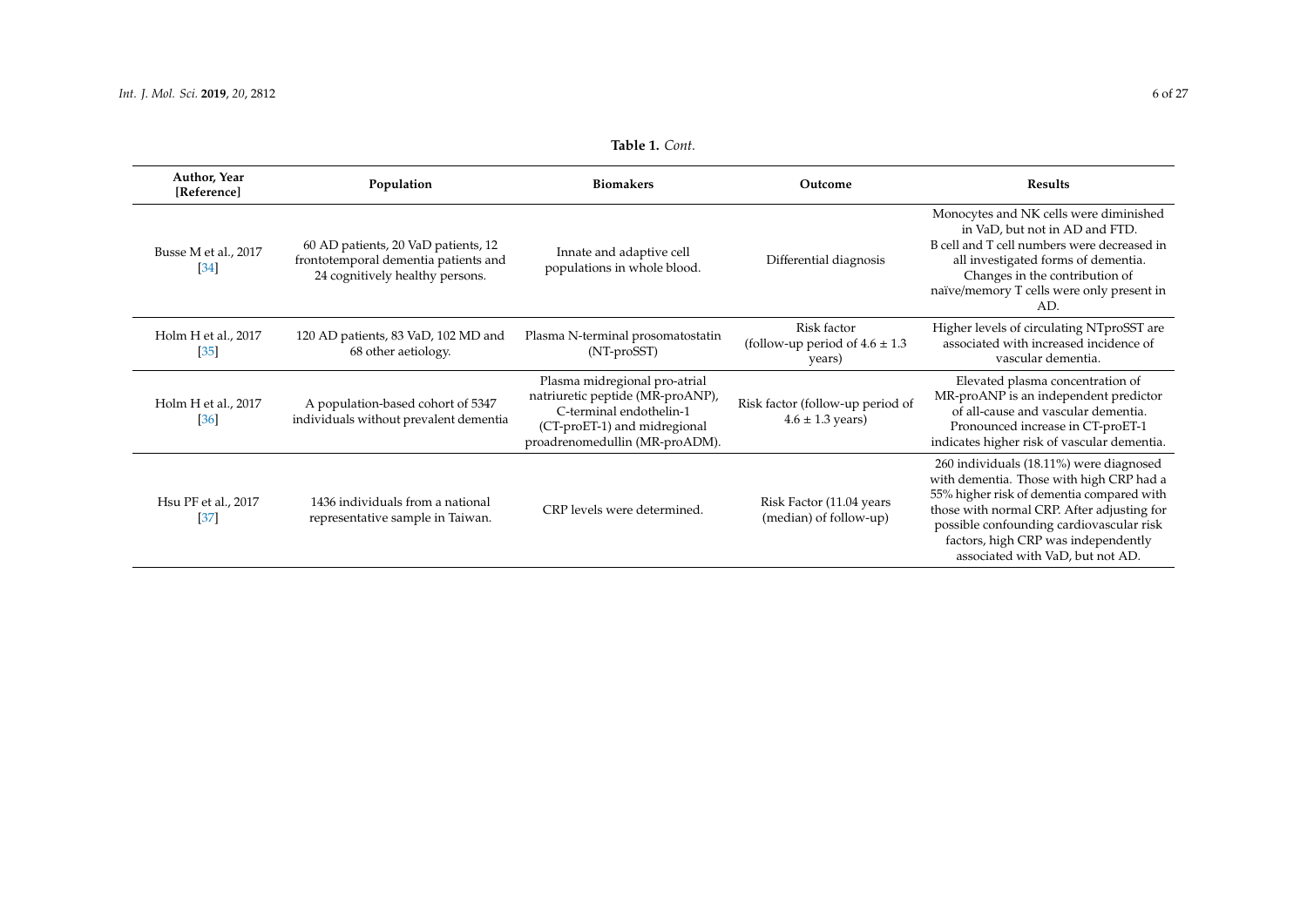| Author, Year<br>[Reference]              | Population                                                                                                     | <b>Biomakers</b>                                                                                                                                               | Outcome                                                       | <b>Results</b>                                                                                                                                                                                                                                                                                        |
|------------------------------------------|----------------------------------------------------------------------------------------------------------------|----------------------------------------------------------------------------------------------------------------------------------------------------------------|---------------------------------------------------------------|-------------------------------------------------------------------------------------------------------------------------------------------------------------------------------------------------------------------------------------------------------------------------------------------------------|
| Busse M et al., 2017<br>$[34]$           | 60 AD patients, 20 VaD patients, 12<br>frontotemporal dementia patients and<br>24 cognitively healthy persons. | Innate and adaptive cell<br>populations in whole blood.                                                                                                        | Differential diagnosis                                        | Monocytes and NK cells were diminished<br>in VaD, but not in AD and FTD.<br>B cell and T cell numbers were decreased in<br>all investigated forms of dementia.<br>Changes in the contribution of<br>naïve/memory T cells were only present in<br>AD.                                                  |
| Holm H et al., 2017<br>$[35]$            | 120 AD patients, 83 VaD, 102 MD and<br>68 other aetiology.                                                     | Plasma N-terminal prosomatostatin<br>(NT-proSST)                                                                                                               | Risk factor<br>(follow-up period of $4.6 \pm 1.3$ )<br>years) | Higher levels of circulating NTproSST are<br>associated with increased incidence of<br>vascular dementia.                                                                                                                                                                                             |
| Holm H et al., 2017<br>[36]              | A population-based cohort of 5347<br>individuals without prevalent dementia                                    | Plasma midregional pro-atrial<br>natriuretic peptide (MR-proANP),<br>C-terminal endothelin-1<br>(CT-proET-1) and midregional<br>proadrenomedullin (MR-proADM). | Risk factor (follow-up period of<br>$4.6 \pm 1.3$ years)      | Elevated plasma concentration of<br>MR-proANP is an independent predictor<br>of all-cause and vascular dementia.<br>Pronounced increase in CT-proET-1<br>indicates higher risk of vascular dementia.                                                                                                  |
| Hsu PF et al., 2017<br>$\left[37\right]$ | 1436 individuals from a national<br>representative sample in Taiwan.                                           | CRP levels were determined.                                                                                                                                    | Risk Factor (11.04 years<br>(median) of follow-up)            | 260 individuals (18.11%) were diagnosed<br>with dementia. Those with high CRP had a<br>55% higher risk of dementia compared with<br>those with normal CRP. After adjusting for<br>possible confounding cardiovascular risk<br>factors, high CRP was independently<br>associated with VaD, but not AD. |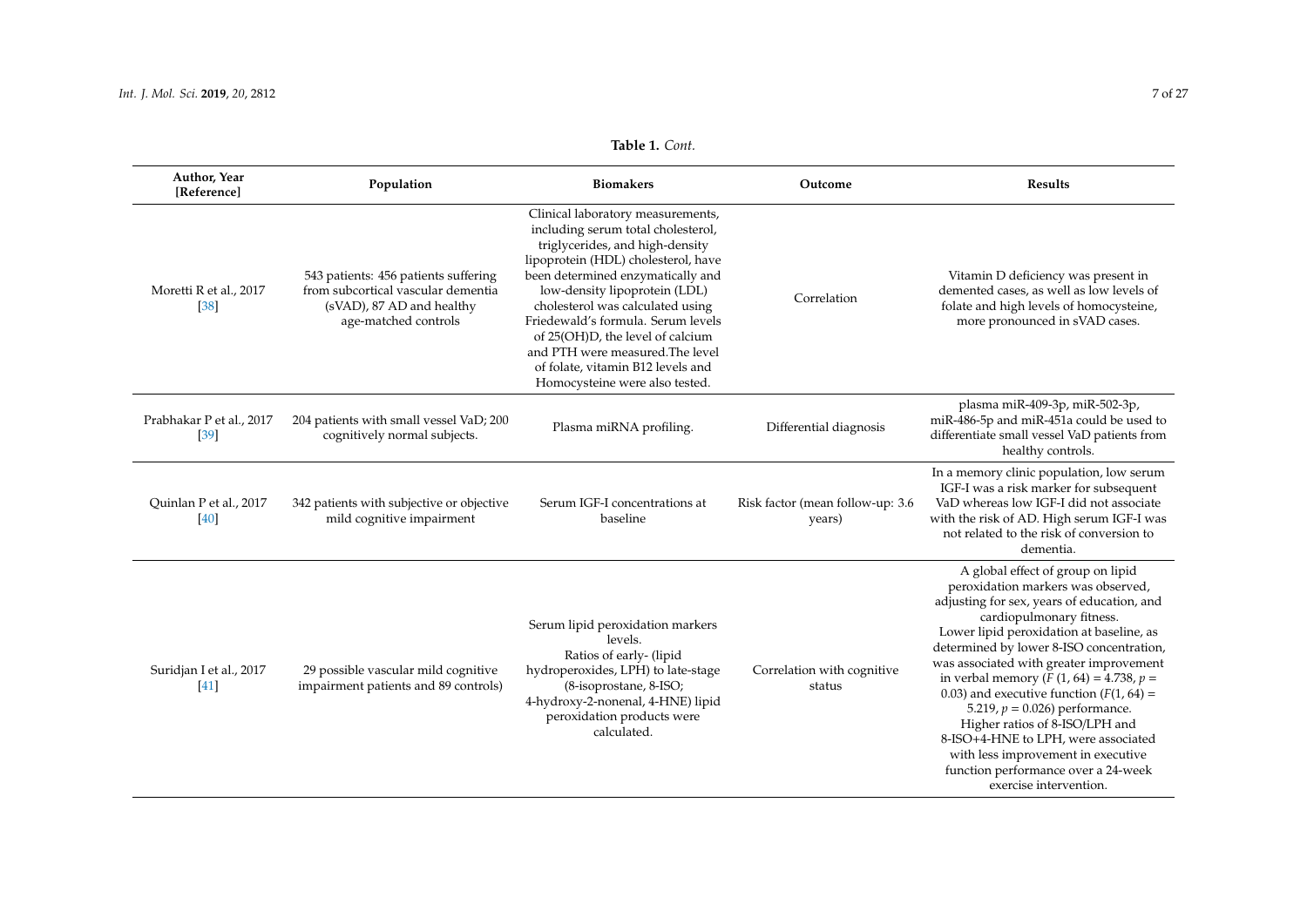| Author, Year<br>[Reference]      | Population                                                                                                                      | <b>Biomakers</b>                                                                                                                                                                                                                                                                                                                                                                                                                                 | Outcome                                    | Results                                                                                                                                                                                                                                                                                                                                                                                                                                                                                                                                                                                                  |
|----------------------------------|---------------------------------------------------------------------------------------------------------------------------------|--------------------------------------------------------------------------------------------------------------------------------------------------------------------------------------------------------------------------------------------------------------------------------------------------------------------------------------------------------------------------------------------------------------------------------------------------|--------------------------------------------|----------------------------------------------------------------------------------------------------------------------------------------------------------------------------------------------------------------------------------------------------------------------------------------------------------------------------------------------------------------------------------------------------------------------------------------------------------------------------------------------------------------------------------------------------------------------------------------------------------|
| Moretti R et al., 2017<br>$[38]$ | 543 patients: 456 patients suffering<br>from subcortical vascular dementia<br>(sVAD), 87 AD and healthy<br>age-matched controls | Clinical laboratory measurements,<br>including serum total cholesterol,<br>triglycerides, and high-density<br>lipoprotein (HDL) cholesterol, have<br>been determined enzymatically and<br>low-density lipoprotein (LDL)<br>cholesterol was calculated using<br>Friedewald's formula. Serum levels<br>of 25(OH)D, the level of calcium<br>and PTH were measured. The level<br>of folate, vitamin B12 levels and<br>Homocysteine were also tested. | Correlation                                | Vitamin D deficiency was present in<br>demented cases, as well as low levels of<br>folate and high levels of homocysteine,<br>more pronounced in sVAD cases.                                                                                                                                                                                                                                                                                                                                                                                                                                             |
| Prabhakar P et al., 2017<br>[39] | 204 patients with small vessel VaD; 200<br>cognitively normal subjects.                                                         | Plasma miRNA profiling.                                                                                                                                                                                                                                                                                                                                                                                                                          | Differential diagnosis                     | plasma miR-409-3p, miR-502-3p,<br>miR-486-5p and miR-451a could be used to<br>differentiate small vessel VaD patients from<br>healthy controls.                                                                                                                                                                                                                                                                                                                                                                                                                                                          |
| Quinlan P et al., 2017<br>$[40]$ | 342 patients with subjective or objective<br>mild cognitive impairment                                                          | Serum IGF-I concentrations at<br>baseline                                                                                                                                                                                                                                                                                                                                                                                                        | Risk factor (mean follow-up: 3.6<br>years) | In a memory clinic population, low serum<br>IGF-I was a risk marker for subsequent<br>VaD whereas low IGF-I did not associate<br>with the risk of AD. High serum IGF-I was<br>not related to the risk of conversion to<br>dementia.                                                                                                                                                                                                                                                                                                                                                                      |
| Suridjan I et al., 2017<br>[41]  | 29 possible vascular mild cognitive<br>impairment patients and 89 controls)                                                     | Serum lipid peroxidation markers<br>levels.<br>Ratios of early- (lipid<br>hydroperoxides, LPH) to late-stage<br>(8-isoprostane, 8-ISO;<br>4-hydroxy-2-nonenal, 4-HNE) lipid<br>peroxidation products were<br>calculated.                                                                                                                                                                                                                         | Correlation with cognitive<br>status       | A global effect of group on lipid<br>peroxidation markers was observed,<br>adjusting for sex, years of education, and<br>cardiopulmonary fitness.<br>Lower lipid peroxidation at baseline, as<br>determined by lower 8-ISO concentration,<br>was associated with greater improvement<br>in verbal memory ( $F(1, 64) = 4.738$ , $p =$<br>0.03) and executive function $(F(1, 64) =$<br>5.219, $p = 0.026$ ) performance.<br>Higher ratios of 8-ISO/LPH and<br>8-ISO+4-HNE to LPH, were associated<br>with less improvement in executive<br>function performance over a 24-week<br>exercise intervention. |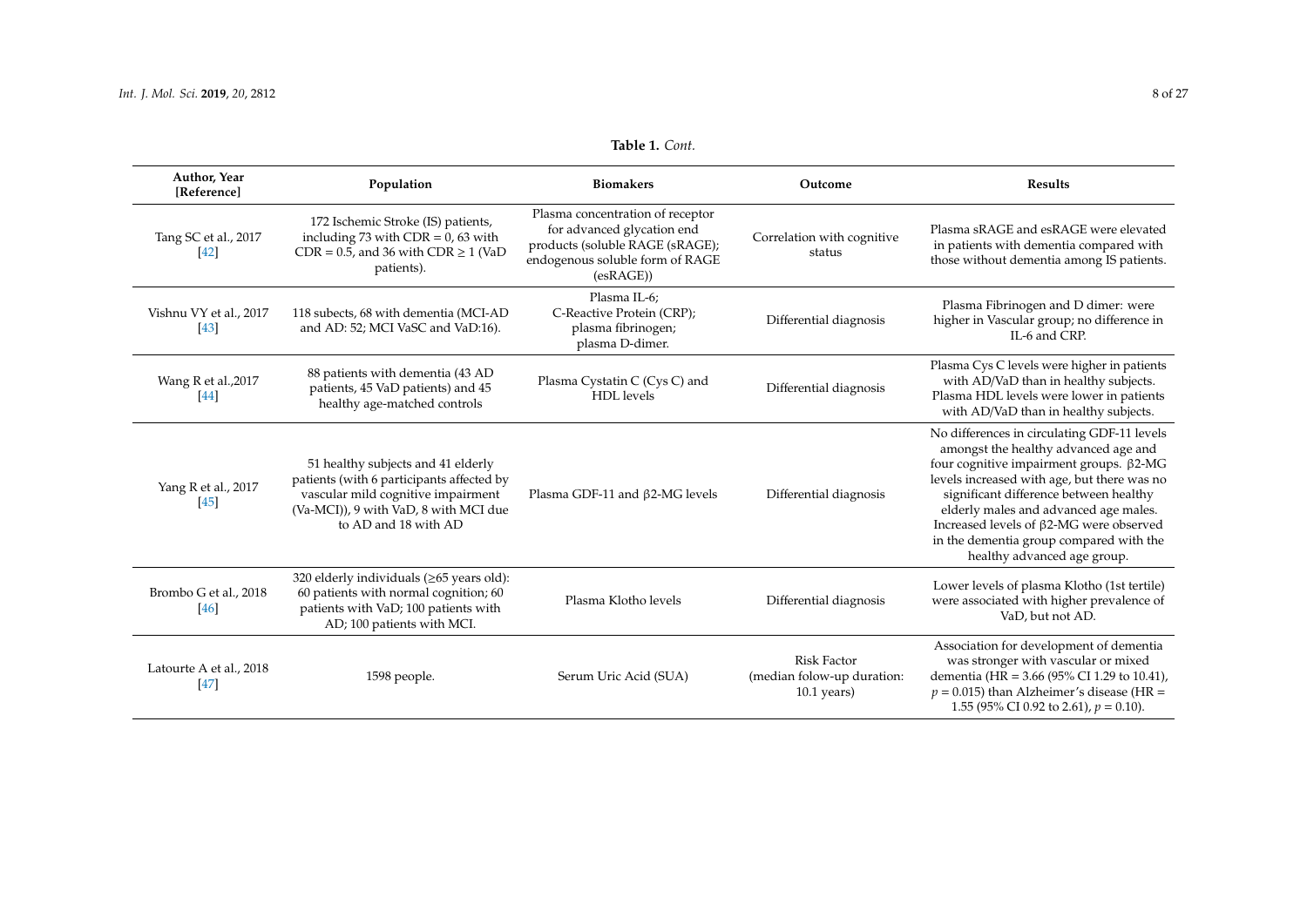| <b>Table 1. Cont.</b> |  |  |
|-----------------------|--|--|
|-----------------------|--|--|

| Author, Year<br>[Reference]     | Population                                                                                                                                                                             | <b>Biomakers</b>                                                                                                                                 | Outcome                                                           | <b>Results</b>                                                                                                                                                                                                                                                                                                                                                                        |
|---------------------------------|----------------------------------------------------------------------------------------------------------------------------------------------------------------------------------------|--------------------------------------------------------------------------------------------------------------------------------------------------|-------------------------------------------------------------------|---------------------------------------------------------------------------------------------------------------------------------------------------------------------------------------------------------------------------------------------------------------------------------------------------------------------------------------------------------------------------------------|
| Tang SC et al., 2017<br>[42]    | 172 Ischemic Stroke (IS) patients,<br>including 73 with $CDR = 0$ , 63 with<br>$CDR = 0.5$ , and 36 with $CDR \ge 1$ (VaD<br>patients).                                                | Plasma concentration of receptor<br>for advanced glycation end<br>products (soluble RAGE (sRAGE);<br>endogenous soluble form of RAGE<br>(esRAGE) | Correlation with cognitive<br>status                              | Plasma sRAGE and esRAGE were elevated<br>in patients with dementia compared with<br>those without dementia among IS patients.                                                                                                                                                                                                                                                         |
| Vishnu VY et al., 2017<br>[43]  | 118 subects, 68 with dementia (MCI-AD<br>and AD: 52; MCI VaSC and VaD:16).                                                                                                             | Plasma IL-6;<br>C-Reactive Protein (CRP);<br>plasma fibrinogen;<br>plasma D-dimer.                                                               | Differential diagnosis                                            | Plasma Fibrinogen and D dimer: were<br>higher in Vascular group; no difference in<br>IL-6 and CRP.                                                                                                                                                                                                                                                                                    |
| Wang R et al., 2017<br>$[44]$   | 88 patients with dementia (43 AD<br>patients, 45 VaD patients) and 45<br>healthy age-matched controls                                                                                  | Plasma Cystatin C (Cys C) and<br>HDL levels                                                                                                      | Differential diagnosis                                            | Plasma Cys C levels were higher in patients<br>with AD/VaD than in healthy subjects.<br>Plasma HDL levels were lower in patients<br>with AD/VaD than in healthy subjects.                                                                                                                                                                                                             |
| Yang R et al., 2017<br>[45]     | 51 healthy subjects and 41 elderly<br>patients (with 6 participants affected by<br>vascular mild cognitive impairment<br>(Va-MCI)), 9 with VaD, 8 with MCI due<br>to AD and 18 with AD | Plasma GDF-11 and $\beta$ 2-MG levels                                                                                                            | Differential diagnosis                                            | No differences in circulating GDF-11 levels<br>amongst the healthy advanced age and<br>four cognitive impairment groups. β2-MG<br>levels increased with age, but there was no<br>significant difference between healthy<br>elderly males and advanced age males.<br>Increased levels of β2-MG were observed<br>in the dementia group compared with the<br>healthy advanced age group. |
| Brombo G et al., 2018<br>$[46]$ | 320 elderly individuals $(\geq 65$ years old):<br>60 patients with normal cognition; 60<br>patients with VaD; 100 patients with<br>AD; 100 patients with MCI.                          | Plasma Klotho levels                                                                                                                             | Differential diagnosis                                            | Lower levels of plasma Klotho (1st tertile)<br>were associated with higher prevalence of<br>VaD, but not AD.                                                                                                                                                                                                                                                                          |
| Latourte A et al., 2018<br>[47] | 1598 people.                                                                                                                                                                           | Serum Uric Acid (SUA)                                                                                                                            | <b>Risk Factor</b><br>(median folow-up duration:<br>$10.1$ years) | Association for development of dementia<br>was stronger with vascular or mixed<br>dementia (HR = 3.66 (95% CI 1.29 to 10.41),<br>$p = 0.015$ ) than Alzheimer's disease (HR =<br>1.55 (95% CI 0.92 to 2.61), $p = 0.10$ ).                                                                                                                                                            |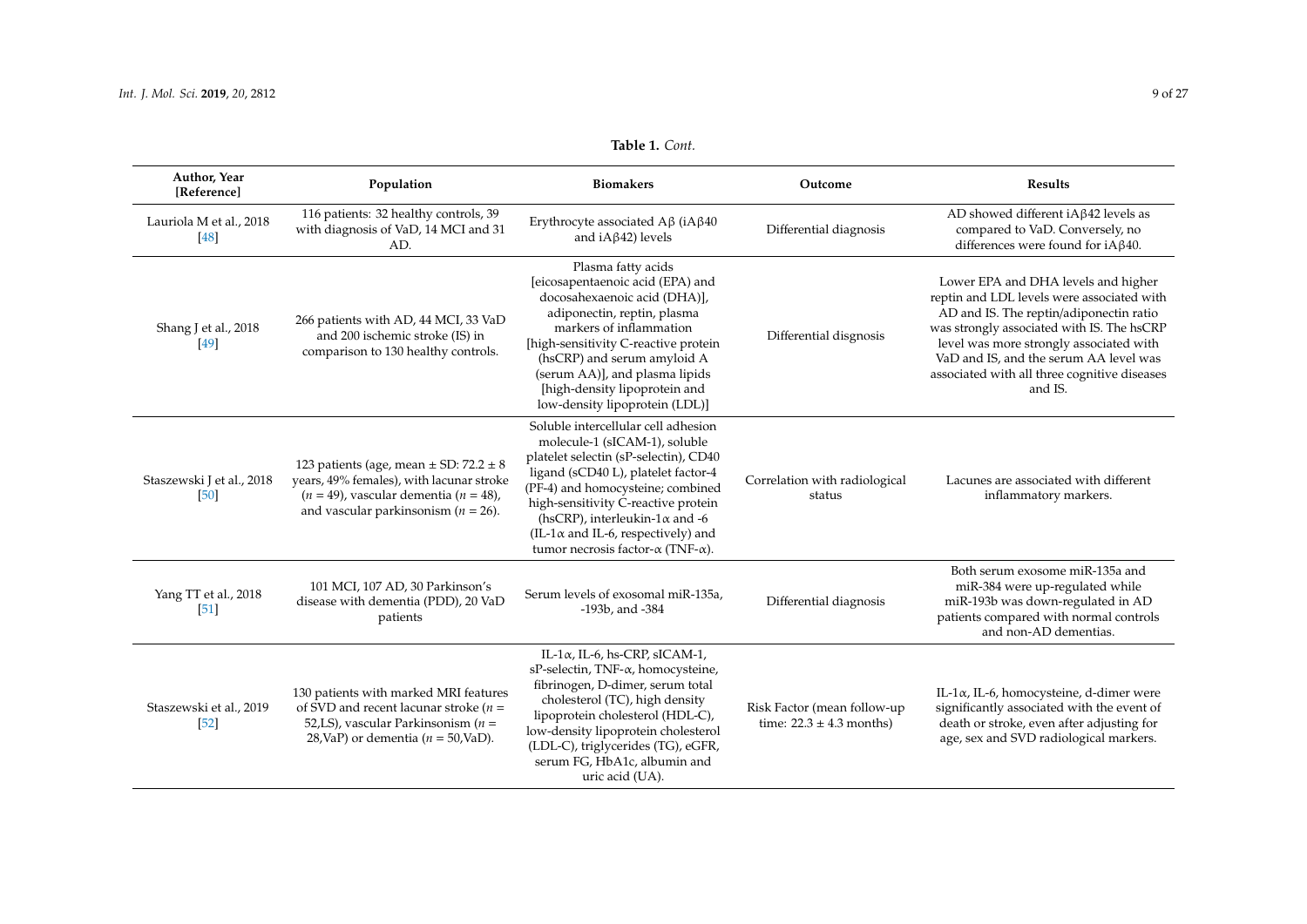<span id="page-8-0"></span>

| Author, Year<br>[Reference]       | Population                                                                                                                                                                           | <b>Biomakers</b>                                                                                                                                                                                                                                                                                                                                                             | Outcome                                                     | <b>Results</b>                                                                                                                                                                                                                                                                                                             |
|-----------------------------------|--------------------------------------------------------------------------------------------------------------------------------------------------------------------------------------|------------------------------------------------------------------------------------------------------------------------------------------------------------------------------------------------------------------------------------------------------------------------------------------------------------------------------------------------------------------------------|-------------------------------------------------------------|----------------------------------------------------------------------------------------------------------------------------------------------------------------------------------------------------------------------------------------------------------------------------------------------------------------------------|
| Lauriola M et al., 2018<br>[48]   | 116 patients: 32 healthy controls, 39<br>with diagnosis of VaD, 14 MCI and 31<br>AD.                                                                                                 | Erythrocyte associated $A\beta$ (iA $\beta$ 40<br>and $iA\beta42$ ) levels                                                                                                                                                                                                                                                                                                   | Differential diagnosis                                      | AD showed different iA $\beta$ 42 levels as<br>compared to VaD. Conversely, no<br>differences were found for $iA\beta40$ .                                                                                                                                                                                                 |
| Shang J et al., 2018<br>$[49]$    | 266 patients with AD, 44 MCI, 33 VaD<br>and 200 ischemic stroke (IS) in<br>comparison to 130 healthy controls.                                                                       | Plasma fatty acids<br>[eicosapentaenoic acid (EPA) and<br>docosahexaenoic acid (DHA)],<br>adiponectin, reptin, plasma<br>markers of inflammation<br>[high-sensitivity C-reactive protein<br>(hsCRP) and serum amyloid A<br>(serum AA)], and plasma lipids<br>[high-density lipoprotein and<br>low-density lipoprotein (LDL)]                                                 | Differential disgnosis                                      | Lower EPA and DHA levels and higher<br>reptin and LDL levels were associated with<br>AD and IS. The reptin/adiponectin ratio<br>was strongly associated with IS. The hsCRP<br>level was more strongly associated with<br>VaD and IS, and the serum AA level was<br>associated with all three cognitive diseases<br>and IS. |
| Staszewski J et al., 2018<br>[50] | 123 patients (age, mean $\pm$ SD: 72.2 $\pm$ 8<br>years, 49% females), with lacunar stroke<br>$(n = 49)$ , vascular dementia $(n = 48)$ ,<br>and vascular parkinsonism ( $n = 26$ ). | Soluble intercellular cell adhesion<br>molecule-1 (sICAM-1), soluble<br>platelet selectin (sP-selectin), CD40<br>ligand (sCD40 L), platelet factor-4<br>(PF-4) and homocysteine; combined<br>high-sensitivity C-reactive protein<br>(hsCRP), interleukin-1 $\alpha$ and -6<br>$(IL-1\alpha$ and IL-6, respectively) and<br>tumor necrosis factor- $\alpha$ (TNF- $\alpha$ ). | Correlation with radiological<br>status                     | Lacunes are associated with different<br>inflammatory markers.                                                                                                                                                                                                                                                             |
| Yang TT et al., 2018<br>[51]      | 101 MCI, 107 AD, 30 Parkinson's<br>disease with dementia (PDD), 20 VaD<br>patients                                                                                                   | Serum levels of exosomal miR-135a,<br>$-193b$ , and $-384$                                                                                                                                                                                                                                                                                                                   | Differential diagnosis                                      | Both serum exosome miR-135a and<br>miR-384 were up-regulated while<br>miR-193b was down-regulated in AD<br>patients compared with normal controls<br>and non-AD dementias.                                                                                                                                                 |
| Staszewski et al., 2019<br>$[52]$ | 130 patients with marked MRI features<br>of SVD and recent lacunar stroke ( $n =$<br>52,LS), vascular Parkinsonism ( $n =$<br>28, VaP) or dementia ( $n = 50$ , VaD).                | IL-1 $\alpha$ , IL-6, hs-CRP, sICAM-1,<br>sP-selectin, TNF- $\alpha$ , homocysteine,<br>fibrinogen, D-dimer, serum total<br>cholesterol (TC), high density<br>lipoprotein cholesterol (HDL-C),<br>low-density lipoprotein cholesterol<br>(LDL-C), triglycerides (TG), eGFR,<br>serum FG, HbA1c, albumin and<br>uric acid (UA).                                               | Risk Factor (mean follow-up<br>time: $22.3 \pm 4.3$ months) | IL-1 $\alpha$ , IL-6, homocysteine, d-dimer were<br>significantly associated with the event of<br>death or stroke, even after adjusting for<br>age, sex and SVD radiological markers.                                                                                                                                      |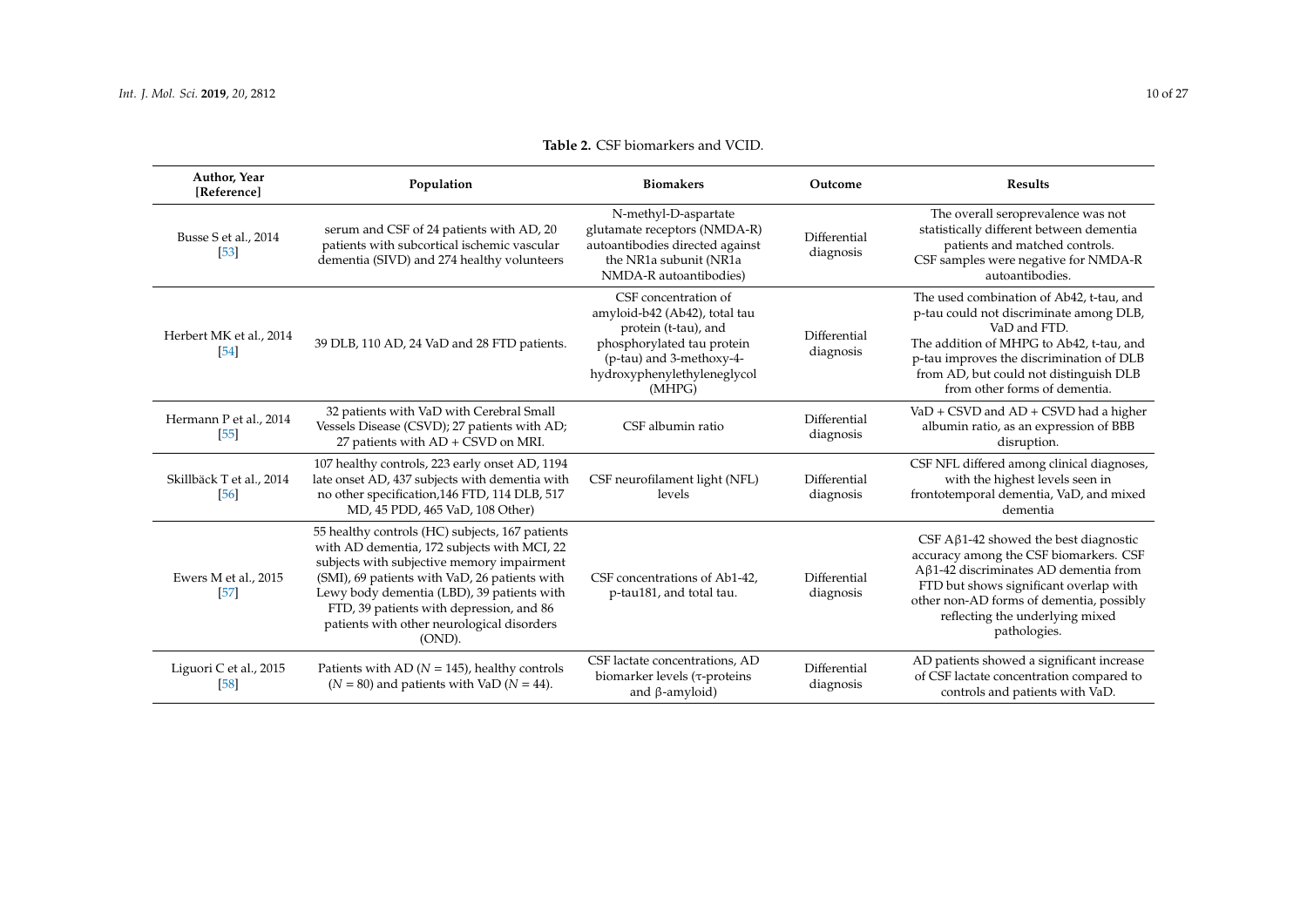| Author, Year<br>[Reference]        | Population                                                                                                                                                                                                                                                                                                                                         | <b>Biomakers</b>                                                                                                                                                                 | Outcome                   | <b>Results</b>                                                                                                                                                                                                                                                                  |
|------------------------------------|----------------------------------------------------------------------------------------------------------------------------------------------------------------------------------------------------------------------------------------------------------------------------------------------------------------------------------------------------|----------------------------------------------------------------------------------------------------------------------------------------------------------------------------------|---------------------------|---------------------------------------------------------------------------------------------------------------------------------------------------------------------------------------------------------------------------------------------------------------------------------|
| Busse S et al., 2014<br>$[53]$     | serum and CSF of 24 patients with AD, 20<br>patients with subcortical ischemic vascular<br>dementia (SIVD) and 274 healthy volunteers                                                                                                                                                                                                              | N-methyl-D-aspartate<br>glutamate receptors (NMDA-R)<br>autoantibodies directed against<br>the NR1a subunit (NR1a<br>NMDA-R autoantibodies)                                      | Differential<br>diagnosis | The overall seroprevalence was not<br>statistically different between dementia<br>patients and matched controls.<br>CSF samples were negative for NMDA-R<br>autoantibodies.                                                                                                     |
| Herbert MK et al., 2014<br>[54]    | 39 DLB, 110 AD, 24 VaD and 28 FTD patients.                                                                                                                                                                                                                                                                                                        | CSF concentration of<br>amyloid-b42 (Ab42), total tau<br>protein (t-tau), and<br>phosphorylated tau protein<br>(p-tau) and 3-methoxy-4-<br>hydroxyphenylethyleneglycol<br>(MHPG) | Differential<br>diagnosis | The used combination of Ab42, t-tau, and<br>p-tau could not discriminate among DLB,<br>VaD and FTD.<br>The addition of MHPG to Ab42, t-tau, and<br>p-tau improves the discrimination of DLB<br>from AD, but could not distinguish DLB<br>from other forms of dementia.          |
| Hermann P et al., 2014<br>$[55]$   | 32 patients with VaD with Cerebral Small<br>Vessels Disease (CSVD); 27 patients with AD;<br>27 patients with AD + CSVD on MRI.                                                                                                                                                                                                                     | CSF albumin ratio                                                                                                                                                                | Differential<br>diagnosis | VaD + CSVD and AD + CSVD had a higher<br>albumin ratio, as an expression of BBB<br>disruption.                                                                                                                                                                                  |
| Skillbäck T et al., 2014<br>$[56]$ | 107 healthy controls, 223 early onset AD, 1194<br>late onset AD, 437 subjects with dementia with<br>no other specification, 146 FTD, 114 DLB, 517<br>MD, 45 PDD, 465 VaD, 108 Other)                                                                                                                                                               | CSF neurofilament light (NFL)<br>levels                                                                                                                                          | Differential<br>diagnosis | CSF NFL differed among clinical diagnoses,<br>with the highest levels seen in<br>frontotemporal dementia, VaD, and mixed<br>dementia                                                                                                                                            |
| Ewers M et al., 2015<br>$[57]$     | 55 healthy controls (HC) subjects, 167 patients<br>with AD dementia, 172 subjects with MCI, 22<br>subjects with subjective memory impairment<br>(SMI), 69 patients with VaD, 26 patients with<br>Lewy body dementia (LBD), 39 patients with<br>FTD, 39 patients with depression, and 86<br>patients with other neurological disorders<br>$(OND)$ . | CSF concentrations of Ab1-42.<br>p-tau181, and total tau.                                                                                                                        | Differential<br>diagnosis | CSF $A\beta$ 1-42 showed the best diagnostic<br>accuracy among the CSF biomarkers. CSF<br>$A\beta$ 1-42 discriminates AD dementia from<br>FTD but shows significant overlap with<br>other non-AD forms of dementia, possibly<br>reflecting the underlying mixed<br>pathologies. |
| Liguori C et al., 2015<br>[58]     | Patients with AD ( $N = 145$ ), healthy controls<br>$(N = 80)$ and patients with VaD $(N = 44)$ .                                                                                                                                                                                                                                                  | CSF lactate concentrations, AD<br>biomarker levels (τ-proteins<br>and $\beta$ -amyloid)                                                                                          | Differential<br>diagnosis | AD patients showed a significant increase<br>of CSF lactate concentration compared to<br>controls and patients with VaD.                                                                                                                                                        |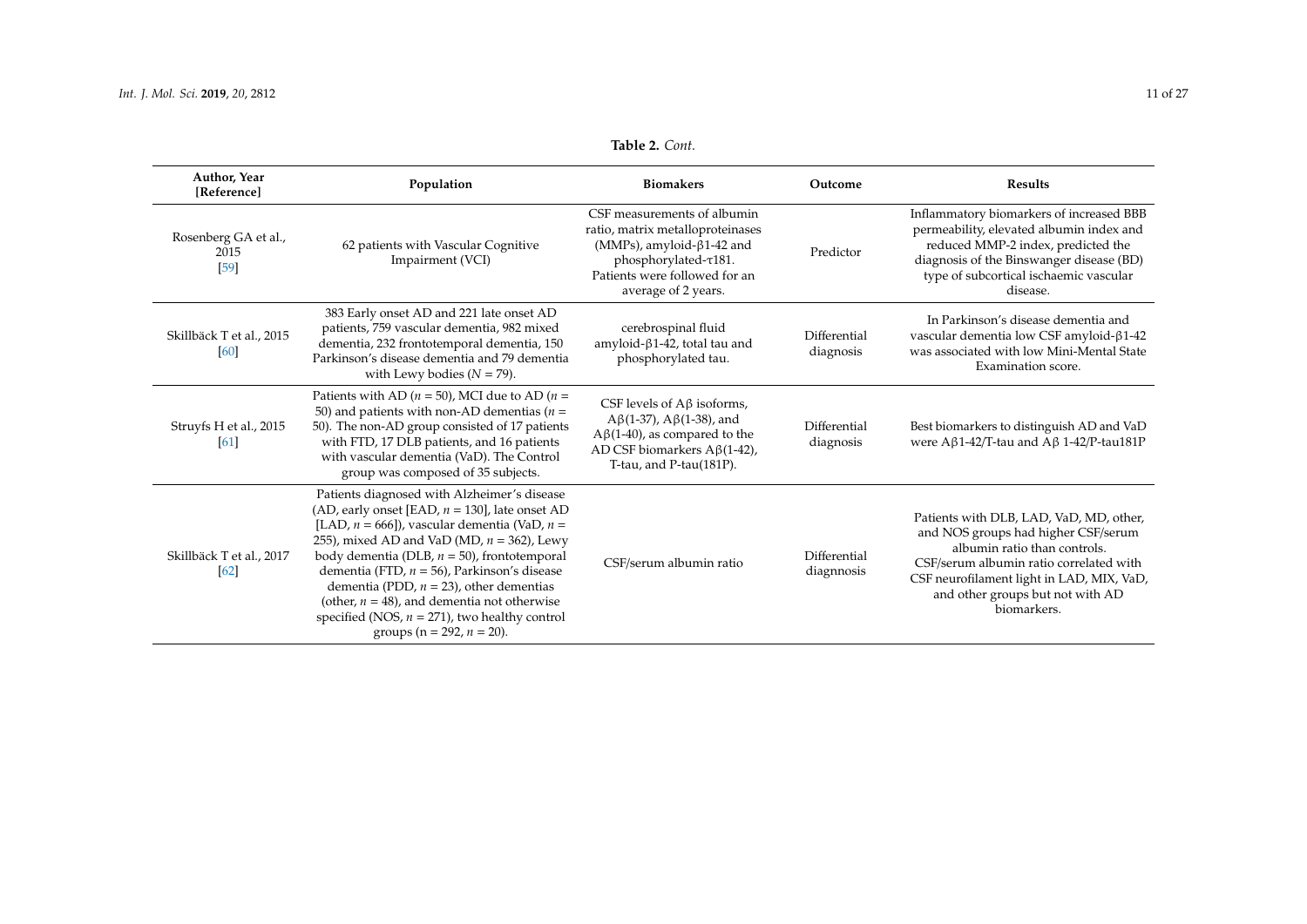| Author, Year<br>[Reference]            | Population                                                                                                                                                                                                                                                                                                                                                                                                                                                                                         | <b>Biomakers</b>                                                                                                                                                                    | Outcome                    | <b>Results</b>                                                                                                                                                                                                                                            |
|----------------------------------------|----------------------------------------------------------------------------------------------------------------------------------------------------------------------------------------------------------------------------------------------------------------------------------------------------------------------------------------------------------------------------------------------------------------------------------------------------------------------------------------------------|-------------------------------------------------------------------------------------------------------------------------------------------------------------------------------------|----------------------------|-----------------------------------------------------------------------------------------------------------------------------------------------------------------------------------------------------------------------------------------------------------|
| Rosenberg GA et al.,<br>2015<br>$[59]$ | 62 patients with Vascular Cognitive<br>Impairment (VCI)                                                                                                                                                                                                                                                                                                                                                                                                                                            | CSF measurements of albumin<br>ratio, matrix metalloproteinases<br>(MMPs), amyloid-β1-42 and<br>phosphorylated- $\tau$ 181.<br>Patients were followed for an<br>average of 2 years. | Predictor                  | Inflammatory biomarkers of increased BBB<br>permeability, elevated albumin index and<br>reduced MMP-2 index, predicted the<br>diagnosis of the Binswanger disease (BD)<br>type of subcortical ischaemic vascular<br>disease.                              |
| Skillbäck T et al., 2015<br>[60]       | 383 Early onset AD and 221 late onset AD<br>patients, 759 vascular dementia, 982 mixed<br>dementia, 232 frontotemporal dementia, 150<br>Parkinson's disease dementia and 79 dementia<br>with Lewy bodies ( $N = 79$ ).                                                                                                                                                                                                                                                                             | cerebrospinal fluid<br>amyloid- $\beta$ 1-42, total tau and<br>phosphorylated tau.                                                                                                  | Differential<br>diagnosis  | In Parkinson's disease dementia and<br>vascular dementia low CSF amyloid-β1-42<br>was associated with low Mini-Mental State<br>Examination score.                                                                                                         |
| Struyfs H et al., 2015<br>[61]         | Patients with AD ( $n = 50$ ), MCI due to AD ( $n =$<br>50) and patients with non-AD dementias ( $n =$<br>50). The non-AD group consisted of 17 patients<br>with FTD, 17 DLB patients, and 16 patients<br>with vascular dementia (VaD). The Control<br>group was composed of 35 subjects.                                                                                                                                                                                                          | CSF levels of $A\beta$ isoforms,<br>$A\beta(1-37)$ , $A\beta(1-38)$ , and<br>$A\beta(1-40)$ , as compared to the<br>AD CSF biomarkers $A\beta(1-42)$ ,<br>T-tau, and P-tau(181P).   | Differential<br>diagnosis  | Best biomarkers to distinguish AD and VaD<br>were A $\beta$ 1-42/T-tau and A $\beta$ 1-42/P-tau181P                                                                                                                                                       |
| Skillbäck T et al., 2017<br>[62]       | Patients diagnosed with Alzheimer's disease<br>(AD, early onset [EAD, $n = 130$ ], late onset AD<br>[LAD, $n = 666$ ]), vascular dementia (VaD, $n =$<br>255), mixed AD and VaD (MD, $n = 362$ ), Lewy<br>body dementia (DLB, $n = 50$ ), frontotemporal<br>dementia (FTD, $n = 56$ ), Parkinson's disease<br>dementia (PDD, $n = 23$ ), other dementias<br>(other, $n = 48$ ), and dementia not otherwise<br>specified (NOS, $n = 271$ ), two healthy control<br>groups ( $n = 292$ , $n = 20$ ). | CSF/serum albumin ratio                                                                                                                                                             | Differential<br>diagnnosis | Patients with DLB, LAD, VaD, MD, other,<br>and NOS groups had higher CSF/serum<br>albumin ratio than controls.<br>CSF/serum albumin ratio correlated with<br>CSF neurofilament light in LAD, MIX, VaD,<br>and other groups but not with AD<br>biomarkers. |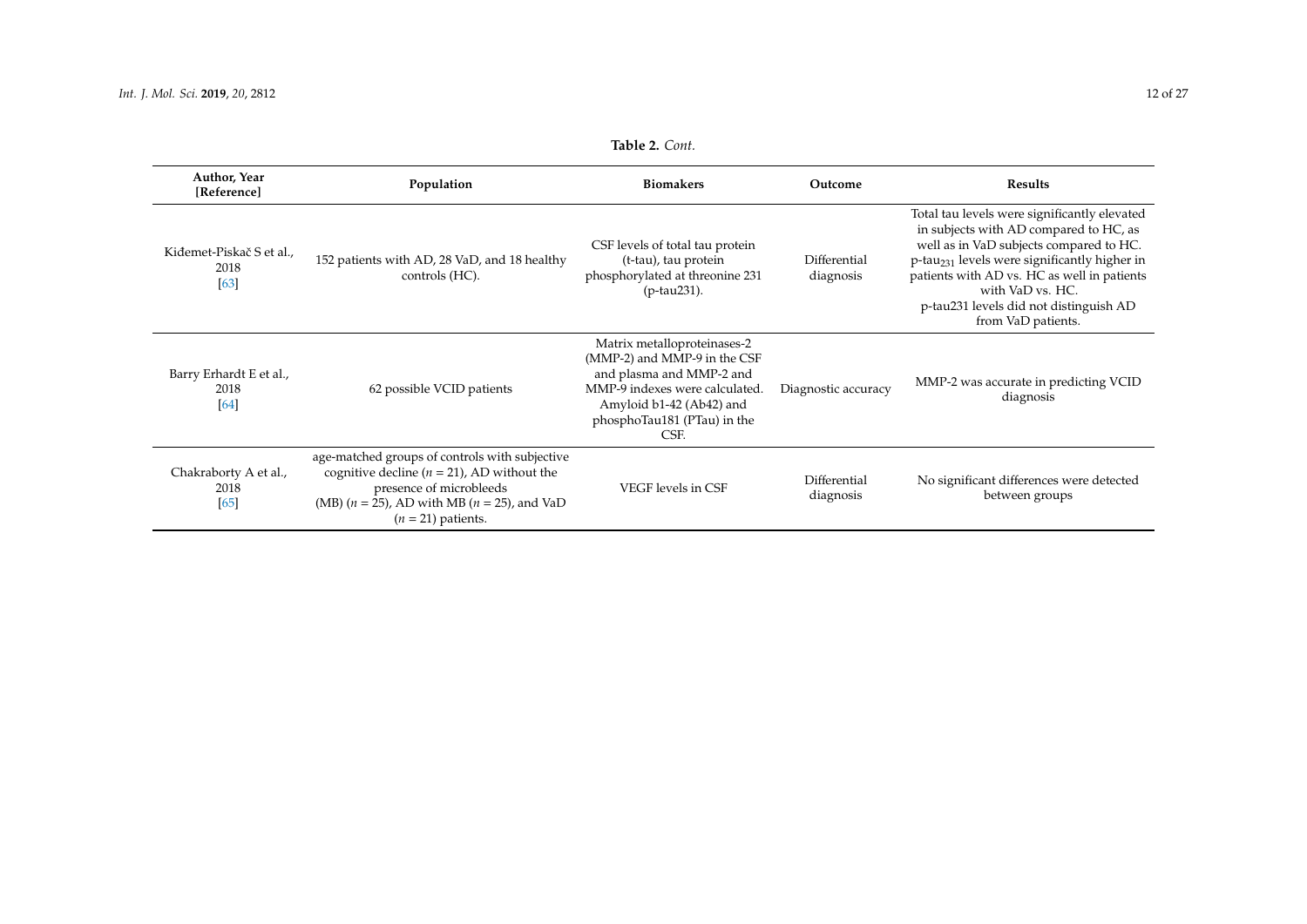<span id="page-11-0"></span>

| Author, Year<br>[Reference]              | Population                                                                                                                                                                                               | <b>Biomakers</b>                                                                                                                                                                             | Outcome                   | <b>Results</b>                                                                                                                                                                                                                                                                                                                   |
|------------------------------------------|----------------------------------------------------------------------------------------------------------------------------------------------------------------------------------------------------------|----------------------------------------------------------------------------------------------------------------------------------------------------------------------------------------------|---------------------------|----------------------------------------------------------------------------------------------------------------------------------------------------------------------------------------------------------------------------------------------------------------------------------------------------------------------------------|
| Kiđemet-Piskač S et al.,<br>2018<br>[63] | 152 patients with AD, 28 VaD, and 18 healthy<br>controls (HC).                                                                                                                                           | CSF levels of total tau protein<br>(t-tau), tau protein<br>phosphorylated at threonine 231<br>(p-tau231).                                                                                    | Differential<br>diagnosis | Total tau levels were significantly elevated<br>in subjects with AD compared to HC, as<br>well as in VaD subjects compared to HC.<br>p-tau <sub>231</sub> levels were significantly higher in<br>patients with AD vs. HC as well in patients<br>with VaD vs. HC.<br>p-tau231 levels did not distinguish AD<br>from VaD patients. |
| Barry Erhardt E et al.,<br>2018<br>[64]  | 62 possible VCID patients                                                                                                                                                                                | Matrix metalloproteinases-2<br>(MMP-2) and MMP-9 in the CSF<br>and plasma and MMP-2 and<br>MMP-9 indexes were calculated.<br>Amyloid b1-42 (Ab42) and<br>phosphoTau181 (PTau) in the<br>CSF. | Diagnostic accuracy       | MMP-2 was accurate in predicting VCID<br>diagnosis                                                                                                                                                                                                                                                                               |
| Chakraborty A et al.,<br>2018<br>[65]    | age-matched groups of controls with subjective<br>cognitive decline ( $n = 21$ ), AD without the<br>presence of microbleeds<br>(MB) $(n = 25)$ , AD with MB $(n = 25)$ , and VaD<br>$(n = 21)$ patients. | VEGF levels in CSF                                                                                                                                                                           | Differential<br>diagnosis | No significant differences were detected<br>between groups                                                                                                                                                                                                                                                                       |

**Table 2.** *Cont.*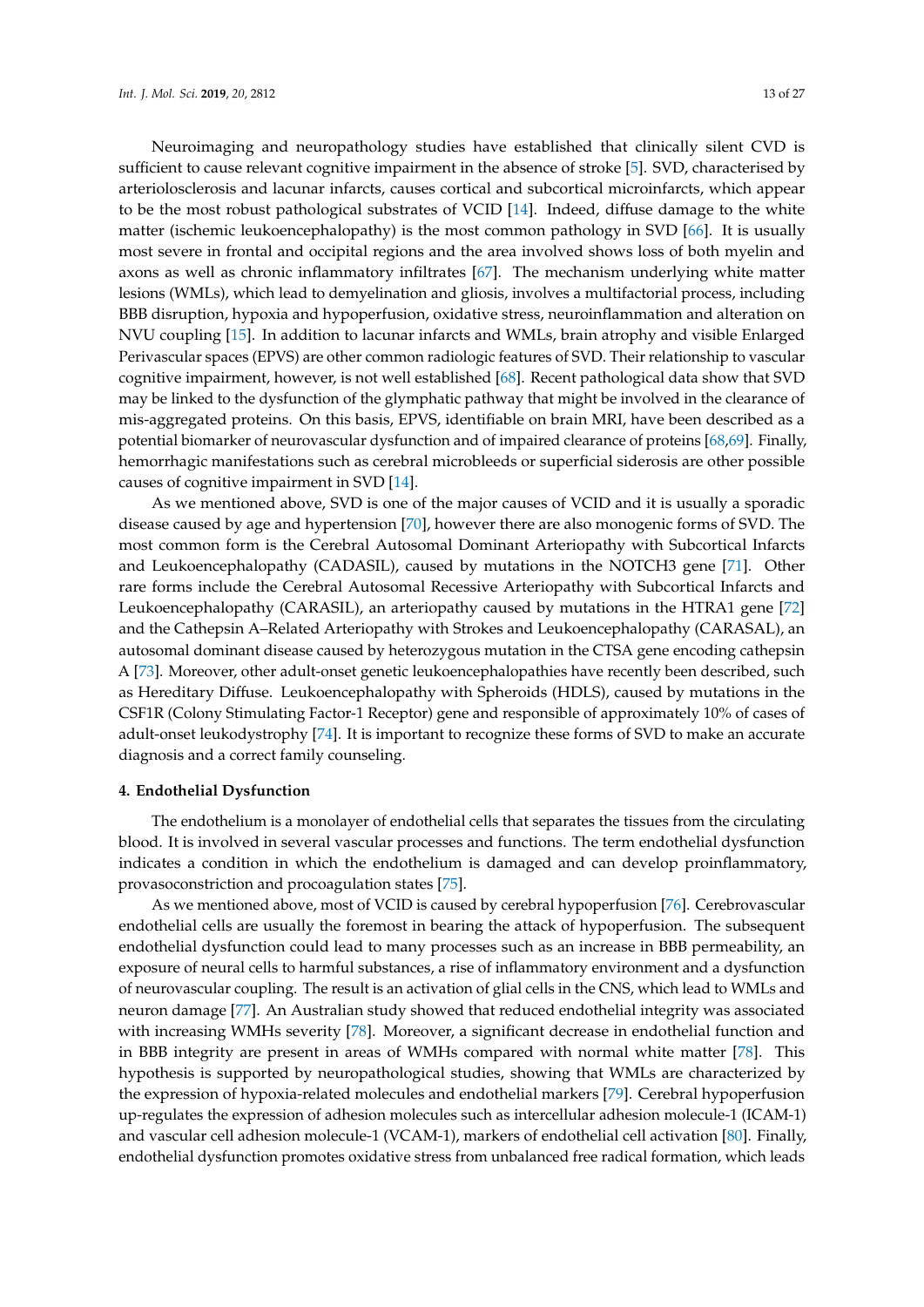Neuroimaging and neuropathology studies have established that clinically silent CVD is sufficient to cause relevant cognitive impairment in the absence of stroke [\[5\]](#page-19-4). SVD, characterised by arteriolosclerosis and lacunar infarcts, causes cortical and subcortical microinfarcts, which appear to be the most robust pathological substrates of VCID [\[14\]](#page-20-5). Indeed, diffuse damage to the white matter (ischemic leukoencephalopathy) is the most common pathology in SVD [\[66\]](#page-23-1). It is usually most severe in frontal and occipital regions and the area involved shows loss of both myelin and axons as well as chronic inflammatory infiltrates [\[67\]](#page-23-2). The mechanism underlying white matter lesions (WMLs), which lead to demyelination and gliosis, involves a multifactorial process, including BBB disruption, hypoxia and hypoperfusion, oxidative stress, neuroinflammation and alteration on NVU coupling [\[15\]](#page-20-6). In addition to lacunar infarcts and WMLs, brain atrophy and visible Enlarged Perivascular spaces (EPVS) are other common radiologic features of SVD. Their relationship to vascular cognitive impairment, however, is not well established [\[68\]](#page-23-3). Recent pathological data show that SVD may be linked to the dysfunction of the glymphatic pathway that might be involved in the clearance of mis-aggregated proteins. On this basis, EPVS, identifiable on brain MRI, have been described as a potential biomarker of neurovascular dysfunction and of impaired clearance of proteins [\[68,](#page-23-3)[69\]](#page-23-4). Finally, hemorrhagic manifestations such as cerebral microbleeds or superficial siderosis are other possible causes of cognitive impairment in SVD [\[14\]](#page-20-5).

As we mentioned above, SVD is one of the major causes of VCID and it is usually a sporadic disease caused by age and hypertension [\[70\]](#page-23-5), however there are also monogenic forms of SVD. The most common form is the Cerebral Autosomal Dominant Arteriopathy with Subcortical Infarcts and Leukoencephalopathy (CADASIL), caused by mutations in the NOTCH3 gene [\[71\]](#page-23-6). Other rare forms include the Cerebral Autosomal Recessive Arteriopathy with Subcortical Infarcts and Leukoencephalopathy (CARASIL), an arteriopathy caused by mutations in the HTRA1 gene [\[72\]](#page-23-7) and the Cathepsin A–Related Arteriopathy with Strokes and Leukoencephalopathy (CARASAL), an autosomal dominant disease caused by heterozygous mutation in the CTSA gene encoding cathepsin A [\[73\]](#page-23-8). Moreover, other adult-onset genetic leukoencephalopathies have recently been described, such as Hereditary Diffuse. Leukoencephalopathy with Spheroids (HDLS), caused by mutations in the CSF1R (Colony Stimulating Factor-1 Receptor) gene and responsible of approximately 10% of cases of adult-onset leukodystrophy [\[74\]](#page-23-9). It is important to recognize these forms of SVD to make an accurate diagnosis and a correct family counseling.

#### **4. Endothelial Dysfunction**

The endothelium is a monolayer of endothelial cells that separates the tissues from the circulating blood. It is involved in several vascular processes and functions. The term endothelial dysfunction indicates a condition in which the endothelium is damaged and can develop proinflammatory, provasoconstriction and procoagulation states [\[75\]](#page-23-10).

As we mentioned above, most of VCID is caused by cerebral hypoperfusion [\[76\]](#page-23-11). Cerebrovascular endothelial cells are usually the foremost in bearing the attack of hypoperfusion. The subsequent endothelial dysfunction could lead to many processes such as an increase in BBB permeability, an exposure of neural cells to harmful substances, a rise of inflammatory environment and a dysfunction of neurovascular coupling. The result is an activation of glial cells in the CNS, which lead to WMLs and neuron damage [\[77\]](#page-23-12). An Australian study showed that reduced endothelial integrity was associated with increasing WMHs severity [\[78\]](#page-23-13). Moreover, a significant decrease in endothelial function and in BBB integrity are present in areas of WMHs compared with normal white matter [\[78\]](#page-23-13). This hypothesis is supported by neuropathological studies, showing that WMLs are characterized by the expression of hypoxia-related molecules and endothelial markers [\[79\]](#page-23-14). Cerebral hypoperfusion up-regulates the expression of adhesion molecules such as intercellular adhesion molecule-1 (ICAM-1) and vascular cell adhesion molecule-1 (VCAM-1), markers of endothelial cell activation [\[80\]](#page-23-15). Finally, endothelial dysfunction promotes oxidative stress from unbalanced free radical formation, which leads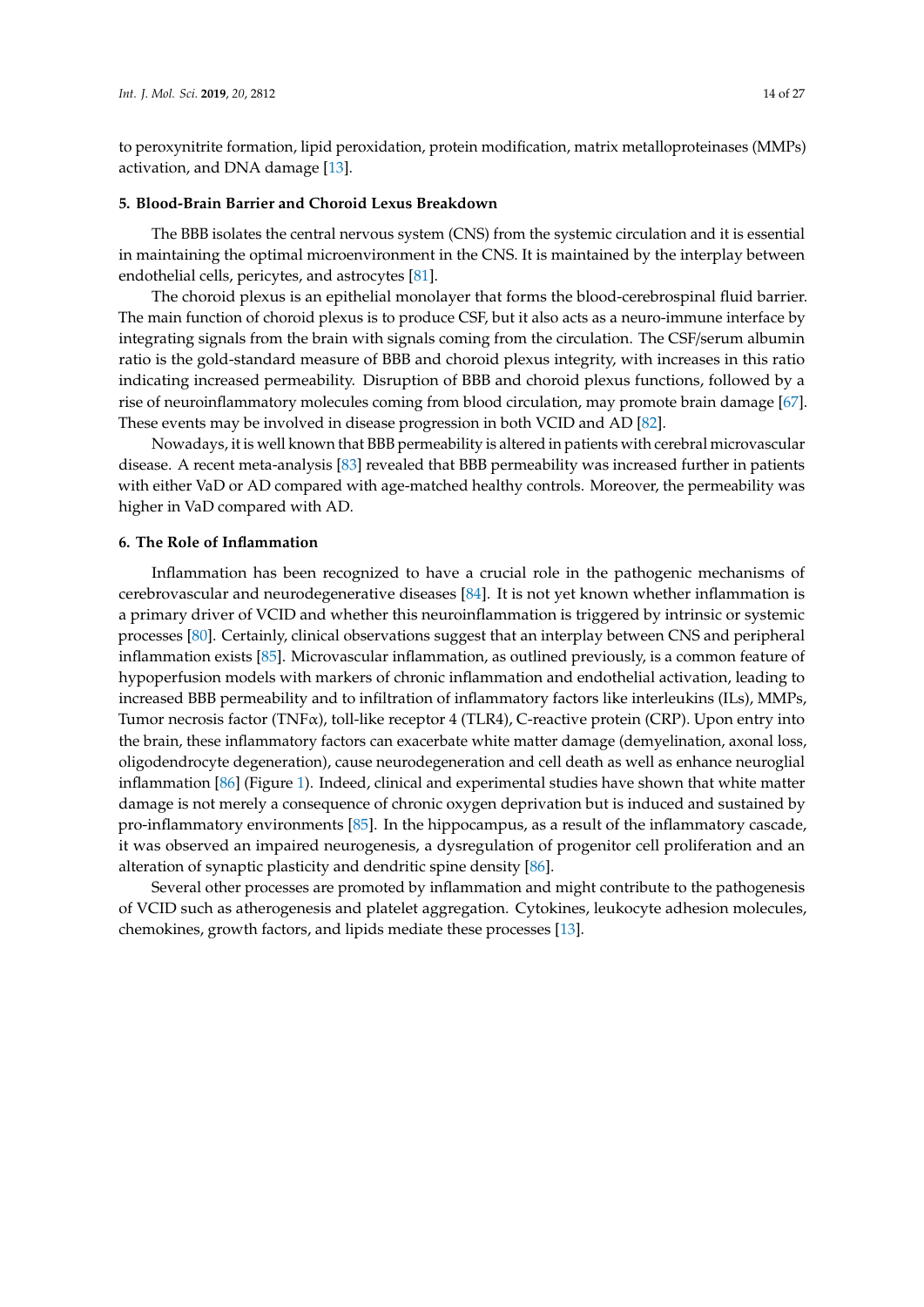to peroxynitrite formation, lipid peroxidation, protein modification, matrix metalloproteinases (MMPs) activation, and DNA damage [\[13\]](#page-20-4).

#### **5. Blood-Brain Barrier and Choroid Lexus Breakdown**

The BBB isolates the central nervous system (CNS) from the systemic circulation and it is essential in maintaining the optimal microenvironment in the CNS. It is maintained by the interplay between endothelial cells, pericytes, and astrocytes [\[81\]](#page-23-16).

The choroid plexus is an epithelial monolayer that forms the blood-cerebrospinal fluid barrier. The main function of choroid plexus is to produce CSF, but it also acts as a neuro-immune interface by integrating signals from the brain with signals coming from the circulation. The CSF/serum albumin ratio is the gold-standard measure of BBB and choroid plexus integrity, with increases in this ratio indicating increased permeability. Disruption of BBB and choroid plexus functions, followed by a rise of neuroinflammatory molecules coming from blood circulation, may promote brain damage [\[67\]](#page-23-2). These events may be involved in disease progression in both VCID and AD [\[82\]](#page-23-17).

Nowadays, it is well known that BBB permeability is altered in patients with cerebral microvascular disease. A recent meta-analysis [\[83\]](#page-24-0) revealed that BBB permeability was increased further in patients with either VaD or AD compared with age-matched healthy controls. Moreover, the permeability was higher in VaD compared with AD.

#### **6. The Role of Inflammation**

Inflammation has been recognized to have a crucial role in the pathogenic mechanisms of cerebrovascular and neurodegenerative diseases [\[84\]](#page-24-1). It is not yet known whether inflammation is a primary driver of VCID and whether this neuroinflammation is triggered by intrinsic or systemic processes [\[80\]](#page-23-15). Certainly, clinical observations suggest that an interplay between CNS and peripheral inflammation exists [\[85\]](#page-24-2). Microvascular inflammation, as outlined previously, is a common feature of hypoperfusion models with markers of chronic inflammation and endothelial activation, leading to increased BBB permeability and to infiltration of inflammatory factors like interleukins (ILs), MMPs, Tumor necrosis factor (TNFα), toll-like receptor 4 (TLR4), C-reactive protein (CRP). Upon entry into the brain, these inflammatory factors can exacerbate white matter damage (demyelination, axonal loss, oligodendrocyte degeneration), cause neurodegeneration and cell death as well as enhance neuroglial inflammation [\[86\]](#page-24-3) (Figure [1\)](#page-14-0). Indeed, clinical and experimental studies have shown that white matter damage is not merely a consequence of chronic oxygen deprivation but is induced and sustained by pro-inflammatory environments [\[85\]](#page-24-2). In the hippocampus, as a result of the inflammatory cascade, it was observed an impaired neurogenesis, a dysregulation of progenitor cell proliferation and an alteration of synaptic plasticity and dendritic spine density [\[86\]](#page-24-3).

Several other processes are promoted by inflammation and might contribute to the pathogenesis of VCID such as atherogenesis and platelet aggregation. Cytokines, leukocyte adhesion molecules, chemokines, growth factors, and lipids mediate these processes [\[13\]](#page-20-4).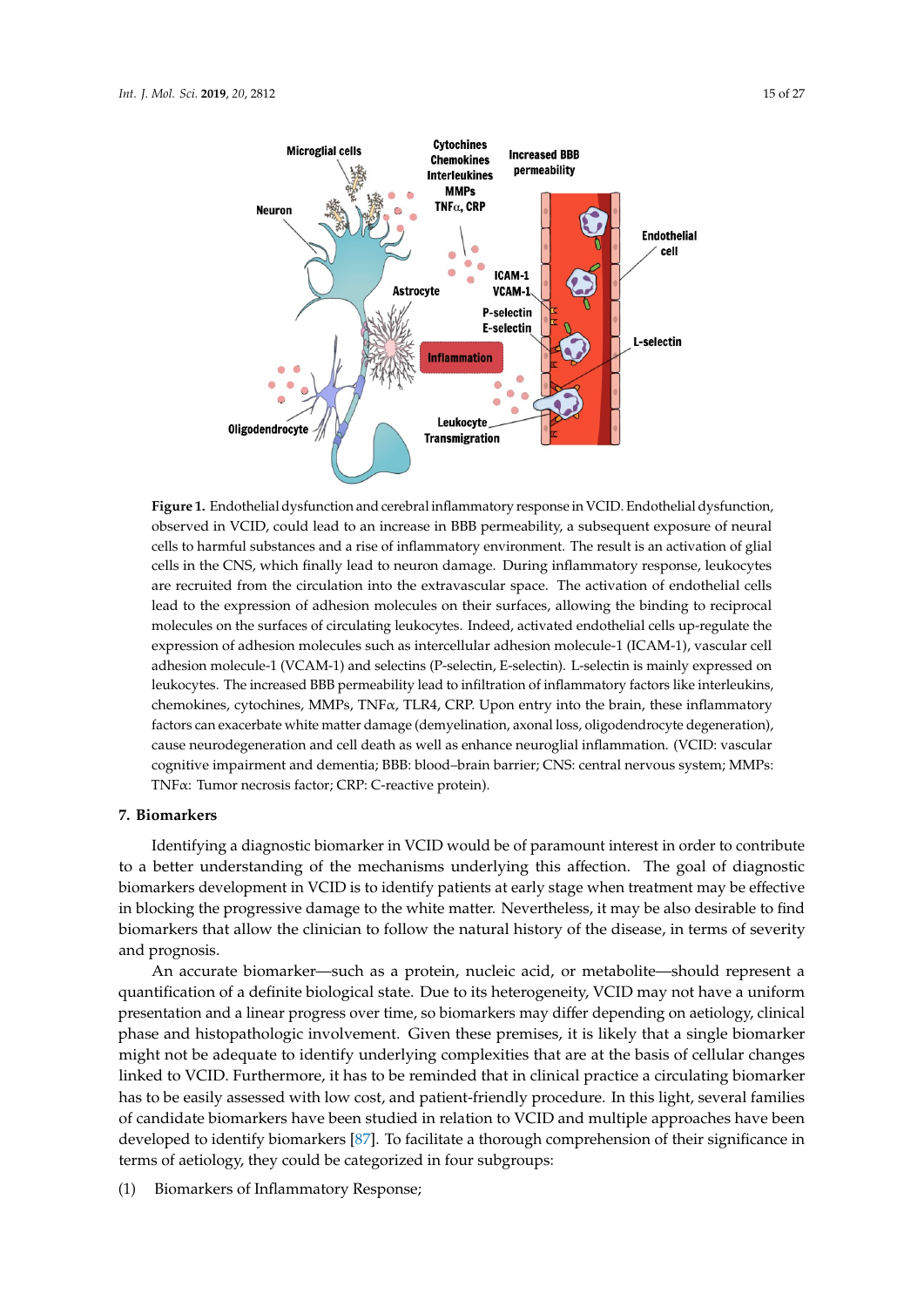<span id="page-14-0"></span>

cells in the CNS, which finally lead to neuron damage. During inflammatory response, leukocytes are recruited from the circulation into the extravascular space. The activation of endothelial cells lead to the expression of adhesion molecules on their surfaces, allowing the binding to reciprocal molecules on the surfaces of circulating leukocytes. Indeed, activated endothelial cells up-regulate the expression of adhesion molecules such as intercellular adhesion molecule-1 (ICAM-1), vascular cell adhesion molecule-1 (VCAM-1) and selectins (P-selectin, E-selectin). L-selectin is mainly expressed on leukocytes. The increased BBB permeability lead to infiltration of inflammatory factors like interleukins, chemokines, cytochines, MMPs, TNFα, TLR4, CRP. Upon entry into the brain, these inflammatory factors can exacerbate white matter damage (demyelination, axonal loss, oligodendrocyte degeneration), cause neurodegeneration and cell death as well as enhance neuroglial inflammation. (VCID: vascular cognitive impairment and dementia; BBB: blood-brain barrier; CNS: central nervous system; MMPs: TNFα: Tumor necrosis factor; CRP: C-reactive protein). **Figure 1.** Endothelial dysfunction and cerebral inflammatory response in VCID. Endothelial dysfunction, observed in VCID, could lead to an increase in BBB permeability, a subsequent exposure of neural cells to harmful substances and a rise of inflammatory environment. The result is an activation of glial

#### oligodendrocyte degeneration), cause neurodegeneration and cell death as well as enhance neuroglial  $\sum_{i=1}^{n}$ **7. Biomarkers**

Identifying a diagnostic biomarker in VCID would be of paramount interest in order to contribute biomarkers development in VCID is to identify patients at early stage when treatment may be effective in blocking the progressive damage to the white matter. Nevertheless, it may be also desirable to find biomarkers that allow the clinician to follow the natural history of the disease, in terms of severity to a better understanding of the mechanisms underlying this affection. The goal of diagnostic and prognosis.

An accurate biomarker—such as a protein, nucleic acid, or metabolite—should represent a quantification of a definite biological state. Due to its heterogeneity, VCID may not have a uniform presentation and a linear progress over time, so biomarkers may differ depending on aetiology, clinical phase and histopathologic involvement. Given these premises, it is likely that a single biomarker might not be adequate to identify underlying complexities that are at the basis of cellular changes linked to VCID. Furthermore, it has to be reminded that in clinical practice a circulating biomarker has to be easily assessed with low cost, and patient-friendly procedure. In this light, several families of candidate biomarkers have been studied in relation to VCID and multiple approaches have been developed to identify biomarkers [87]. To facilitate a thorough comprehension of their significance in terms of aetiology, they could be categorized in four subgroups:

(1) Biomarkers of Inflammatory Response; it is likely that a single premise  $\sum_{i=1}^{n}$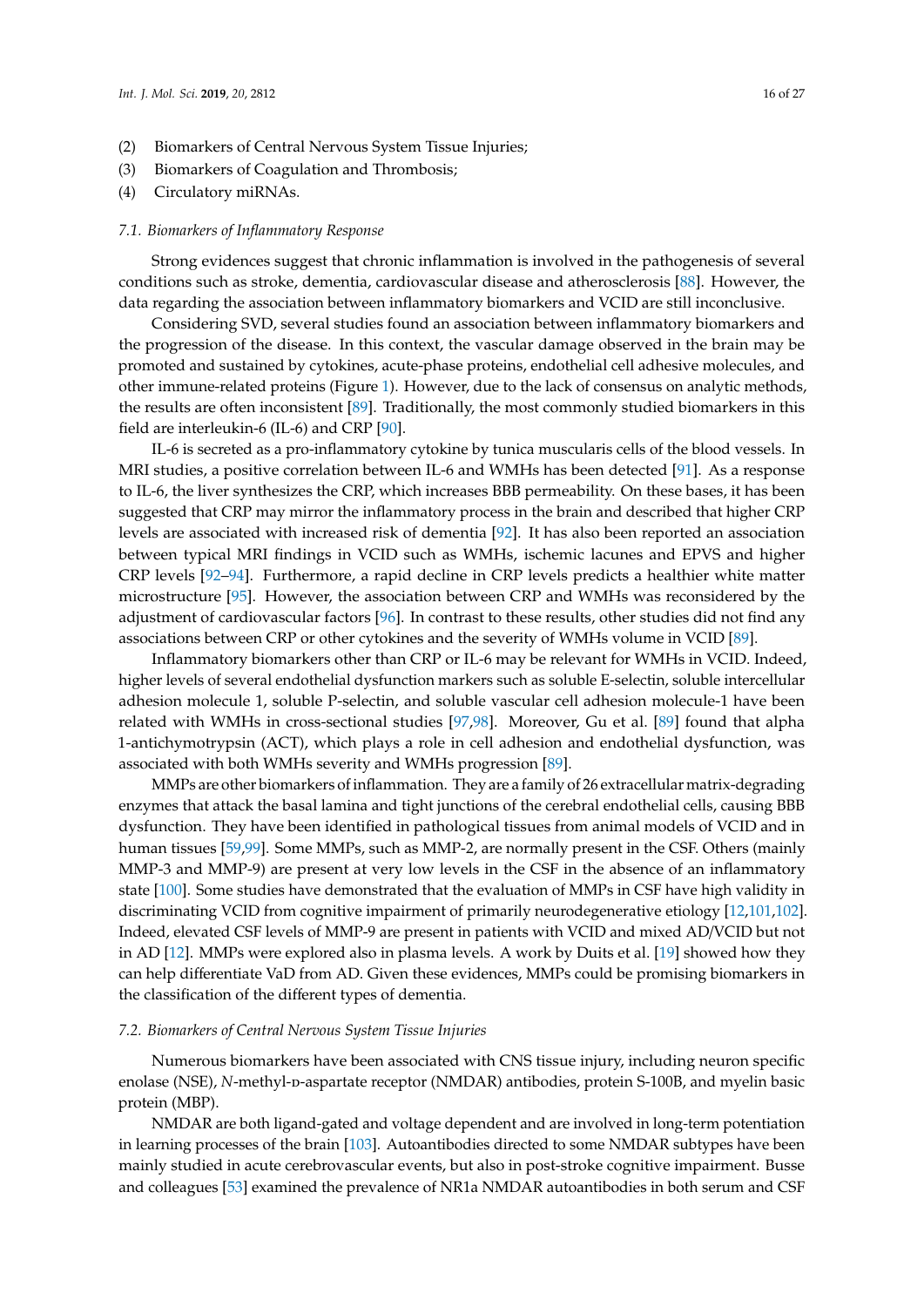- (2) Biomarkers of Central Nervous System Tissue Injuries;
- (3) Biomarkers of Coagulation and Thrombosis;
- (4) Circulatory miRNAs.

#### *7.1. Biomarkers of Inflammatory Response*

Strong evidences suggest that chronic inflammation is involved in the pathogenesis of several conditions such as stroke, dementia, cardiovascular disease and atherosclerosis [\[88\]](#page-24-5). However, the data regarding the association between inflammatory biomarkers and VCID are still inconclusive.

Considering SVD, several studies found an association between inflammatory biomarkers and the progression of the disease. In this context, the vascular damage observed in the brain may be promoted and sustained by cytokines, acute-phase proteins, endothelial cell adhesive molecules, and other immune-related proteins (Figure [1\)](#page-14-0). However, due to the lack of consensus on analytic methods, the results are often inconsistent [\[89\]](#page-24-6). Traditionally, the most commonly studied biomarkers in this field are interleukin-6 (IL-6) and CRP [\[90\]](#page-24-7).

IL-6 is secreted as a pro-inflammatory cytokine by tunica muscularis cells of the blood vessels. In MRI studies, a positive correlation between IL-6 and WMHs has been detected [\[91\]](#page-24-8). As a response to IL-6, the liver synthesizes the CRP, which increases BBB permeability. On these bases, it has been suggested that CRP may mirror the inflammatory process in the brain and described that higher CRP levels are associated with increased risk of dementia [\[92\]](#page-24-9). It has also been reported an association between typical MRI findings in VCID such as WMHs, ischemic lacunes and EPVS and higher CRP levels [\[92–](#page-24-9)[94\]](#page-24-10). Furthermore, a rapid decline in CRP levels predicts a healthier white matter microstructure [\[95\]](#page-24-11). However, the association between CRP and WMHs was reconsidered by the adjustment of cardiovascular factors [\[96\]](#page-24-12). In contrast to these results, other studies did not find any associations between CRP or other cytokines and the severity of WMHs volume in VCID [\[89\]](#page-24-6).

Inflammatory biomarkers other than CRP or IL-6 may be relevant for WMHs in VCID. Indeed, higher levels of several endothelial dysfunction markers such as soluble E-selectin, soluble intercellular adhesion molecule 1, soluble P-selectin, and soluble vascular cell adhesion molecule-1 have been related with WMHs in cross-sectional studies [\[97](#page-24-13)[,98\]](#page-24-14). Moreover, Gu et al. [\[89\]](#page-24-6) found that alpha 1-antichymotrypsin (ACT), which plays a role in cell adhesion and endothelial dysfunction, was associated with both WMHs severity and WMHs progression [\[89\]](#page-24-6).

MMPs are other biomarkers of inflammation. They are a family of 26 extracellular matrix-degrading enzymes that attack the basal lamina and tight junctions of the cerebral endothelial cells, causing BBB dysfunction. They have been identified in pathological tissues from animal models of VCID and in human tissues [\[59](#page-22-17)[,99\]](#page-24-15). Some MMPs, such as MMP-2, are normally present in the CSF. Others (mainly MMP-3 and MMP-9) are present at very low levels in the CSF in the absence of an inflammatory state [\[100\]](#page-24-16). Some studies have demonstrated that the evaluation of MMPs in CSF have high validity in discriminating VCID from cognitive impairment of primarily neurodegenerative etiology [\[12](#page-20-3)[,101](#page-24-17)[,102\]](#page-24-18). Indeed, elevated CSF levels of MMP-9 are present in patients with VCID and mixed AD/VCID but not in AD [\[12\]](#page-20-3). MMPs were explored also in plasma levels. A work by Duits et al. [\[19\]](#page-20-20) showed how they can help differentiate VaD from AD. Given these evidences, MMPs could be promising biomarkers in the classification of the different types of dementia.

#### *7.2. Biomarkers of Central Nervous System Tissue Injuries*

Numerous biomarkers have been associated with CNS tissue injury, including neuron specific enolase (NSE), *N*-methyl-p-aspartate receptor (NMDAR) antibodies, protein S-100B, and myelin basic protein (MBP).

NMDAR are both ligand-gated and voltage dependent and are involved in long-term potentiation in learning processes of the brain [\[103\]](#page-25-0). Autoantibodies directed to some NMDAR subtypes have been mainly studied in acute cerebrovascular events, but also in post-stroke cognitive impairment. Busse and colleagues [\[53\]](#page-22-18) examined the prevalence of NR1a NMDAR autoantibodies in both serum and CSF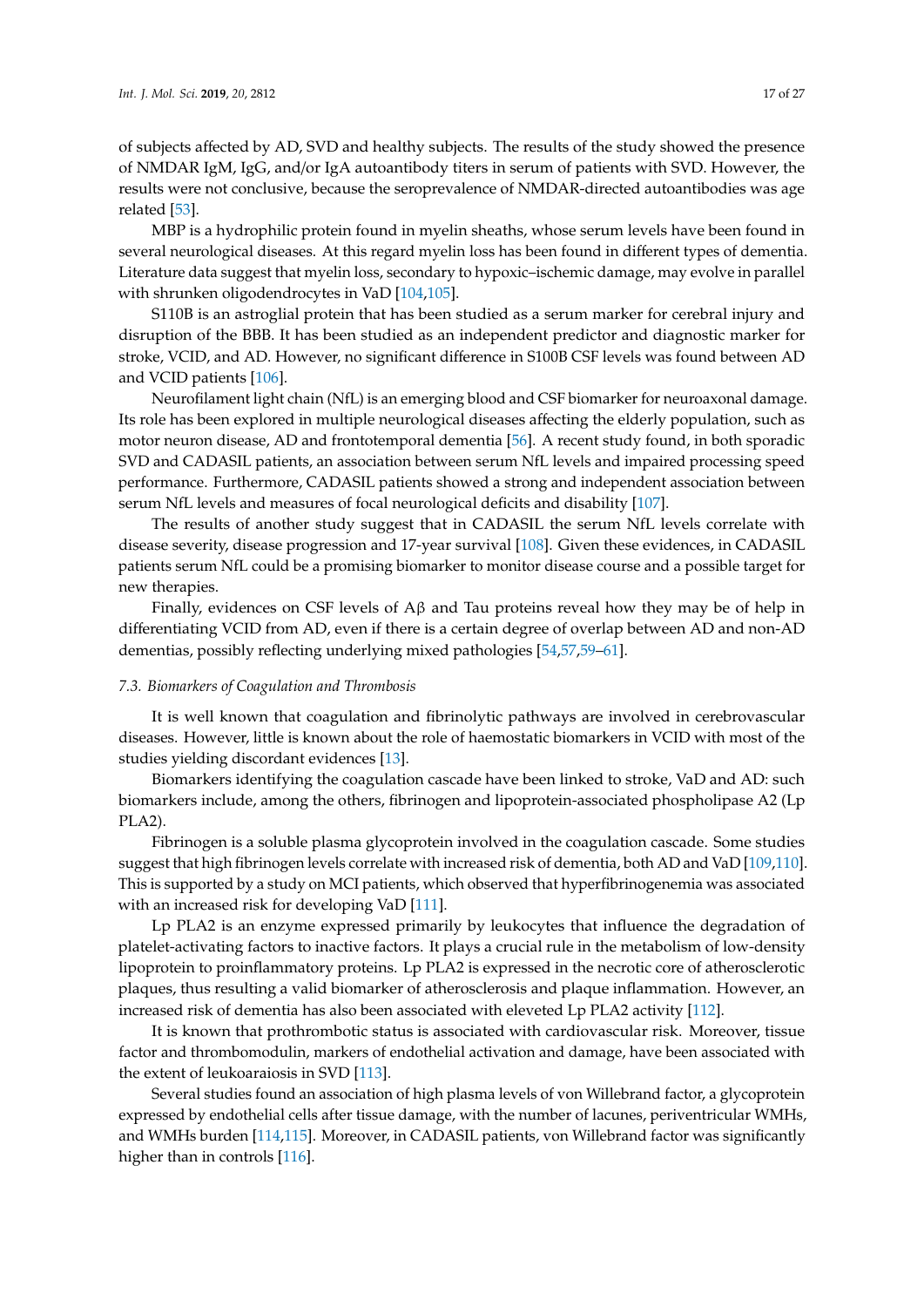of subjects affected by AD, SVD and healthy subjects. The results of the study showed the presence of NMDAR IgM, IgG, and/or IgA autoantibody titers in serum of patients with SVD. However, the results were not conclusive, because the seroprevalence of NMDAR-directed autoantibodies was age related [\[53\]](#page-22-18).

MBP is a hydrophilic protein found in myelin sheaths, whose serum levels have been found in several neurological diseases. At this regard myelin loss has been found in different types of dementia. Literature data suggest that myelin loss, secondary to hypoxic–ischemic damage, may evolve in parallel with shrunken oligodendrocytes in VaD [\[104](#page-25-1)[,105\]](#page-25-2).

S110B is an astroglial protein that has been studied as a serum marker for cerebral injury and disruption of the BBB. It has been studied as an independent predictor and diagnostic marker for stroke, VCID, and AD. However, no significant difference in S100B CSF levels was found between AD and VCID patients [\[106\]](#page-25-3).

Neurofilament light chain (NfL) is an emerging blood and CSF biomarker for neuroaxonal damage. Its role has been explored in multiple neurological diseases affecting the elderly population, such as motor neuron disease, AD and frontotemporal dementia [\[56\]](#page-22-19). A recent study found, in both sporadic SVD and CADASIL patients, an association between serum NfL levels and impaired processing speed performance. Furthermore, CADASIL patients showed a strong and independent association between serum NfL levels and measures of focal neurological deficits and disability [\[107\]](#page-25-4).

The results of another study suggest that in CADASIL the serum NfL levels correlate with disease severity, disease progression and 17-year survival [\[108\]](#page-25-5). Given these evidences, in CADASIL patients serum NfL could be a promising biomarker to monitor disease course and a possible target for new therapies.

Finally, evidences on CSF levels of  $Aβ$  and Tau proteins reveal how they may be of help in differentiating VCID from AD, even if there is a certain degree of overlap between AD and non-AD dementias, possibly reflecting underlying mixed pathologies [\[54,](#page-22-20)[57](#page-22-21)[,59–](#page-22-17)[61\]](#page-22-22).

#### *7.3. Biomarkers of Coagulation and Thrombosis*

It is well known that coagulation and fibrinolytic pathways are involved in cerebrovascular diseases. However, little is known about the role of haemostatic biomarkers in VCID with most of the studies yielding discordant evidences [\[13\]](#page-20-4).

Biomarkers identifying the coagulation cascade have been linked to stroke, VaD and AD: such biomarkers include, among the others, fibrinogen and lipoprotein-associated phospholipase A2 (Lp PLA2).

Fibrinogen is a soluble plasma glycoprotein involved in the coagulation cascade. Some studies suggest that high fibrinogen levels correlate with increased risk of dementia, both AD and VaD [\[109](#page-25-6)[,110\]](#page-25-7). This is supported by a study on MCI patients, which observed that hyperfibrinogenemia was associated with an increased risk for developing VaD [\[111\]](#page-25-8).

Lp PLA2 is an enzyme expressed primarily by leukocytes that influence the degradation of platelet-activating factors to inactive factors. It plays a crucial rule in the metabolism of low-density lipoprotein to proinflammatory proteins. Lp PLA2 is expressed in the necrotic core of atherosclerotic plaques, thus resulting a valid biomarker of atherosclerosis and plaque inflammation. However, an increased risk of dementia has also been associated with eleveted Lp PLA2 activity [\[112\]](#page-25-9).

It is known that prothrombotic status is associated with cardiovascular risk. Moreover, tissue factor and thrombomodulin, markers of endothelial activation and damage, have been associated with the extent of leukoaraiosis in SVD [\[113\]](#page-25-10).

Several studies found an association of high plasma levels of von Willebrand factor, a glycoprotein expressed by endothelial cells after tissue damage, with the number of lacunes, periventricular WMHs, and WMHs burden [\[114,](#page-25-11)[115\]](#page-25-12). Moreover, in CADASIL patients, von Willebrand factor was significantly higher than in controls [\[116\]](#page-25-13).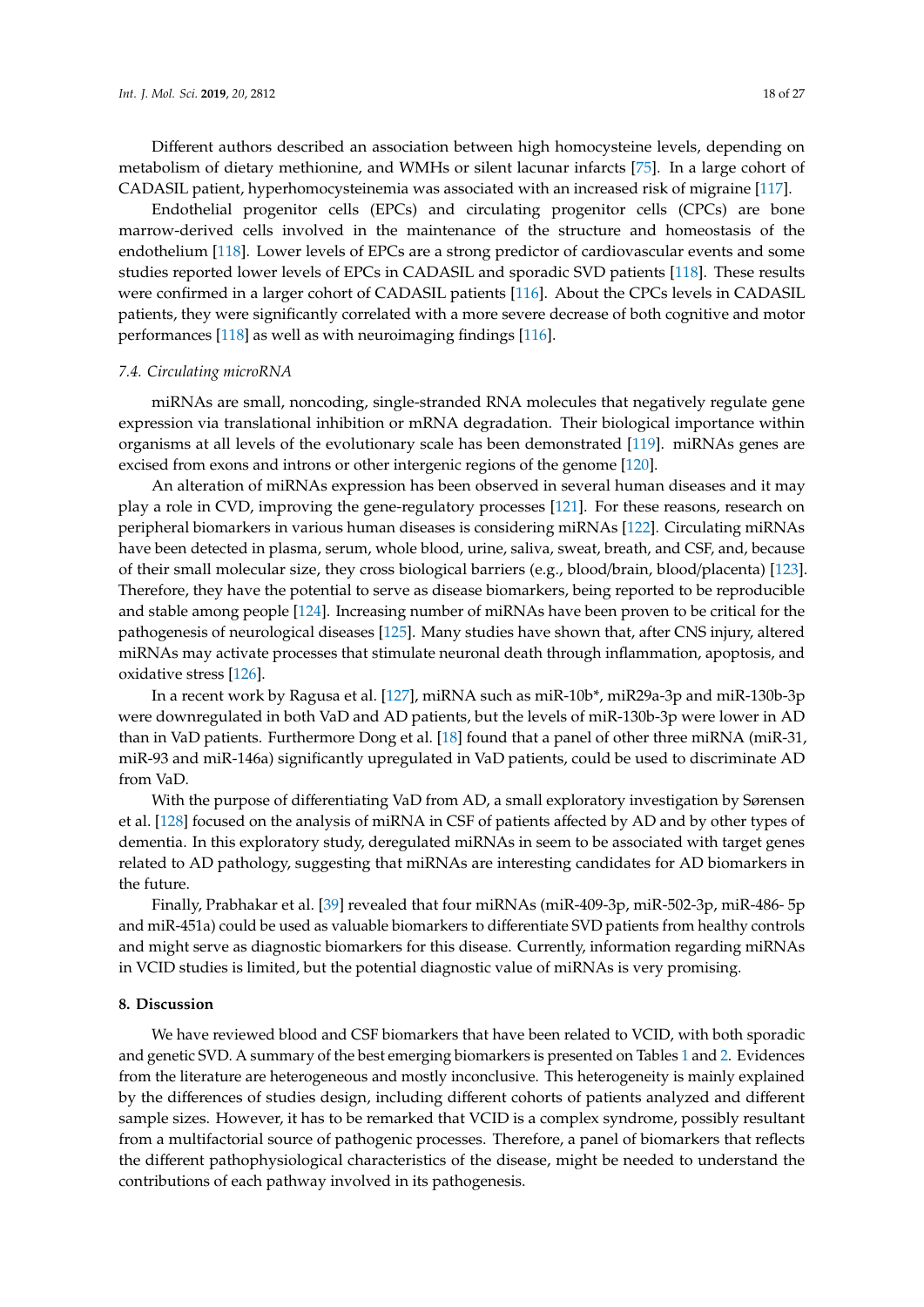Different authors described an association between high homocysteine levels, depending on metabolism of dietary methionine, and WMHs or silent lacunar infarcts [\[75\]](#page-23-10). In a large cohort of CADASIL patient, hyperhomocysteinemia was associated with an increased risk of migraine [\[117\]](#page-25-14).

Endothelial progenitor cells (EPCs) and circulating progenitor cells (CPCs) are bone marrow-derived cells involved in the maintenance of the structure and homeostasis of the endothelium [\[118\]](#page-25-15). Lower levels of EPCs are a strong predictor of cardiovascular events and some studies reported lower levels of EPCs in CADASIL and sporadic SVD patients [\[118\]](#page-25-15). These results were confirmed in a larger cohort of CADASIL patients [\[116\]](#page-25-13). About the CPCs levels in CADASIL patients, they were significantly correlated with a more severe decrease of both cognitive and motor performances [\[118\]](#page-25-15) as well as with neuroimaging findings [\[116\]](#page-25-13).

#### *7.4. Circulating microRNA*

miRNAs are small, noncoding, single-stranded RNA molecules that negatively regulate gene expression via translational inhibition or mRNA degradation. Their biological importance within organisms at all levels of the evolutionary scale has been demonstrated [\[119\]](#page-25-16). miRNAs genes are excised from exons and introns or other intergenic regions of the genome [\[120\]](#page-25-17).

An alteration of miRNAs expression has been observed in several human diseases and it may play a role in CVD, improving the gene-regulatory processes [\[121\]](#page-25-18). For these reasons, research on peripheral biomarkers in various human diseases is considering miRNAs [\[122\]](#page-25-19). Circulating miRNAs have been detected in plasma, serum, whole blood, urine, saliva, sweat, breath, and CSF, and, because of their small molecular size, they cross biological barriers (e.g., blood/brain, blood/placenta) [\[123\]](#page-26-0). Therefore, they have the potential to serve as disease biomarkers, being reported to be reproducible and stable among people [\[124\]](#page-26-1). Increasing number of miRNAs have been proven to be critical for the pathogenesis of neurological diseases [\[125\]](#page-26-2). Many studies have shown that, after CNS injury, altered miRNAs may activate processes that stimulate neuronal death through inflammation, apoptosis, and oxidative stress [\[126\]](#page-26-3).

In a recent work by Ragusa et al. [\[127\]](#page-26-4), miRNA such as miR-10b\*, miR29a-3p and miR-130b-3p were downregulated in both VaD and AD patients, but the levels of miR-130b-3p were lower in AD than in VaD patients. Furthermore Dong et al. [\[18\]](#page-20-21) found that a panel of other three miRNA (miR-31, miR-93 and miR-146a) significantly upregulated in VaD patients, could be used to discriminate AD from VaD.

With the purpose of differentiating VaD from AD, a small exploratory investigation by Sørensen et al. [\[128\]](#page-26-5) focused on the analysis of miRNA in CSF of patients affected by AD and by other types of dementia. In this exploratory study, deregulated miRNAs in seem to be associated with target genes related to AD pathology, suggesting that miRNAs are interesting candidates for AD biomarkers in the future.

Finally, Prabhakar et al. [\[39\]](#page-21-19) revealed that four miRNAs (miR-409-3p, miR-502-3p, miR-486- 5p and miR-451a) could be used as valuable biomarkers to differentiate SVD patients from healthy controls and might serve as diagnostic biomarkers for this disease. Currently, information regarding miRNAs in VCID studies is limited, but the potential diagnostic value of miRNAs is very promising.

#### **8. Discussion**

We have reviewed blood and CSF biomarkers that have been related to VCID, with both sporadic and genetic SVD. A summary of the best emerging biomarkers is presented on Tables [1](#page-8-0) and [2.](#page-11-0) Evidences from the literature are heterogeneous and mostly inconclusive. This heterogeneity is mainly explained by the differences of studies design, including different cohorts of patients analyzed and different sample sizes. However, it has to be remarked that VCID is a complex syndrome, possibly resultant from a multifactorial source of pathogenic processes. Therefore, a panel of biomarkers that reflects the different pathophysiological characteristics of the disease, might be needed to understand the contributions of each pathway involved in its pathogenesis.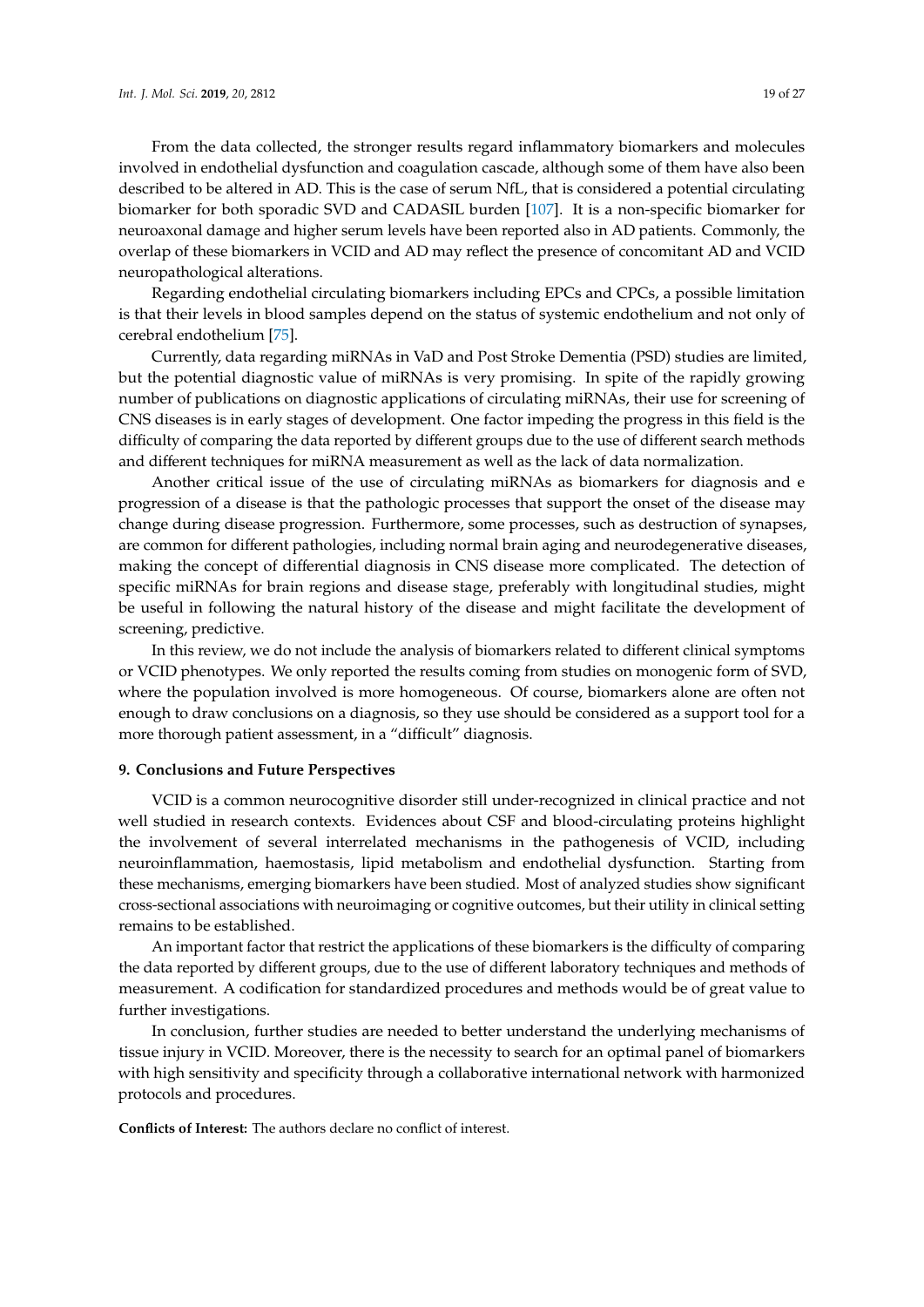From the data collected, the stronger results regard inflammatory biomarkers and molecules involved in endothelial dysfunction and coagulation cascade, although some of them have also been described to be altered in AD. This is the case of serum NfL, that is considered a potential circulating biomarker for both sporadic SVD and CADASIL burden [\[107\]](#page-25-4). It is a non-specific biomarker for neuroaxonal damage and higher serum levels have been reported also in AD patients. Commonly, the overlap of these biomarkers in VCID and AD may reflect the presence of concomitant AD and VCID neuropathological alterations.

Regarding endothelial circulating biomarkers including EPCs and CPCs, a possible limitation is that their levels in blood samples depend on the status of systemic endothelium and not only of cerebral endothelium [\[75\]](#page-23-10).

Currently, data regarding miRNAs in VaD and Post Stroke Dementia (PSD) studies are limited, but the potential diagnostic value of miRNAs is very promising. In spite of the rapidly growing number of publications on diagnostic applications of circulating miRNAs, their use for screening of CNS diseases is in early stages of development. One factor impeding the progress in this field is the difficulty of comparing the data reported by different groups due to the use of different search methods and different techniques for miRNA measurement as well as the lack of data normalization.

Another critical issue of the use of circulating miRNAs as biomarkers for diagnosis and e progression of a disease is that the pathologic processes that support the onset of the disease may change during disease progression. Furthermore, some processes, such as destruction of synapses, are common for different pathologies, including normal brain aging and neurodegenerative diseases, making the concept of differential diagnosis in CNS disease more complicated. The detection of specific miRNAs for brain regions and disease stage, preferably with longitudinal studies, might be useful in following the natural history of the disease and might facilitate the development of screening, predictive.

In this review, we do not include the analysis of biomarkers related to different clinical symptoms or VCID phenotypes. We only reported the results coming from studies on monogenic form of SVD, where the population involved is more homogeneous. Of course, biomarkers alone are often not enough to draw conclusions on a diagnosis, so they use should be considered as a support tool for a more thorough patient assessment, in a "difficult" diagnosis.

#### **9. Conclusions and Future Perspectives**

VCID is a common neurocognitive disorder still under-recognized in clinical practice and not well studied in research contexts. Evidences about CSF and blood-circulating proteins highlight the involvement of several interrelated mechanisms in the pathogenesis of VCID, including neuroinflammation, haemostasis, lipid metabolism and endothelial dysfunction. Starting from these mechanisms, emerging biomarkers have been studied. Most of analyzed studies show significant cross-sectional associations with neuroimaging or cognitive outcomes, but their utility in clinical setting remains to be established.

An important factor that restrict the applications of these biomarkers is the difficulty of comparing the data reported by different groups, due to the use of different laboratory techniques and methods of measurement. A codification for standardized procedures and methods would be of great value to further investigations.

In conclusion, further studies are needed to better understand the underlying mechanisms of tissue injury in VCID. Moreover, there is the necessity to search for an optimal panel of biomarkers with high sensitivity and specificity through a collaborative international network with harmonized protocols and procedures.

**Conflicts of Interest:** The authors declare no conflict of interest.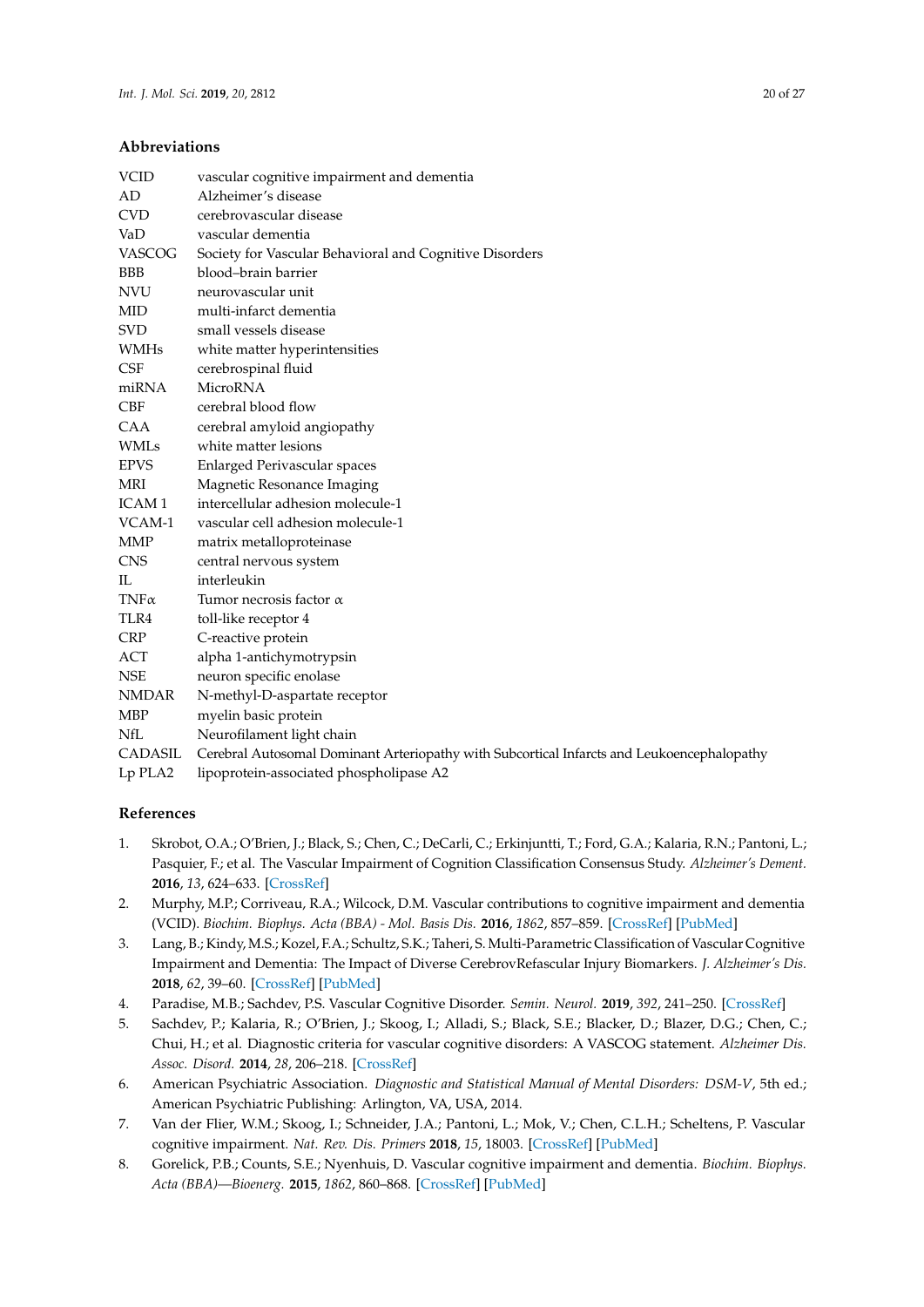#### **Abbreviations**

| <b>VCID</b>   | vascular cognitive impairment and dementia                                                 |
|---------------|--------------------------------------------------------------------------------------------|
| AD            | Alzheimer's disease                                                                        |
| <b>CVD</b>    | cerebrovascular disease                                                                    |
| VaD           | vascular dementia                                                                          |
| <b>VASCOG</b> | Society for Vascular Behavioral and Cognitive Disorders                                    |
| <b>BBB</b>    | blood-brain barrier                                                                        |
| <b>NVU</b>    | neurovascular unit                                                                         |
| <b>MID</b>    | multi-infarct dementia                                                                     |
| <b>SVD</b>    | small vessels disease                                                                      |
| <b>WMHs</b>   | white matter hyperintensities                                                              |
| <b>CSF</b>    | cerebrospinal fluid                                                                        |
| miRNA         | <b>MicroRNA</b>                                                                            |
| <b>CBF</b>    | cerebral blood flow                                                                        |
| <b>CAA</b>    | cerebral amyloid angiopathy                                                                |
| <b>WMLs</b>   | white matter lesions                                                                       |
| <b>EPVS</b>   | <b>Enlarged Perivascular spaces</b>                                                        |
| MRI           | Magnetic Resonance Imaging                                                                 |
| <b>ICAM1</b>  | intercellular adhesion molecule-1                                                          |
| VCAM-1        | vascular cell adhesion molecule-1                                                          |
| <b>MMP</b>    | matrix metalloproteinase                                                                   |
| <b>CNS</b>    | central nervous system                                                                     |
| $\Pi$ .       | interleukin                                                                                |
| $TNF\alpha$   | Tumor necrosis factor $\alpha$                                                             |
| TLR4          | toll-like receptor 4                                                                       |
| <b>CRP</b>    | C-reactive protein                                                                         |
| ACT           | alpha 1-antichymotrypsin                                                                   |
| <b>NSE</b>    | neuron specific enolase                                                                    |
| <b>NMDAR</b>  | N-methyl-D-aspartate receptor                                                              |
| <b>MBP</b>    | myelin basic protein                                                                       |
| NfL           | Neurofilament light chain                                                                  |
| CADASIL       | Cerebral Autosomal Dominant Arteriopathy with Subcortical Infarcts and Leukoencephalopathy |
| Lp PLA2       | lipoprotein-associated phospholipase A2                                                    |

#### **References**

- <span id="page-19-0"></span>1. Skrobot, O.A.; O'Brien, J.; Black, S.; Chen, C.; DeCarli, C.; Erkinjuntti, T.; Ford, G.A.; Kalaria, R.N.; Pantoni, L.; Pasquier, F.; et al. The Vascular Impairment of Cognition Classification Consensus Study. *Alzheimer's Dement.* **2016**, *13*, 624–633. [\[CrossRef\]](http://dx.doi.org/10.1016/j.jalz.2016.10.007)
- <span id="page-19-1"></span>2. Murphy, M.P.; Corriveau, R.A.; Wilcock, D.M. Vascular contributions to cognitive impairment and dementia (VCID). *Biochim. Biophys. Acta (BBA) - Mol. Basis Dis.* **2016**, *1862*, 857–859. [\[CrossRef\]](http://dx.doi.org/10.1016/j.bbadis.2016.02.010) [\[PubMed\]](http://www.ncbi.nlm.nih.gov/pubmed/26921818)
- <span id="page-19-2"></span>3. Lang, B.; Kindy, M.S.; Kozel, F.A.; Schultz, S.K.; Taheri, S. Multi-Parametric Classification of Vascular Cognitive Impairment and Dementia: The Impact of Diverse CerebrovRefascular Injury Biomarkers. *J. Alzheimer's Dis.* **2018**, *62*, 39–60. [\[CrossRef\]](http://dx.doi.org/10.3233/JAD-170733) [\[PubMed\]](http://www.ncbi.nlm.nih.gov/pubmed/29439338)
- <span id="page-19-3"></span>4. Paradise, M.B.; Sachdev, P.S. Vascular Cognitive Disorder. *Semin. Neurol.* **2019**, *392*, 241–250. [\[CrossRef\]](http://dx.doi.org/10.1055/s-0039-1678582)
- <span id="page-19-4"></span>5. Sachdev, P.; Kalaria, R.; O'Brien, J.; Skoog, I.; Alladi, S.; Black, S.E.; Blacker, D.; Blazer, D.G.; Chen, C.; Chui, H.; et al. Diagnostic criteria for vascular cognitive disorders: A VASCOG statement. *Alzheimer Dis. Assoc. Disord.* **2014**, *28*, 206–218. [\[CrossRef\]](http://dx.doi.org/10.1097/WAD.0000000000000034)
- <span id="page-19-5"></span>6. American Psychiatric Association. *Diagnostic and Statistical Manual of Mental Disorders: DSM-V*, 5th ed.; American Psychiatric Publishing: Arlington, VA, USA, 2014.
- <span id="page-19-6"></span>7. Van der Flier, W.M.; Skoog, I.; Schneider, J.A.; Pantoni, L.; Mok, V.; Chen, C.L.H.; Scheltens, P. Vascular cognitive impairment. *Nat. Rev. Dis. Primers* **2018**, *15*, 18003. [\[CrossRef\]](http://dx.doi.org/10.1038/nrdp.2018.3) [\[PubMed\]](http://www.ncbi.nlm.nih.gov/pubmed/29446769)
- <span id="page-19-7"></span>8. Gorelick, P.B.; Counts, S.E.; Nyenhuis, D. Vascular cognitive impairment and dementia. *Biochim. Biophys. Acta (BBA)—Bioenerg.* **2015**, *1862*, 860–868. [\[CrossRef\]](http://dx.doi.org/10.1016/j.bbadis.2015.12.015) [\[PubMed\]](http://www.ncbi.nlm.nih.gov/pubmed/26704177)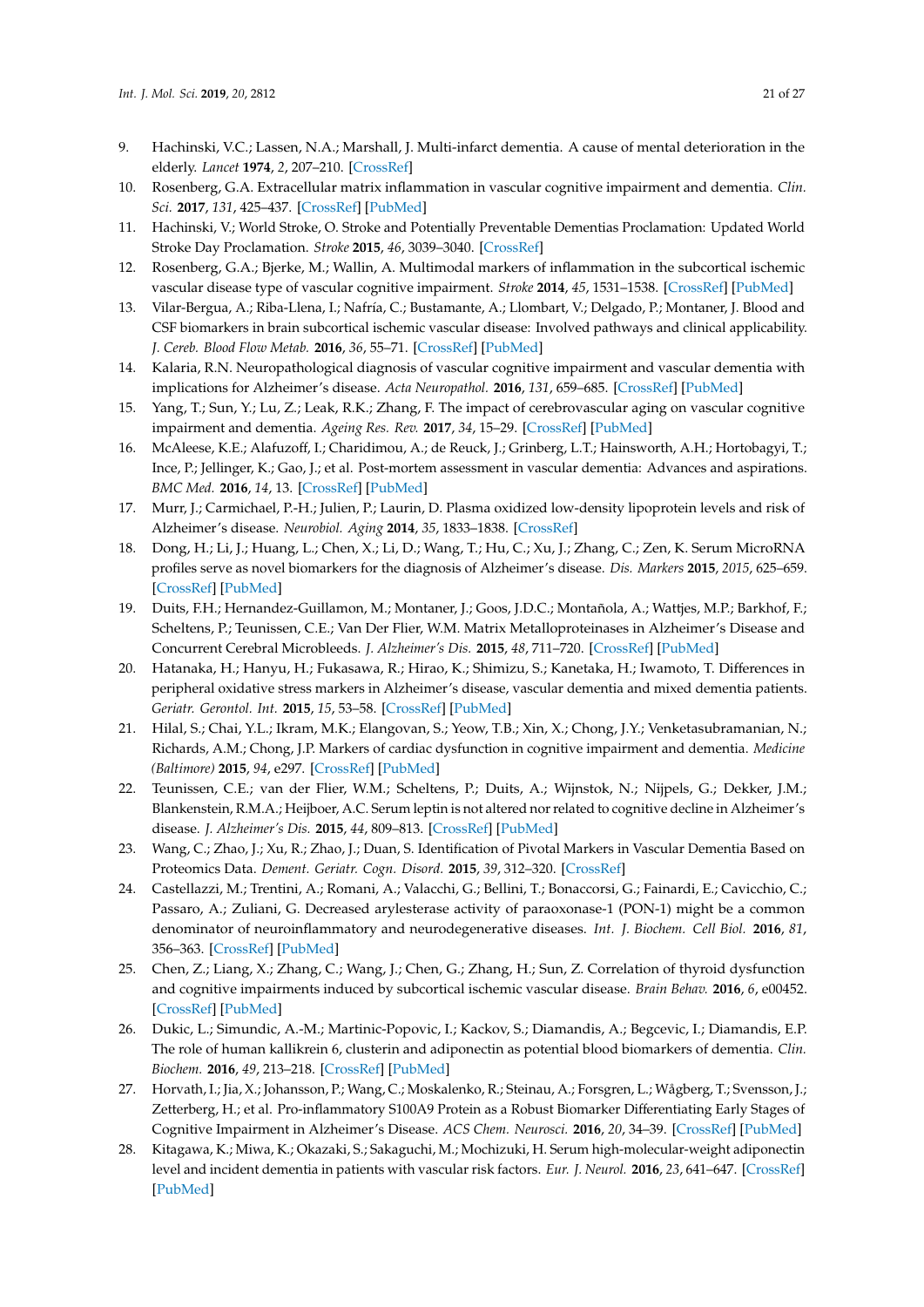- <span id="page-20-9"></span><span id="page-20-8"></span><span id="page-20-0"></span>9. Hachinski, V.C.; Lassen, N.A.; Marshall, J. Multi-infarct dementia. A cause of mental deterioration in the elderly. *Lancet* **1974**, *2*, 207–210. [\[CrossRef\]](http://dx.doi.org/10.1016/S0140-6736(74)91496-2)
- <span id="page-20-1"></span>10. Rosenberg, G.A. Extracellular matrix inflammation in vascular cognitive impairment and dementia. *Clin. Sci.* **2017**, *131*, 425–437. [\[CrossRef\]](http://dx.doi.org/10.1042/CS20160604) [\[PubMed\]](http://www.ncbi.nlm.nih.gov/pubmed/28265034)
- <span id="page-20-10"></span><span id="page-20-2"></span>11. Hachinski, V.; World Stroke, O. Stroke and Potentially Preventable Dementias Proclamation: Updated World Stroke Day Proclamation. *Stroke* **2015**, *46*, 3039–3040. [\[CrossRef\]](http://dx.doi.org/10.1161/STROKEAHA.115.011237)
- <span id="page-20-11"></span><span id="page-20-3"></span>12. Rosenberg, G.A.; Bjerke, M.; Wallin, A. Multimodal markers of inflammation in the subcortical ischemic vascular disease type of vascular cognitive impairment. *Stroke* **2014**, *45*, 1531–1538. [\[CrossRef\]](http://dx.doi.org/10.1161/STROKEAHA.113.004534) [\[PubMed\]](http://www.ncbi.nlm.nih.gov/pubmed/24692476)
- <span id="page-20-12"></span><span id="page-20-4"></span>13. Vilar-Bergua, A.; Riba-Llena, I.; Nafría, C.; Bustamante, A.; Llombart, V.; Delgado, P.; Montaner, J. Blood and CSF biomarkers in brain subcortical ischemic vascular disease: Involved pathways and clinical applicability. *J. Cereb. Blood Flow Metab.* **2016**, *36*, 55–71. [\[CrossRef\]](http://dx.doi.org/10.1038/jcbfm.2015.68) [\[PubMed\]](http://www.ncbi.nlm.nih.gov/pubmed/25899297)
- <span id="page-20-5"></span>14. Kalaria, R.N. Neuropathological diagnosis of vascular cognitive impairment and vascular dementia with implications for Alzheimer's disease. *Acta Neuropathol.* **2016**, *131*, 659–685. [\[CrossRef\]](http://dx.doi.org/10.1007/s00401-016-1571-z) [\[PubMed\]](http://www.ncbi.nlm.nih.gov/pubmed/27062261)
- <span id="page-20-13"></span><span id="page-20-6"></span>15. Yang, T.; Sun, Y.; Lu, Z.; Leak, R.K.; Zhang, F. The impact of cerebrovascular aging on vascular cognitive impairment and dementia. *Ageing Res. Rev.* **2017**, *34*, 15–29. [\[CrossRef\]](http://dx.doi.org/10.1016/j.arr.2016.09.007) [\[PubMed\]](http://www.ncbi.nlm.nih.gov/pubmed/27693240)
- <span id="page-20-14"></span><span id="page-20-7"></span>16. McAleese, K.E.; Alafuzoff, I.; Charidimou, A.; de Reuck, J.; Grinberg, L.T.; Hainsworth, A.H.; Hortobagyi, T.; Ince, P.; Jellinger, K.; Gao, J.; et al. Post-mortem assessment in vascular dementia: Advances and aspirations. *BMC Med.* **2016**, *14*, 13. [\[CrossRef\]](http://dx.doi.org/10.1186/s12916-016-0676-5) [\[PubMed\]](http://www.ncbi.nlm.nih.gov/pubmed/27600683)
- <span id="page-20-15"></span>17. Murr, J.; Carmichael, P.-H.; Julien, P.; Laurin, D. Plasma oxidized low-density lipoprotein levels and risk of Alzheimer's disease. *Neurobiol. Aging* **2014**, *35*, 1833–1838. [\[CrossRef\]](http://dx.doi.org/10.1016/j.neurobiolaging.2014.02.007)
- <span id="page-20-21"></span><span id="page-20-16"></span>18. Dong, H.; Li, J.; Huang, L.; Chen, X.; Li, D.; Wang, T.; Hu, C.; Xu, J.; Zhang, C.; Zen, K. Serum MicroRNA profiles serve as novel biomarkers for the diagnosis of Alzheimer's disease. *Dis. Markers* **2015**, *2015*, 625–659. [\[CrossRef\]](http://dx.doi.org/10.1155/2015/625659) [\[PubMed\]](http://www.ncbi.nlm.nih.gov/pubmed/26078483)
- <span id="page-20-20"></span><span id="page-20-17"></span>19. Duits, F.H.; Hernandez-Guillamon, M.; Montaner, J.; Goos, J.D.C.; Montañola, A.; Wattjes, M.P.; Barkhof, F.; Scheltens, P.; Teunissen, C.E.; Van Der Flier, W.M. Matrix Metalloproteinases in Alzheimer's Disease and Concurrent Cerebral Microbleeds. *J. Alzheimer's Dis.* **2015**, *48*, 711–720. [\[CrossRef\]](http://dx.doi.org/10.3233/JAD-143186) [\[PubMed\]](http://www.ncbi.nlm.nih.gov/pubmed/26402072)
- 20. Hatanaka, H.; Hanyu, H.; Fukasawa, R.; Hirao, K.; Shimizu, S.; Kanetaka, H.; Iwamoto, T. Differences in peripheral oxidative stress markers in Alzheimer's disease, vascular dementia and mixed dementia patients. *Geriatr. Gerontol. Int.* **2015**, *15*, 53–58. [\[CrossRef\]](http://dx.doi.org/10.1111/ggi.12659) [\[PubMed\]](http://www.ncbi.nlm.nih.gov/pubmed/26671158)
- <span id="page-20-18"></span>21. Hilal, S.; Chai, Y.L.; Ikram, M.K.; Elangovan, S.; Yeow, T.B.; Xin, X.; Chong, J.Y.; Venketasubramanian, N.; Richards, A.M.; Chong, J.P. Markers of cardiac dysfunction in cognitive impairment and dementia. *Medicine (Baltimore)* **2015**, *94*, e297. [\[CrossRef\]](http://dx.doi.org/10.1097/MD.0000000000000297) [\[PubMed\]](http://www.ncbi.nlm.nih.gov/pubmed/25569645)
- <span id="page-20-19"></span>22. Teunissen, C.E.; van der Flier, W.M.; Scheltens, P.; Duits, A.; Wijnstok, N.; Nijpels, G.; Dekker, J.M.; Blankenstein, R.M.A.; Heijboer, A.C. Serum leptin is not altered nor related to cognitive decline in Alzheimer's disease. *J. Alzheimer's Dis.* **2015**, *44*, 809–813. [\[CrossRef\]](http://dx.doi.org/10.3233/JAD-141503) [\[PubMed\]](http://www.ncbi.nlm.nih.gov/pubmed/25352450)
- 23. Wang, C.; Zhao, J.; Xu, R.; Zhao, J.; Duan, S. Identification of Pivotal Markers in Vascular Dementia Based on Proteomics Data. *Dement. Geriatr. Cogn. Disord.* **2015**, *39*, 312–320. [\[CrossRef\]](http://dx.doi.org/10.1159/000375296)
- 24. Castellazzi, M.; Trentini, A.; Romani, A.; Valacchi, G.; Bellini, T.; Bonaccorsi, G.; Fainardi, E.; Cavicchio, C.; Passaro, A.; Zuliani, G. Decreased arylesterase activity of paraoxonase-1 (PON-1) might be a common denominator of neuroinflammatory and neurodegenerative diseases. *Int. J. Biochem. Cell Biol.* **2016**, *81*, 356–363. [\[CrossRef\]](http://dx.doi.org/10.1016/j.biocel.2016.06.008) [\[PubMed\]](http://www.ncbi.nlm.nih.gov/pubmed/27312742)
- 25. Chen, Z.; Liang, X.; Zhang, C.; Wang, J.; Chen, G.; Zhang, H.; Sun, Z. Correlation of thyroid dysfunction and cognitive impairments induced by subcortical ischemic vascular disease. *Brain Behav.* **2016**, *6*, e00452. [\[CrossRef\]](http://dx.doi.org/10.1002/brb3.452) [\[PubMed\]](http://www.ncbi.nlm.nih.gov/pubmed/27127724)
- 26. Dukic, L.; Simundic, A.-M.; Martinic-Popovic, I.; Kackov, S.; Diamandis, A.; Begcevic, I.; Diamandis, E.P. The role of human kallikrein 6, clusterin and adiponectin as potential blood biomarkers of dementia. *Clin. Biochem.* **2016**, *49*, 213–218. [\[CrossRef\]](http://dx.doi.org/10.1016/j.clinbiochem.2015.10.014) [\[PubMed\]](http://www.ncbi.nlm.nih.gov/pubmed/26515085)
- 27. Horvath, I.; Jia, X.; Johansson, P.; Wang, C.; Moskalenko, R.; Steinau, A.; Forsgren, L.; Wågberg, T.; Svensson, J.; Zetterberg, H.; et al. Pro-inflammatory S100A9 Protein as a Robust Biomarker Differentiating Early Stages of Cognitive Impairment in Alzheimer's Disease. *ACS Chem. Neurosci.* **2016**, *20*, 34–39. [\[CrossRef\]](http://dx.doi.org/10.1021/acschemneuro.5b00265) [\[PubMed\]](http://www.ncbi.nlm.nih.gov/pubmed/26550994)
- 28. Kitagawa, K.; Miwa, K.; Okazaki, S.; Sakaguchi, M.; Mochizuki, H. Serum high-molecular-weight adiponectin level and incident dementia in patients with vascular risk factors. *Eur. J. Neurol.* **2016**, *23*, 641–647. [\[CrossRef\]](http://dx.doi.org/10.1111/ene.12915) [\[PubMed\]](http://www.ncbi.nlm.nih.gov/pubmed/26682770)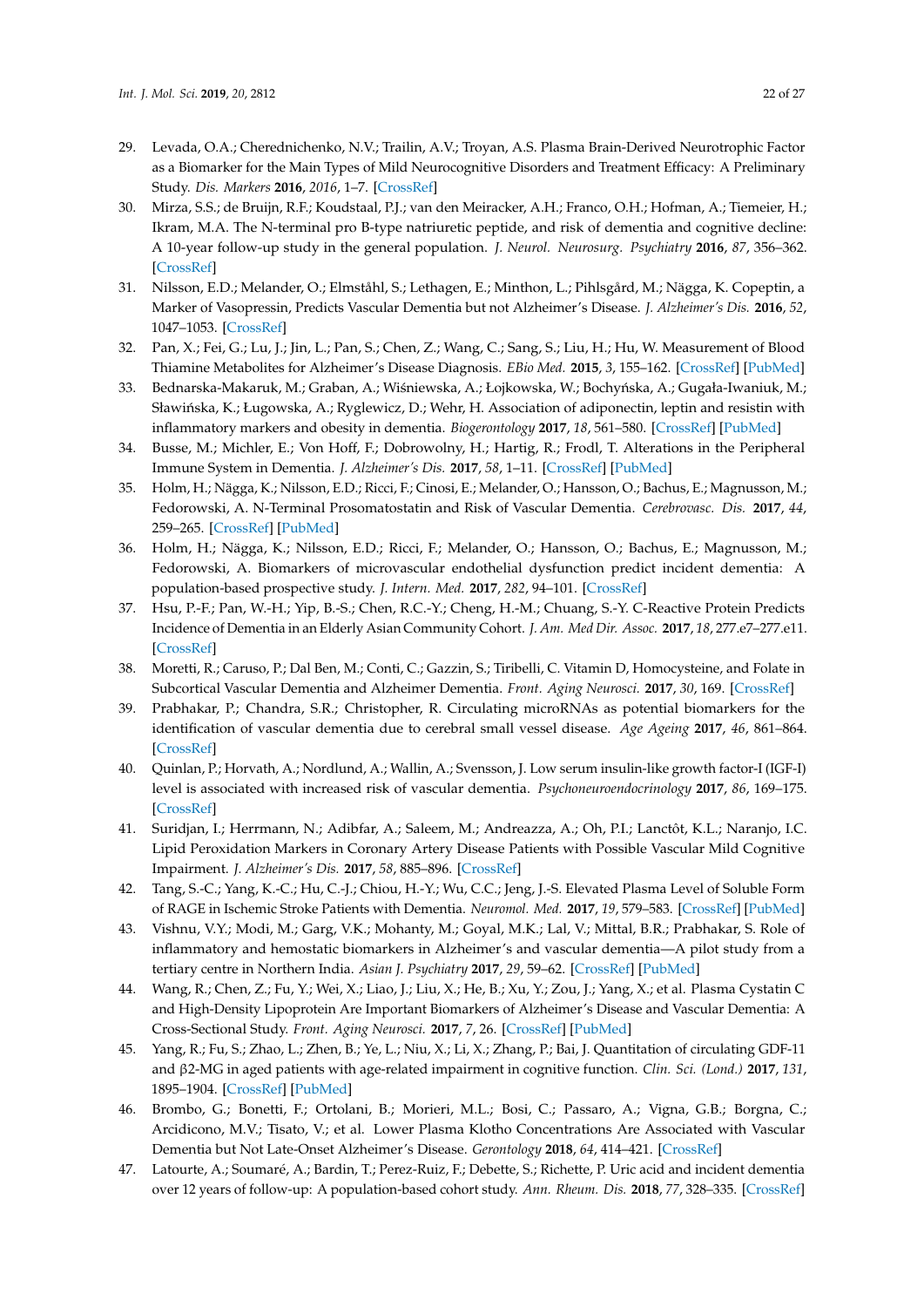- <span id="page-21-7"></span><span id="page-21-6"></span><span id="page-21-5"></span><span id="page-21-4"></span><span id="page-21-3"></span><span id="page-21-2"></span><span id="page-21-1"></span><span id="page-21-0"></span>29. Levada, O.A.; Cherednichenko, N.V.; Trailin, A.V.; Troyan, A.S. Plasma Brain-Derived Neurotrophic Factor as a Biomarker for the Main Types of Mild Neurocognitive Disorders and Treatment Efficacy: A Preliminary Study. *Dis. Markers* **2016**, *2016*, 1–7. [\[CrossRef\]](http://dx.doi.org/10.1155/2016/4095723)
- <span id="page-21-8"></span>30. Mirza, S.S.; de Bruijn, R.F.; Koudstaal, P.J.; van den Meiracker, A.H.; Franco, O.H.; Hofman, A.; Tiemeier, H.; Ikram, M.A. The N-terminal pro B-type natriuretic peptide, and risk of dementia and cognitive decline: A 10-year follow-up study in the general population. *J. Neurol. Neurosurg. Psychiatry* **2016**, *87*, 356–362. [\[CrossRef\]](http://dx.doi.org/10.1136/jnnp-2014-309968)
- <span id="page-21-9"></span>31. Nilsson, E.D.; Melander, O.; Elmståhl, S.; Lethagen, E.; Minthon, L.; Pihlsgård, M.; Nägga, K. Copeptin, a Marker of Vasopressin, Predicts Vascular Dementia but not Alzheimer's Disease. *J. Alzheimer's Dis.* **2016**, *52*, 1047–1053. [\[CrossRef\]](http://dx.doi.org/10.3233/JAD-151118)
- <span id="page-21-10"></span>32. Pan, X.; Fei, G.; Lu, J.; Jin, L.; Pan, S.; Chen, Z.; Wang, C.; Sang, S.; Liu, H.; Hu, W. Measurement of Blood Thiamine Metabolites for Alzheimer's Disease Diagnosis. *EBio Med.* **2015**, *3*, 155–162. [\[CrossRef\]](http://dx.doi.org/10.1016/j.ebiom.2015.11.039) [\[PubMed\]](http://www.ncbi.nlm.nih.gov/pubmed/26870826)
- <span id="page-21-11"></span>33. Bednarska-Makaruk, M.; Graban, A.; Wiśniewska, A.; Łojkowska, W.; Bochyńska, A.; Gugała-Iwaniuk, M.; Sławińska, K.; Ługowska, A.; Ryglewicz, D.; Wehr, H. Association of adiponectin, leptin and resistin with inflammatory markers and obesity in dementia. *Biogerontology* **2017**, *18*, 561–580. [\[CrossRef\]](http://dx.doi.org/10.1007/s10522-017-9701-0) [\[PubMed\]](http://www.ncbi.nlm.nih.gov/pubmed/28421328)
- <span id="page-21-12"></span>34. Busse, M.; Michler, E.; Von Hoff, F.; Dobrowolny, H.; Hartig, R.; Frodl, T. Alterations in the Peripheral Immune System in Dementia. *J. Alzheimer's Dis.* **2017**, *58*, 1–11. [\[CrossRef\]](http://dx.doi.org/10.3233/JAD-161304) [\[PubMed\]](http://www.ncbi.nlm.nih.gov/pubmed/28582858)
- <span id="page-21-13"></span>35. Holm, H.; Nägga, K.; Nilsson, E.D.; Ricci, F.; Cinosi, E.; Melander, O.; Hansson, O.; Bachus, E.; Magnusson, M.; Fedorowski, A. N-Terminal Prosomatostatin and Risk of Vascular Dementia. *Cerebrovasc. Dis.* **2017**, *44*, 259–265. [\[CrossRef\]](http://dx.doi.org/10.1159/000479940) [\[PubMed\]](http://www.ncbi.nlm.nih.gov/pubmed/28854435)
- <span id="page-21-14"></span>36. Holm, H.; Nägga, K.; Nilsson, E.D.; Ricci, F.; Melander, O.; Hansson, O.; Bachus, E.; Magnusson, M.; Fedorowski, A. Biomarkers of microvascular endothelial dysfunction predict incident dementia: A population-based prospective study. *J. Intern. Med.* **2017**, *282*, 94–101. [\[CrossRef\]](http://dx.doi.org/10.1111/joim.12621)
- <span id="page-21-15"></span>37. Hsu, P.-F.; Pan, W.-H.; Yip, B.-S.; Chen, R.C.-Y.; Cheng, H.-M.; Chuang, S.-Y. C-Reactive Protein Predicts Incidence of Dementia in an Elderly Asian Community Cohort. *J. Am. Med Dir. Assoc.* **2017**, *18*, 277.e7–277.e11. [\[CrossRef\]](http://dx.doi.org/10.1016/j.jamda.2016.12.006)
- <span id="page-21-16"></span>38. Moretti, R.; Caruso, P.; Dal Ben, M.; Conti, C.; Gazzin, S.; Tiribelli, C. Vitamin D, Homocysteine, and Folate in Subcortical Vascular Dementia and Alzheimer Dementia. *Front. Aging Neurosci.* **2017**, *30*, 169. [\[CrossRef\]](http://dx.doi.org/10.3389/fnagi.2017.00169)
- <span id="page-21-19"></span><span id="page-21-17"></span>39. Prabhakar, P.; Chandra, S.R.; Christopher, R. Circulating microRNAs as potential biomarkers for the identification of vascular dementia due to cerebral small vessel disease. *Age Ageing* **2017**, *46*, 861–864. [\[CrossRef\]](http://dx.doi.org/10.1093/ageing/afx090)
- <span id="page-21-18"></span>40. Quinlan, P.; Horvath, A.; Nordlund, A.; Wallin, A.; Svensson, J. Low serum insulin-like growth factor-I (IGF-I) level is associated with increased risk of vascular dementia. *Psychoneuroendocrinology* **2017**, *86*, 169–175. [\[CrossRef\]](http://dx.doi.org/10.1016/j.psyneuen.2017.09.018)
- 41. Suridjan, I.; Herrmann, N.; Adibfar, A.; Saleem, M.; Andreazza, A.; Oh, P.I.; Lanctôt, K.L.; Naranjo, I.C. Lipid Peroxidation Markers in Coronary Artery Disease Patients with Possible Vascular Mild Cognitive Impairment. *J. Alzheimer's Dis.* **2017**, *58*, 885–896. [\[CrossRef\]](http://dx.doi.org/10.3233/JAD-161248)
- 42. Tang, S.-C.; Yang, K.-C.; Hu, C.-J.; Chiou, H.-Y.; Wu, C.C.; Jeng, J.-S. Elevated Plasma Level of Soluble Form of RAGE in Ischemic Stroke Patients with Dementia. *Neuromol. Med.* **2017**, *19*, 579–583. [\[CrossRef\]](http://dx.doi.org/10.1007/s12017-017-8471-9) [\[PubMed\]](http://www.ncbi.nlm.nih.gov/pubmed/29098526)
- 43. Vishnu, V.Y.; Modi, M.; Garg, V.K.; Mohanty, M.; Goyal, M.K.; Lal, V.; Mittal, B.R.; Prabhakar, S. Role of inflammatory and hemostatic biomarkers in Alzheimer's and vascular dementia—A pilot study from a tertiary centre in Northern India. *Asian J. Psychiatry* **2017**, *29*, 59–62. [\[CrossRef\]](http://dx.doi.org/10.1016/j.ajp.2017.04.015) [\[PubMed\]](http://www.ncbi.nlm.nih.gov/pubmed/29061429)
- 44. Wang, R.; Chen, Z.; Fu, Y.; Wei, X.; Liao, J.; Liu, X.; He, B.; Xu, Y.; Zou, J.; Yang, X.; et al. Plasma Cystatin C and High-Density Lipoprotein Are Important Biomarkers of Alzheimer's Disease and Vascular Dementia: A Cross-Sectional Study. *Front. Aging Neurosci.* **2017**, *7*, 26. [\[CrossRef\]](http://dx.doi.org/10.3389/fnagi.2017.00026) [\[PubMed\]](http://www.ncbi.nlm.nih.gov/pubmed/28223934)
- 45. Yang, R.; Fu, S.; Zhao, L.; Zhen, B.; Ye, L.; Niu, X.; Li, X.; Zhang, P.; Bai, J. Quantitation of circulating GDF-11 and β2-MG in aged patients with age-related impairment in cognitive function. *Clin. Sci. (Lond.)* **2017**, *131*, 1895–1904. [\[CrossRef\]](http://dx.doi.org/10.1042/CS20171028) [\[PubMed\]](http://www.ncbi.nlm.nih.gov/pubmed/28611236)
- 46. Brombo, G.; Bonetti, F.; Ortolani, B.; Morieri, M.L.; Bosi, C.; Passaro, A.; Vigna, G.B.; Borgna, C.; Arcidicono, M.V.; Tisato, V.; et al. Lower Plasma Klotho Concentrations Are Associated with Vascular Dementia but Not Late-Onset Alzheimer's Disease. *Gerontology* **2018**, *64*, 414–421. [\[CrossRef\]](http://dx.doi.org/10.1159/000488318)
- 47. Latourte, A.; Soumaré, A.; Bardin, T.; Perez-Ruiz, F.; Debette, S.; Richette, P. Uric acid and incident dementia over 12 years of follow-up: A population-based cohort study. *Ann. Rheum. Dis.* **2018**, *77*, 328–335. [\[CrossRef\]](http://dx.doi.org/10.1136/annrheumdis-2016-210767)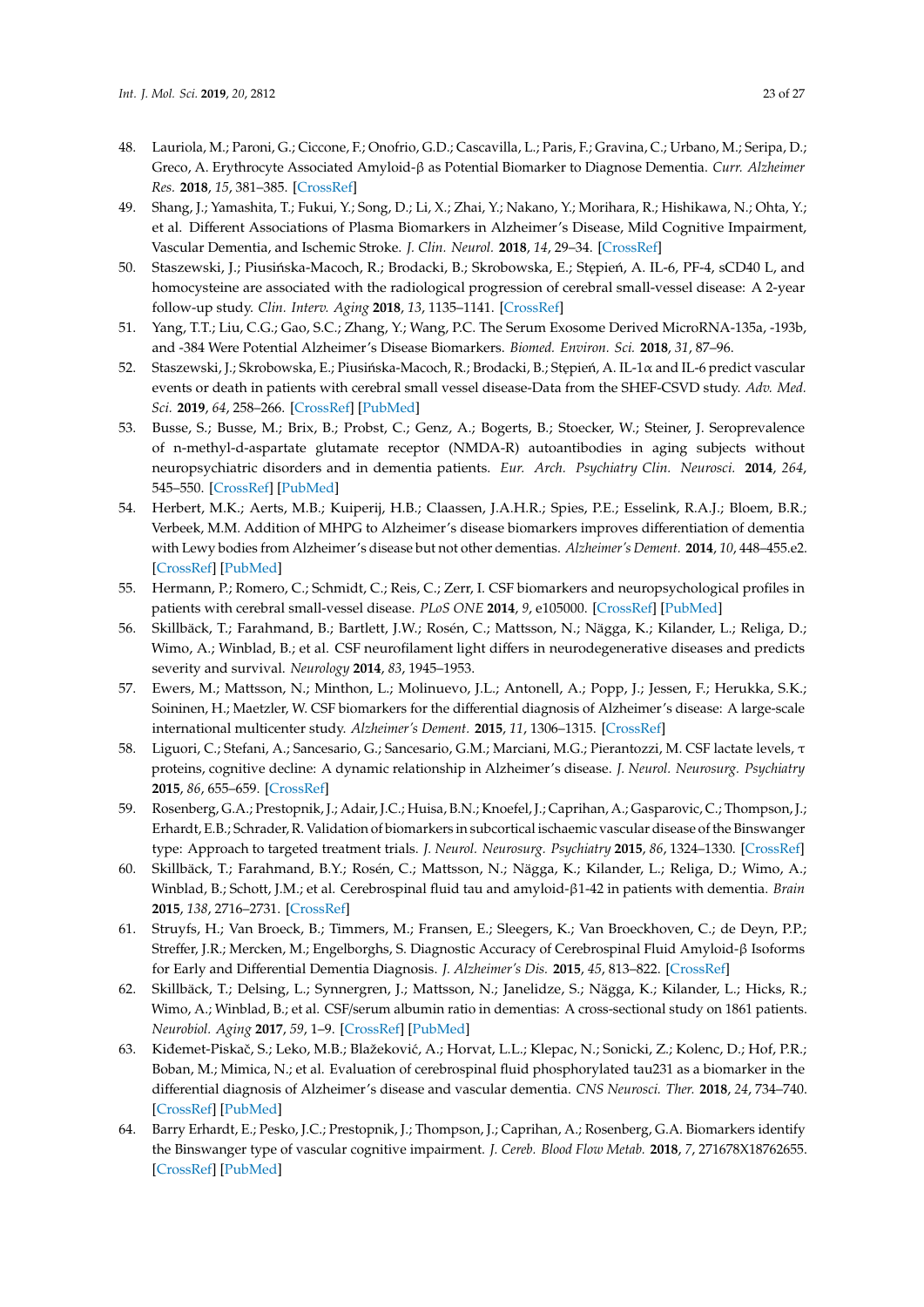- <span id="page-22-6"></span><span id="page-22-5"></span><span id="page-22-4"></span><span id="page-22-3"></span><span id="page-22-2"></span><span id="page-22-1"></span><span id="page-22-0"></span>48. Lauriola, M.; Paroni, G.; Ciccone, F.; Onofrio, G.D.; Cascavilla, L.; Paris, F.; Gravina, C.; Urbano, M.; Seripa, D.; Greco, A. Erythrocyte Associated Amyloid-β as Potential Biomarker to Diagnose Dementia. *Curr. Alzheimer Res.* **2018**, *15*, 381–385. [\[CrossRef\]](http://dx.doi.org/10.2174/1567205014666171110160556)
- <span id="page-22-7"></span>49. Shang, J.; Yamashita, T.; Fukui, Y.; Song, D.; Li, X.; Zhai, Y.; Nakano, Y.; Morihara, R.; Hishikawa, N.; Ohta, Y.; et al. Different Associations of Plasma Biomarkers in Alzheimer's Disease, Mild Cognitive Impairment, Vascular Dementia, and Ischemic Stroke. *J. Clin. Neurol.* **2018**, *14*, 29–34. [\[CrossRef\]](http://dx.doi.org/10.3988/jcn.2018.14.1.29)
- <span id="page-22-8"></span>50. Staszewski, J.; Piusińska-Macoch, R.; Brodacki, B.; Skrobowska, E.; Stępień, A. IL-6, PF-4, sCD40 L, and homocysteine are associated with the radiological progression of cerebral small-vessel disease: A 2-year follow-up study. *Clin. Interv. Aging* **2018**, *13*, 1135–1141. [\[CrossRef\]](http://dx.doi.org/10.2147/CIA.S166773)
- <span id="page-22-9"></span>51. Yang, T.T.; Liu, C.G.; Gao, S.C.; Zhang, Y.; Wang, P.C. The Serum Exosome Derived MicroRNA-135a, -193b, and -384 Were Potential Alzheimer's Disease Biomarkers. *Biomed. Environ. Sci.* **2018**, *31*, 87–96.
- <span id="page-22-10"></span>52. Staszewski, J.; Skrobowska, E.; Piusińska-Macoch, R.; Brodacki, B.; Stępień, A. IL-1α and IL-6 predict vascular events or death in patients with cerebral small vessel disease-Data from the SHEF-CSVD study. *Adv. Med. Sci.* **2019**, *64*, 258–266. [\[CrossRef\]](http://dx.doi.org/10.1016/j.advms.2019.02.003) [\[PubMed\]](http://www.ncbi.nlm.nih.gov/pubmed/30844663)
- <span id="page-22-18"></span><span id="page-22-11"></span>53. Busse, S.; Busse, M.; Brix, B.; Probst, C.; Genz, A.; Bogerts, B.; Stoecker, W.; Steiner, J. Seroprevalence of n-methyl-d-aspartate glutamate receptor (NMDA-R) autoantibodies in aging subjects without neuropsychiatric disorders and in dementia patients. *Eur. Arch. Psychiatry Clin. Neurosci.* **2014**, *264*, 545–550. [\[CrossRef\]](http://dx.doi.org/10.1007/s00406-014-0493-9) [\[PubMed\]](http://www.ncbi.nlm.nih.gov/pubmed/24604707)
- <span id="page-22-20"></span><span id="page-22-13"></span><span id="page-22-12"></span>54. Herbert, M.K.; Aerts, M.B.; Kuiperij, H.B.; Claassen, J.A.H.R.; Spies, P.E.; Esselink, R.A.J.; Bloem, B.R.; Verbeek, M.M. Addition of MHPG to Alzheimer's disease biomarkers improves differentiation of dementia with Lewy bodies from Alzheimer's disease but not other dementias. *Alzheimer's Dement.* **2014**, *10*, 448–455.e2. [\[CrossRef\]](http://dx.doi.org/10.1016/j.jalz.2013.05.1775) [\[PubMed\]](http://www.ncbi.nlm.nih.gov/pubmed/24239248)
- <span id="page-22-14"></span>55. Hermann, P.; Romero, C.; Schmidt, C.; Reis, C.; Zerr, I. CSF biomarkers and neuropsychological profiles in patients with cerebral small-vessel disease. *PLoS ONE* **2014**, *9*, e105000. [\[CrossRef\]](http://dx.doi.org/10.1371/journal.pone.0105000) [\[PubMed\]](http://www.ncbi.nlm.nih.gov/pubmed/25147945)
- <span id="page-22-19"></span><span id="page-22-15"></span>56. Skillbäck, T.; Farahmand, B.; Bartlett, J.W.; Rosén, C.; Mattsson, N.; Nägga, K.; Kilander, L.; Religa, D.; Wimo, A.; Winblad, B.; et al. CSF neurofilament light differs in neurodegenerative diseases and predicts severity and survival. *Neurology* **2014**, *83*, 1945–1953.
- <span id="page-22-21"></span>57. Ewers, M.; Mattsson, N.; Minthon, L.; Molinuevo, J.L.; Antonell, A.; Popp, J.; Jessen, F.; Herukka, S.K.; Soininen, H.; Maetzler, W. CSF biomarkers for the differential diagnosis of Alzheimer's disease: A large-scale international multicenter study. *Alzheimer's Dement.* **2015**, *11*, 1306–1315. [\[CrossRef\]](http://dx.doi.org/10.1016/j.jalz.2014.12.006)
- <span id="page-22-16"></span>58. Liguori, C.; Stefani, A.; Sancesario, G.; Sancesario, G.M.; Marciani, M.G.; Pierantozzi, M. CSF lactate levels, τ proteins, cognitive decline: A dynamic relationship in Alzheimer's disease. *J. Neurol. Neurosurg. Psychiatry* **2015**, *86*, 655–659. [\[CrossRef\]](http://dx.doi.org/10.1136/jnnp-2014-308577)
- <span id="page-22-17"></span>59. Rosenberg, G.A.; Prestopnik, J.; Adair, J.C.; Huisa, B.N.; Knoefel, J.; Caprihan, A.; Gasparovic, C.; Thompson, J.; Erhardt, E.B.; Schrader, R. Validation of biomarkers in subcortical ischaemic vascular disease of the Binswanger type: Approach to targeted treatment trials. *J. Neurol. Neurosurg. Psychiatry* **2015**, *86*, 1324–1330. [\[CrossRef\]](http://dx.doi.org/10.1136/jnnp-2014-309421)
- 60. Skillbäck, T.; Farahmand, B.Y.; Rosén, C.; Mattsson, N.; Nägga, K.; Kilander, L.; Religa, D.; Wimo, A.; Winblad, B.; Schott, J.M.; et al. Cerebrospinal fluid tau and amyloid-β1-42 in patients with dementia. *Brain* **2015**, *138*, 2716–2731. [\[CrossRef\]](http://dx.doi.org/10.1093/brain/awv181)
- <span id="page-22-22"></span>61. Struyfs, H.; Van Broeck, B.; Timmers, M.; Fransen, E.; Sleegers, K.; Van Broeckhoven, C.; de Deyn, P.P.; Streffer, J.R.; Mercken, M.; Engelborghs, S. Diagnostic Accuracy of Cerebrospinal Fluid Amyloid-β Isoforms for Early and Differential Dementia Diagnosis. *J. Alzheimer's Dis.* **2015**, *45*, 813–822. [\[CrossRef\]](http://dx.doi.org/10.3233/JAD-141986)
- 62. Skillbäck, T.; Delsing, L.; Synnergren, J.; Mattsson, N.; Janelidze, S.; Nägga, K.; Kilander, L.; Hicks, R.; Wimo, A.; Winblad, B.; et al. CSF/serum albumin ratio in dementias: A cross-sectional study on 1861 patients. *Neurobiol. Aging* **2017**, *59*, 1–9. [\[CrossRef\]](http://dx.doi.org/10.1016/j.neurobiolaging.2017.06.028) [\[PubMed\]](http://www.ncbi.nlm.nih.gov/pubmed/28779628)
- 63. Kiđemet-Piskač, S.; Leko, M.B.; Blažeković, A.; Horvat, L.L.; Klepac, N.; Sonicki, Z.; Kolenc, D.; Hof, P.R.; Boban, M.; Mimica, N.; et al. Evaluation of cerebrospinal fluid phosphorylated tau231 as a biomarker in the differential diagnosis of Alzheimer's disease and vascular dementia. *CNS Neurosci. Ther.* **2018**, *24*, 734–740. [\[CrossRef\]](http://dx.doi.org/10.1111/cns.12814) [\[PubMed\]](http://www.ncbi.nlm.nih.gov/pubmed/29453935)
- 64. Barry Erhardt, E.; Pesko, J.C.; Prestopnik, J.; Thompson, J.; Caprihan, A.; Rosenberg, G.A. Biomarkers identify the Binswanger type of vascular cognitive impairment. *J. Cereb. Blood Flow Metab.* **2018**, *7*, 271678X18762655. [\[CrossRef\]](http://dx.doi.org/10.1177/0271678X18762655) [\[PubMed\]](http://www.ncbi.nlm.nih.gov/pubmed/29513153)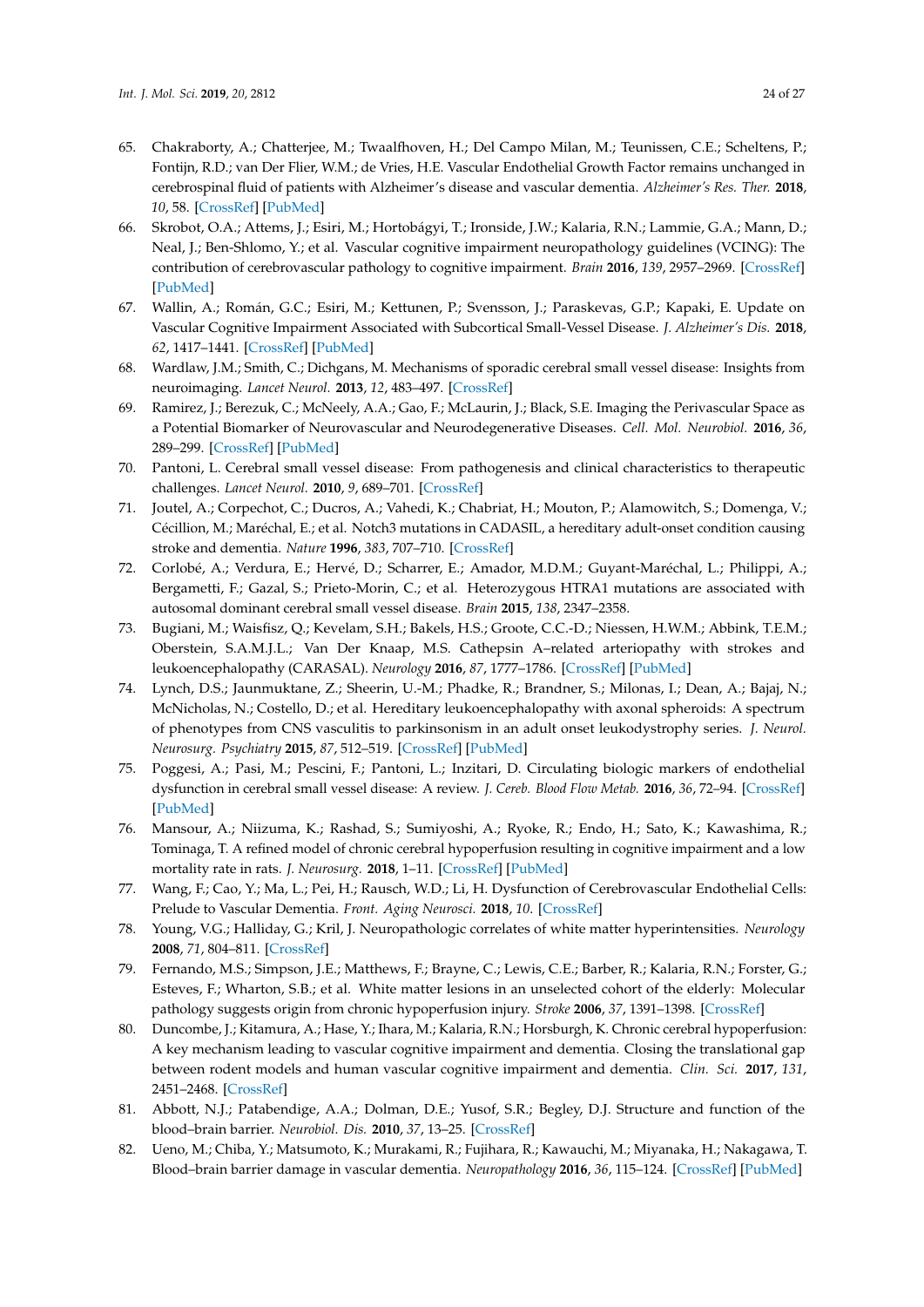- <span id="page-23-0"></span>65. Chakraborty, A.; Chatterjee, M.; Twaalfhoven, H.; Del Campo Milan, M.; Teunissen, C.E.; Scheltens, P.; Fontijn, R.D.; van Der Flier, W.M.; de Vries, H.E. Vascular Endothelial Growth Factor remains unchanged in cerebrospinal fluid of patients with Alzheimer's disease and vascular dementia. *Alzheimer's Res. Ther.* **2018**, *10*, 58. [\[CrossRef\]](http://dx.doi.org/10.1186/s13195-018-0385-8) [\[PubMed\]](http://www.ncbi.nlm.nih.gov/pubmed/29933741)
- <span id="page-23-1"></span>66. Skrobot, O.A.; Attems, J.; Esiri, M.; Hortobágyi, T.; Ironside, J.W.; Kalaria, R.N.; Lammie, G.A.; Mann, D.; Neal, J.; Ben-Shlomo, Y.; et al. Vascular cognitive impairment neuropathology guidelines (VCING): The contribution of cerebrovascular pathology to cognitive impairment. *Brain* **2016**, *139*, 2957–2969. [\[CrossRef\]](http://dx.doi.org/10.1093/brain/aww214) [\[PubMed\]](http://www.ncbi.nlm.nih.gov/pubmed/27591113)
- <span id="page-23-2"></span>67. Wallin, A.; Román, G.C.; Esiri, M.; Kettunen, P.; Svensson, J.; Paraskevas, G.P.; Kapaki, E. Update on Vascular Cognitive Impairment Associated with Subcortical Small-Vessel Disease. *J. Alzheimer's Dis.* **2018**, *62*, 1417–1441. [\[CrossRef\]](http://dx.doi.org/10.3233/JAD-170803) [\[PubMed\]](http://www.ncbi.nlm.nih.gov/pubmed/29562536)
- <span id="page-23-3"></span>68. Wardlaw, J.M.; Smith, C.; Dichgans, M. Mechanisms of sporadic cerebral small vessel disease: Insights from neuroimaging. *Lancet Neurol.* **2013**, *12*, 483–497. [\[CrossRef\]](http://dx.doi.org/10.1016/S1474-4422(13)70060-7)
- <span id="page-23-4"></span>69. Ramirez, J.; Berezuk, C.; McNeely, A.A.; Gao, F.; McLaurin, J.; Black, S.E. Imaging the Perivascular Space as a Potential Biomarker of Neurovascular and Neurodegenerative Diseases. *Cell. Mol. Neurobiol.* **2016**, *36*, 289–299. [\[CrossRef\]](http://dx.doi.org/10.1007/s10571-016-0343-6) [\[PubMed\]](http://www.ncbi.nlm.nih.gov/pubmed/26993511)
- <span id="page-23-5"></span>70. Pantoni, L. Cerebral small vessel disease: From pathogenesis and clinical characteristics to therapeutic challenges. *Lancet Neurol.* **2010**, *9*, 689–701. [\[CrossRef\]](http://dx.doi.org/10.1016/S1474-4422(10)70104-6)
- <span id="page-23-6"></span>71. Joutel, A.; Corpechot, C.; Ducros, A.; Vahedi, K.; Chabriat, H.; Mouton, P.; Alamowitch, S.; Domenga, V.; Cécillion, M.; Maréchal, E.; et al. Notch3 mutations in CADASIL, a hereditary adult-onset condition causing stroke and dementia. *Nature* **1996**, *383*, 707–710. [\[CrossRef\]](http://dx.doi.org/10.1038/383707a0)
- <span id="page-23-7"></span>72. Corlobé, A.; Verdura, E.; Hervé, D.; Scharrer, E.; Amador, M.D.M.; Guyant-Maréchal, L.; Philippi, A.; Bergametti, F.; Gazal, S.; Prieto-Morin, C.; et al. Heterozygous HTRA1 mutations are associated with autosomal dominant cerebral small vessel disease. *Brain* **2015**, *138*, 2347–2358.
- <span id="page-23-8"></span>73. Bugiani, M.; Waisfisz, Q.; Kevelam, S.H.; Bakels, H.S.; Groote, C.C.-D.; Niessen, H.W.M.; Abbink, T.E.M.; Oberstein, S.A.M.J.L.; Van Der Knaap, M.S. Cathepsin A–related arteriopathy with strokes and leukoencephalopathy (CARASAL). *Neurology* **2016**, *87*, 1777–1786. [\[CrossRef\]](http://dx.doi.org/10.1212/WNL.0000000000003251) [\[PubMed\]](http://www.ncbi.nlm.nih.gov/pubmed/27664989)
- <span id="page-23-9"></span>74. Lynch, D.S.; Jaunmuktane, Z.; Sheerin, U.-M.; Phadke, R.; Brandner, S.; Milonas, I.; Dean, A.; Bajaj, N.; McNicholas, N.; Costello, D.; et al. Hereditary leukoencephalopathy with axonal spheroids: A spectrum of phenotypes from CNS vasculitis to parkinsonism in an adult onset leukodystrophy series. *J. Neurol. Neurosurg. Psychiatry* **2015**, *87*, 512–519. [\[CrossRef\]](http://dx.doi.org/10.1136/jnnp-2015-310788) [\[PubMed\]](http://www.ncbi.nlm.nih.gov/pubmed/25935893)
- <span id="page-23-10"></span>75. Poggesi, A.; Pasi, M.; Pescini, F.; Pantoni, L.; Inzitari, D. Circulating biologic markers of endothelial dysfunction in cerebral small vessel disease: A review. *J. Cereb. Blood Flow Metab.* **2016**, *36*, 72–94. [\[CrossRef\]](http://dx.doi.org/10.1038/jcbfm.2015.116) [\[PubMed\]](http://www.ncbi.nlm.nih.gov/pubmed/26058695)
- <span id="page-23-11"></span>76. Mansour, A.; Niizuma, K.; Rashad, S.; Sumiyoshi, A.; Ryoke, R.; Endo, H.; Sato, K.; Kawashima, R.; Tominaga, T. A refined model of chronic cerebral hypoperfusion resulting in cognitive impairment and a low mortality rate in rats. *J. Neurosurg.* **2018**, 1–11. [\[CrossRef\]](http://dx.doi.org/10.3171/2018.3.JNS172274) [\[PubMed\]](http://www.ncbi.nlm.nih.gov/pubmed/30192196)
- <span id="page-23-12"></span>77. Wang, F.; Cao, Y.; Ma, L.; Pei, H.; Rausch, W.D.; Li, H. Dysfunction of Cerebrovascular Endothelial Cells: Prelude to Vascular Dementia. *Front. Aging Neurosci.* **2018**, *10*. [\[CrossRef\]](http://dx.doi.org/10.3389/fnagi.2018.00376)
- <span id="page-23-13"></span>78. Young, V.G.; Halliday, G.; Kril, J. Neuropathologic correlates of white matter hyperintensities. *Neurology* **2008**, *71*, 804–811. [\[CrossRef\]](http://dx.doi.org/10.1212/01.wnl.0000319691.50117.54)
- <span id="page-23-14"></span>79. Fernando, M.S.; Simpson, J.E.; Matthews, F.; Brayne, C.; Lewis, C.E.; Barber, R.; Kalaria, R.N.; Forster, G.; Esteves, F.; Wharton, S.B.; et al. White matter lesions in an unselected cohort of the elderly: Molecular pathology suggests origin from chronic hypoperfusion injury. *Stroke* **2006**, *37*, 1391–1398. [\[CrossRef\]](http://dx.doi.org/10.1161/01.STR.0000221308.94473.14)
- <span id="page-23-15"></span>80. Duncombe, J.; Kitamura, A.; Hase, Y.; Ihara, M.; Kalaria, R.N.; Horsburgh, K. Chronic cerebral hypoperfusion: A key mechanism leading to vascular cognitive impairment and dementia. Closing the translational gap between rodent models and human vascular cognitive impairment and dementia. *Clin. Sci.* **2017**, *131*, 2451–2468. [\[CrossRef\]](http://dx.doi.org/10.1042/CS20160727)
- <span id="page-23-16"></span>81. Abbott, N.J.; Patabendige, A.A.; Dolman, D.E.; Yusof, S.R.; Begley, D.J. Structure and function of the blood–brain barrier. *Neurobiol. Dis.* **2010**, *37*, 13–25. [\[CrossRef\]](http://dx.doi.org/10.1016/j.nbd.2009.07.030)
- <span id="page-23-17"></span>82. Ueno, M.; Chiba, Y.; Matsumoto, K.; Murakami, R.; Fujihara, R.; Kawauchi, M.; Miyanaka, H.; Nakagawa, T. Blood–brain barrier damage in vascular dementia. *Neuropathology* **2016**, *36*, 115–124. [\[CrossRef\]](http://dx.doi.org/10.1111/neup.12262) [\[PubMed\]](http://www.ncbi.nlm.nih.gov/pubmed/26607405)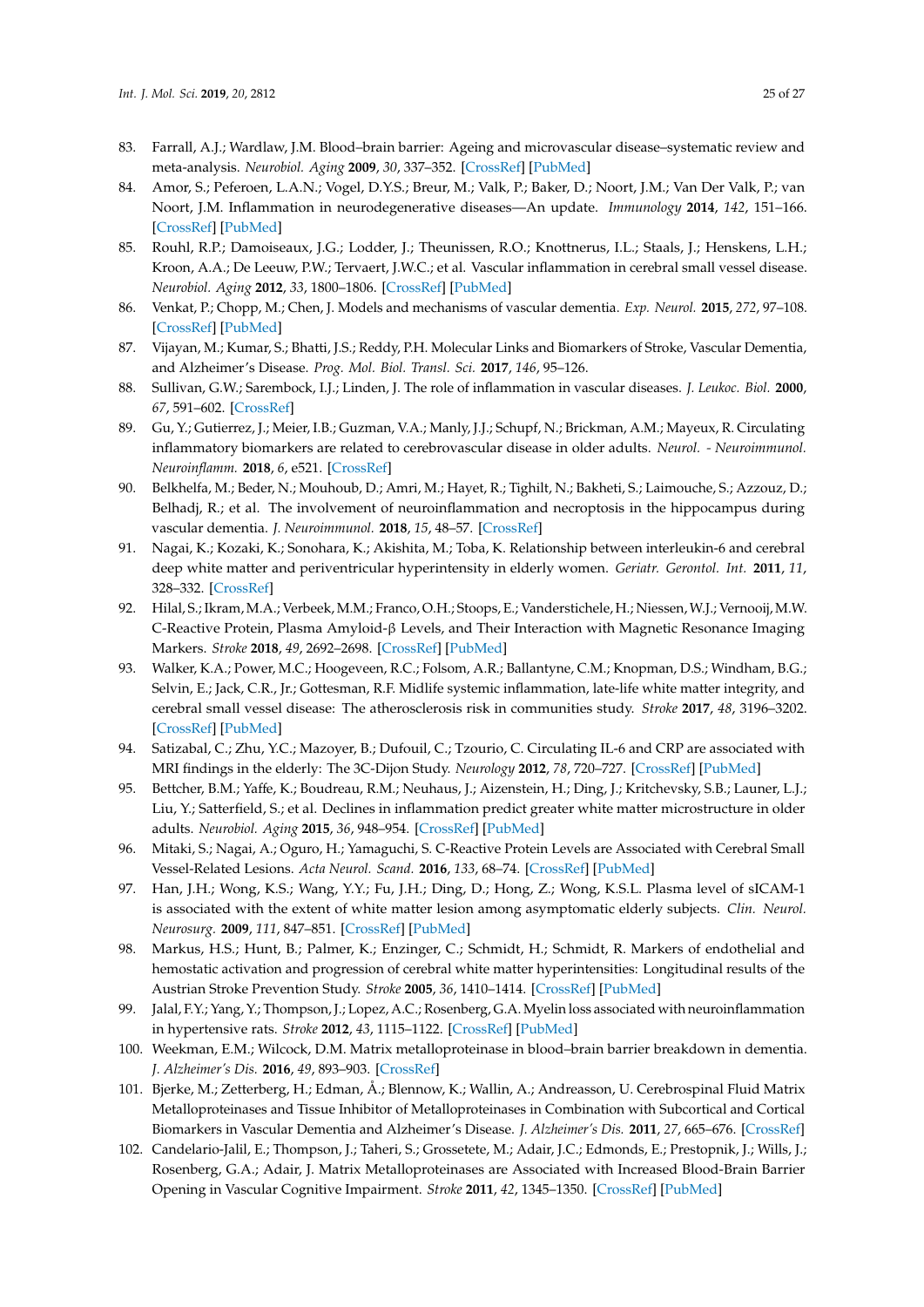- <span id="page-24-0"></span>83. Farrall, A.J.; Wardlaw, J.M. Blood–brain barrier: Ageing and microvascular disease–systematic review and meta-analysis. *Neurobiol. Aging* **2009**, *30*, 337–352. [\[CrossRef\]](http://dx.doi.org/10.1016/j.neurobiolaging.2007.07.015) [\[PubMed\]](http://www.ncbi.nlm.nih.gov/pubmed/17869382)
- <span id="page-24-1"></span>84. Amor, S.; Peferoen, L.A.N.; Vogel, D.Y.S.; Breur, M.; Valk, P.; Baker, D.; Noort, J.M.; Van Der Valk, P.; van Noort, J.M. Inflammation in neurodegenerative diseases—An update. *Immunology* **2014**, *142*, 151–166. [\[CrossRef\]](http://dx.doi.org/10.1111/imm.12233) [\[PubMed\]](http://www.ncbi.nlm.nih.gov/pubmed/24329535)
- <span id="page-24-2"></span>85. Rouhl, R.P.; Damoiseaux, J.G.; Lodder, J.; Theunissen, R.O.; Knottnerus, I.L.; Staals, J.; Henskens, L.H.; Kroon, A.A.; De Leeuw, P.W.; Tervaert, J.W.C.; et al. Vascular inflammation in cerebral small vessel disease. *Neurobiol. Aging* **2012**, *33*, 1800–1806. [\[CrossRef\]](http://dx.doi.org/10.1016/j.neurobiolaging.2011.04.008) [\[PubMed\]](http://www.ncbi.nlm.nih.gov/pubmed/21601314)
- <span id="page-24-3"></span>86. Venkat, P.; Chopp, M.; Chen, J. Models and mechanisms of vascular dementia. *Exp. Neurol.* **2015**, *272*, 97–108. [\[CrossRef\]](http://dx.doi.org/10.1016/j.expneurol.2015.05.006) [\[PubMed\]](http://www.ncbi.nlm.nih.gov/pubmed/25987538)
- <span id="page-24-4"></span>87. Vijayan, M.; Kumar, S.; Bhatti, J.S.; Reddy, P.H. Molecular Links and Biomarkers of Stroke, Vascular Dementia, and Alzheimer's Disease. *Prog. Mol. Biol. Transl. Sci.* **2017**, *146*, 95–126.
- <span id="page-24-5"></span>88. Sullivan, G.W.; Sarembock, I.J.; Linden, J. The role of inflammation in vascular diseases. *J. Leukoc. Biol.* **2000**, *67*, 591–602. [\[CrossRef\]](http://dx.doi.org/10.1002/jlb.67.5.591)
- <span id="page-24-6"></span>89. Gu, Y.; Gutierrez, J.; Meier, I.B.; Guzman, V.A.; Manly, J.J.; Schupf, N.; Brickman, A.M.; Mayeux, R. Circulating inflammatory biomarkers are related to cerebrovascular disease in older adults. *Neurol. - Neuroimmunol. Neuroinflamm.* **2018**, *6*, e521. [\[CrossRef\]](http://dx.doi.org/10.1212/NXI.0000000000000521)
- <span id="page-24-7"></span>90. Belkhelfa, M.; Beder, N.; Mouhoub, D.; Amri, M.; Hayet, R.; Tighilt, N.; Bakheti, S.; Laimouche, S.; Azzouz, D.; Belhadj, R.; et al. The involvement of neuroinflammation and necroptosis in the hippocampus during vascular dementia. *J. Neuroimmunol.* **2018**, *15*, 48–57. [\[CrossRef\]](http://dx.doi.org/10.1016/j.jneuroim.2018.04.004)
- <span id="page-24-8"></span>91. Nagai, K.; Kozaki, K.; Sonohara, K.; Akishita, M.; Toba, K. Relationship between interleukin-6 and cerebral deep white matter and periventricular hyperintensity in elderly women. *Geriatr. Gerontol. Int.* **2011**, *11*, 328–332. [\[CrossRef\]](http://dx.doi.org/10.1111/j.1447-0594.2010.00686.x)
- <span id="page-24-9"></span>92. Hilal, S.; Ikram, M.A.; Verbeek, M.M.; Franco, O.H.; Stoops, E.; Vanderstichele, H.; Niessen,W.J.; Vernooij, M.W. C-Reactive Protein, Plasma Amyloid-β Levels, and Their Interaction with Magnetic Resonance Imaging Markers. *Stroke* **2018**, *49*, 2692–2698. [\[CrossRef\]](http://dx.doi.org/10.1161/STROKEAHA.118.022317) [\[PubMed\]](http://www.ncbi.nlm.nih.gov/pubmed/30355213)
- 93. Walker, K.A.; Power, M.C.; Hoogeveen, R.C.; Folsom, A.R.; Ballantyne, C.M.; Knopman, D.S.; Windham, B.G.; Selvin, E.; Jack, C.R., Jr.; Gottesman, R.F. Midlife systemic inflammation, late-life white matter integrity, and cerebral small vessel disease: The atherosclerosis risk in communities study. *Stroke* **2017**, *48*, 3196–3202. [\[CrossRef\]](http://dx.doi.org/10.1161/STROKEAHA.117.018675) [\[PubMed\]](http://www.ncbi.nlm.nih.gov/pubmed/29101255)
- <span id="page-24-10"></span>94. Satizabal, C.; Zhu, Y.C.; Mazoyer, B.; Dufouil, C.; Tzourio, C. Circulating IL-6 and CRP are associated with MRI findings in the elderly: The 3C-Dijon Study. *Neurology* **2012**, *78*, 720–727. [\[CrossRef\]](http://dx.doi.org/10.1212/WNL.0b013e318248e50f) [\[PubMed\]](http://www.ncbi.nlm.nih.gov/pubmed/22357713)
- <span id="page-24-11"></span>95. Bettcher, B.M.; Yaffe, K.; Boudreau, R.M.; Neuhaus, J.; Aizenstein, H.; Ding, J.; Kritchevsky, S.B.; Launer, L.J.; Liu, Y.; Satterfield, S.; et al. Declines in inflammation predict greater white matter microstructure in older adults. *Neurobiol. Aging* **2015**, *36*, 948–954. [\[CrossRef\]](http://dx.doi.org/10.1016/j.neurobiolaging.2014.11.004) [\[PubMed\]](http://www.ncbi.nlm.nih.gov/pubmed/25554492)
- <span id="page-24-12"></span>96. Mitaki, S.; Nagai, A.; Oguro, H.; Yamaguchi, S. C-Reactive Protein Levels are Associated with Cerebral Small Vessel-Related Lesions. *Acta Neurol. Scand.* **2016**, *133*, 68–74. [\[CrossRef\]](http://dx.doi.org/10.1111/ane.12440) [\[PubMed\]](http://www.ncbi.nlm.nih.gov/pubmed/25974422)
- <span id="page-24-13"></span>97. Han, J.H.; Wong, K.S.; Wang, Y.Y.; Fu, J.H.; Ding, D.; Hong, Z.; Wong, K.S.L. Plasma level of sICAM-1 is associated with the extent of white matter lesion among asymptomatic elderly subjects. *Clin. Neurol. Neurosurg.* **2009**, *111*, 847–851. [\[CrossRef\]](http://dx.doi.org/10.1016/j.clineuro.2009.08.018) [\[PubMed\]](http://www.ncbi.nlm.nih.gov/pubmed/19825506)
- <span id="page-24-14"></span>98. Markus, H.S.; Hunt, B.; Palmer, K.; Enzinger, C.; Schmidt, H.; Schmidt, R. Markers of endothelial and hemostatic activation and progression of cerebral white matter hyperintensities: Longitudinal results of the Austrian Stroke Prevention Study. *Stroke* **2005**, *36*, 1410–1414. [\[CrossRef\]](http://dx.doi.org/10.1161/01.STR.0000169924.60783.d4) [\[PubMed\]](http://www.ncbi.nlm.nih.gov/pubmed/15905468)
- <span id="page-24-15"></span>99. Jalal, F.Y.; Yang, Y.; Thompson, J.; Lopez, A.C.; Rosenberg, G.A. Myelin loss associated with neuroinflammation in hypertensive rats. *Stroke* **2012**, *43*, 1115–1122. [\[CrossRef\]](http://dx.doi.org/10.1161/STROKEAHA.111.643080) [\[PubMed\]](http://www.ncbi.nlm.nih.gov/pubmed/22363061)
- <span id="page-24-16"></span>100. Weekman, E.M.; Wilcock, D.M. Matrix metalloproteinase in blood–brain barrier breakdown in dementia. *J. Alzheimer's Dis.* **2016**, *49*, 893–903. [\[CrossRef\]](http://dx.doi.org/10.3233/JAD-150759)
- <span id="page-24-17"></span>101. Bjerke, M.; Zetterberg, H.; Edman, Å.; Blennow, K.; Wallin, A.; Andreasson, U. Cerebrospinal Fluid Matrix Metalloproteinases and Tissue Inhibitor of Metalloproteinases in Combination with Subcortical and Cortical Biomarkers in Vascular Dementia and Alzheimer's Disease. *J. Alzheimer's Dis.* **2011**, *27*, 665–676. [\[CrossRef\]](http://dx.doi.org/10.3233/JAD-2011-110566)
- <span id="page-24-18"></span>102. Candelario-Jalil, E.; Thompson, J.; Taheri, S.; Grossetete, M.; Adair, J.C.; Edmonds, E.; Prestopnik, J.; Wills, J.; Rosenberg, G.A.; Adair, J. Matrix Metalloproteinases are Associated with Increased Blood-Brain Barrier Opening in Vascular Cognitive Impairment. *Stroke* **2011**, *42*, 1345–1350. [\[CrossRef\]](http://dx.doi.org/10.1161/STROKEAHA.110.600825) [\[PubMed\]](http://www.ncbi.nlm.nih.gov/pubmed/21454822)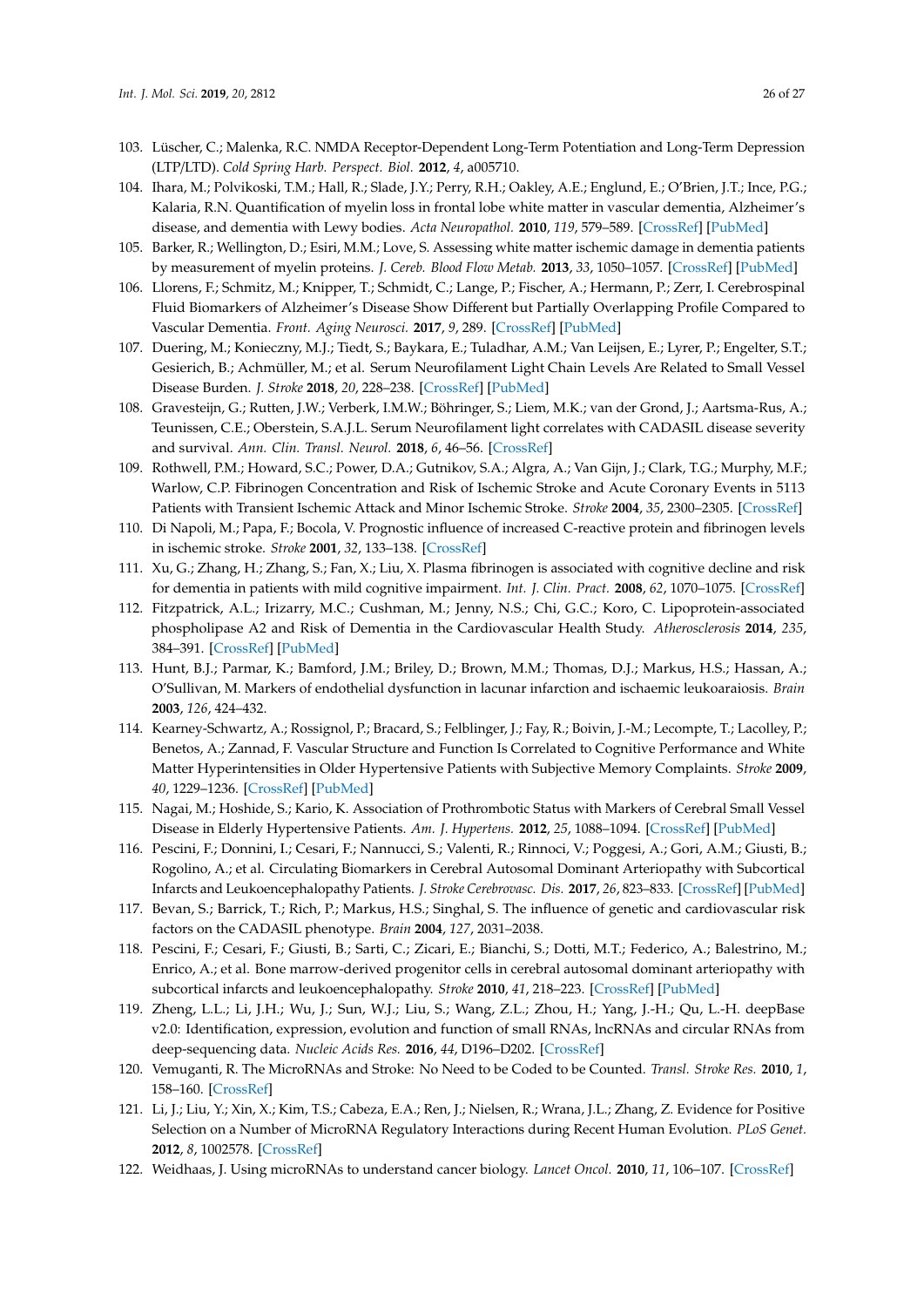- <span id="page-25-0"></span>103. Lüscher, C.; Malenka, R.C. NMDA Receptor-Dependent Long-Term Potentiation and Long-Term Depression (LTP/LTD). *Cold Spring Harb. Perspect. Biol.* **2012**, *4*, a005710.
- <span id="page-25-1"></span>104. Ihara, M.; Polvikoski, T.M.; Hall, R.; Slade, J.Y.; Perry, R.H.; Oakley, A.E.; Englund, E.; O'Brien, J.T.; Ince, P.G.; Kalaria, R.N. Quantification of myelin loss in frontal lobe white matter in vascular dementia, Alzheimer's disease, and dementia with Lewy bodies. *Acta Neuropathol.* **2010**, *119*, 579–589. [\[CrossRef\]](http://dx.doi.org/10.1007/s00401-009-0635-8) [\[PubMed\]](http://www.ncbi.nlm.nih.gov/pubmed/20091409)
- <span id="page-25-2"></span>105. Barker, R.; Wellington, D.; Esiri, M.M.; Love, S. Assessing white matter ischemic damage in dementia patients by measurement of myelin proteins. *J. Cereb. Blood Flow Metab.* **2013**, *33*, 1050–1057. [\[CrossRef\]](http://dx.doi.org/10.1038/jcbfm.2013.46) [\[PubMed\]](http://www.ncbi.nlm.nih.gov/pubmed/23532085)
- <span id="page-25-3"></span>106. Llorens, F.; Schmitz, M.; Knipper, T.; Schmidt, C.; Lange, P.; Fischer, A.; Hermann, P.; Zerr, I. Cerebrospinal Fluid Biomarkers of Alzheimer's Disease Show Different but Partially Overlapping Profile Compared to Vascular Dementia. *Front. Aging Neurosci.* **2017**, *9*, 289. [\[CrossRef\]](http://dx.doi.org/10.3389/fnagi.2017.00289) [\[PubMed\]](http://www.ncbi.nlm.nih.gov/pubmed/28955218)
- <span id="page-25-4"></span>107. Duering, M.; Konieczny, M.J.; Tiedt, S.; Baykara, E.; Tuladhar, A.M.; Van Leijsen, E.; Lyrer, P.; Engelter, S.T.; Gesierich, B.; Achmüller, M.; et al. Serum Neurofilament Light Chain Levels Are Related to Small Vessel Disease Burden. *J. Stroke* **2018**, *20*, 228–238. [\[CrossRef\]](http://dx.doi.org/10.5853/jos.2017.02565) [\[PubMed\]](http://www.ncbi.nlm.nih.gov/pubmed/29886723)
- <span id="page-25-5"></span>108. Gravesteijn, G.; Rutten, J.W.; Verberk, I.M.W.; Böhringer, S.; Liem, M.K.; van der Grond, J.; Aartsma-Rus, A.; Teunissen, C.E.; Oberstein, S.A.J.L. Serum Neurofilament light correlates with CADASIL disease severity and survival. *Ann. Clin. Transl. Neurol.* **2018**, *6*, 46–56. [\[CrossRef\]](http://dx.doi.org/10.1002/acn3.678)
- <span id="page-25-6"></span>109. Rothwell, P.M.; Howard, S.C.; Power, D.A.; Gutnikov, S.A.; Algra, A.; Van Gijn, J.; Clark, T.G.; Murphy, M.F.; Warlow, C.P. Fibrinogen Concentration and Risk of Ischemic Stroke and Acute Coronary Events in 5113 Patients with Transient Ischemic Attack and Minor Ischemic Stroke. *Stroke* **2004**, *35*, 2300–2305. [\[CrossRef\]](http://dx.doi.org/10.1161/01.STR.0000141701.36371.d1)
- <span id="page-25-7"></span>110. Di Napoli, M.; Papa, F.; Bocola, V. Prognostic influence of increased C-reactive protein and fibrinogen levels in ischemic stroke. *Stroke* **2001**, *32*, 133–138. [\[CrossRef\]](http://dx.doi.org/10.1161/01.STR.32.1.133)
- <span id="page-25-8"></span>111. Xu, G.; Zhang, H.; Zhang, S.; Fan, X.; Liu, X. Plasma fibrinogen is associated with cognitive decline and risk for dementia in patients with mild cognitive impairment. *Int. J. Clin. Pract.* **2008**, *62*, 1070–1075. [\[CrossRef\]](http://dx.doi.org/10.1111/j.1742-1241.2007.01268.x)
- <span id="page-25-9"></span>112. Fitzpatrick, A.L.; Irizarry, M.C.; Cushman, M.; Jenny, N.S.; Chi, G.C.; Koro, C. Lipoprotein-associated phospholipase A2 and Risk of Dementia in the Cardiovascular Health Study. *Atherosclerosis* **2014**, *235*, 384–391. [\[CrossRef\]](http://dx.doi.org/10.1016/j.atherosclerosis.2014.04.032) [\[PubMed\]](http://www.ncbi.nlm.nih.gov/pubmed/24929287)
- <span id="page-25-10"></span>113. Hunt, B.J.; Parmar, K.; Bamford, J.M.; Briley, D.; Brown, M.M.; Thomas, D.J.; Markus, H.S.; Hassan, A.; O'Sullivan, M. Markers of endothelial dysfunction in lacunar infarction and ischaemic leukoaraiosis. *Brain* **2003**, *126*, 424–432.
- <span id="page-25-11"></span>114. Kearney-Schwartz, A.; Rossignol, P.; Bracard, S.; Felblinger, J.; Fay, R.; Boivin, J.-M.; Lecompte, T.; Lacolley, P.; Benetos, A.; Zannad, F. Vascular Structure and Function Is Correlated to Cognitive Performance and White Matter Hyperintensities in Older Hypertensive Patients with Subjective Memory Complaints. *Stroke* **2009**, *40*, 1229–1236. [\[CrossRef\]](http://dx.doi.org/10.1161/STROKEAHA.108.532853) [\[PubMed\]](http://www.ncbi.nlm.nih.gov/pubmed/19246701)
- <span id="page-25-12"></span>115. Nagai, M.; Hoshide, S.; Kario, K. Association of Prothrombotic Status with Markers of Cerebral Small Vessel Disease in Elderly Hypertensive Patients. *Am. J. Hypertens.* **2012**, *25*, 1088–1094. [\[CrossRef\]](http://dx.doi.org/10.1038/ajh.2012.85) [\[PubMed\]](http://www.ncbi.nlm.nih.gov/pubmed/22739806)
- <span id="page-25-13"></span>116. Pescini, F.; Donnini, I.; Cesari, F.; Nannucci, S.; Valenti, R.; Rinnoci, V.; Poggesi, A.; Gori, A.M.; Giusti, B.; Rogolino, A.; et al. Circulating Biomarkers in Cerebral Autosomal Dominant Arteriopathy with Subcortical Infarcts and Leukoencephalopathy Patients. *J. Stroke Cerebrovasc. Dis.* **2017**, *26*, 823–833. [\[CrossRef\]](http://dx.doi.org/10.1016/j.jstrokecerebrovasdis.2016.10.027) [\[PubMed\]](http://www.ncbi.nlm.nih.gov/pubmed/27876311)
- <span id="page-25-14"></span>117. Bevan, S.; Barrick, T.; Rich, P.; Markus, H.S.; Singhal, S. The influence of genetic and cardiovascular risk factors on the CADASIL phenotype. *Brain* **2004**, *127*, 2031–2038.
- <span id="page-25-15"></span>118. Pescini, F.; Cesari, F.; Giusti, B.; Sarti, C.; Zicari, E.; Bianchi, S.; Dotti, M.T.; Federico, A.; Balestrino, M.; Enrico, A.; et al. Bone marrow-derived progenitor cells in cerebral autosomal dominant arteriopathy with subcortical infarcts and leukoencephalopathy. *Stroke* **2010**, *41*, 218–223. [\[CrossRef\]](http://dx.doi.org/10.1161/STROKEAHA.109.563726) [\[PubMed\]](http://www.ncbi.nlm.nih.gov/pubmed/20035077)
- <span id="page-25-16"></span>119. Zheng, L.L.; Li, J.H.; Wu, J.; Sun, W.J.; Liu, S.; Wang, Z.L.; Zhou, H.; Yang, J.-H.; Qu, L.-H. deepBase v2.0: Identification, expression, evolution and function of small RNAs, lncRNAs and circular RNAs from deep-sequencing data. *Nucleic Acids Res.* **2016**, *44*, D196–D202. [\[CrossRef\]](http://dx.doi.org/10.1093/nar/gkv1273)
- <span id="page-25-17"></span>120. Vemuganti, R. The MicroRNAs and Stroke: No Need to be Coded to be Counted. *Transl. Stroke Res.* **2010**, *1*, 158–160. [\[CrossRef\]](http://dx.doi.org/10.1007/s12975-010-0030-8)
- <span id="page-25-18"></span>121. Li, J.; Liu, Y.; Xin, X.; Kim, T.S.; Cabeza, E.A.; Ren, J.; Nielsen, R.; Wrana, J.L.; Zhang, Z. Evidence for Positive Selection on a Number of MicroRNA Regulatory Interactions during Recent Human Evolution. *PLoS Genet.* **2012**, *8*, 1002578. [\[CrossRef\]](http://dx.doi.org/10.1371/journal.pgen.1002578)
- <span id="page-25-19"></span>122. Weidhaas, J. Using microRNAs to understand cancer biology. *Lancet Oncol.* **2010**, *11*, 106–107. [\[CrossRef\]](http://dx.doi.org/10.1016/S1470-2045(09)70386-9)